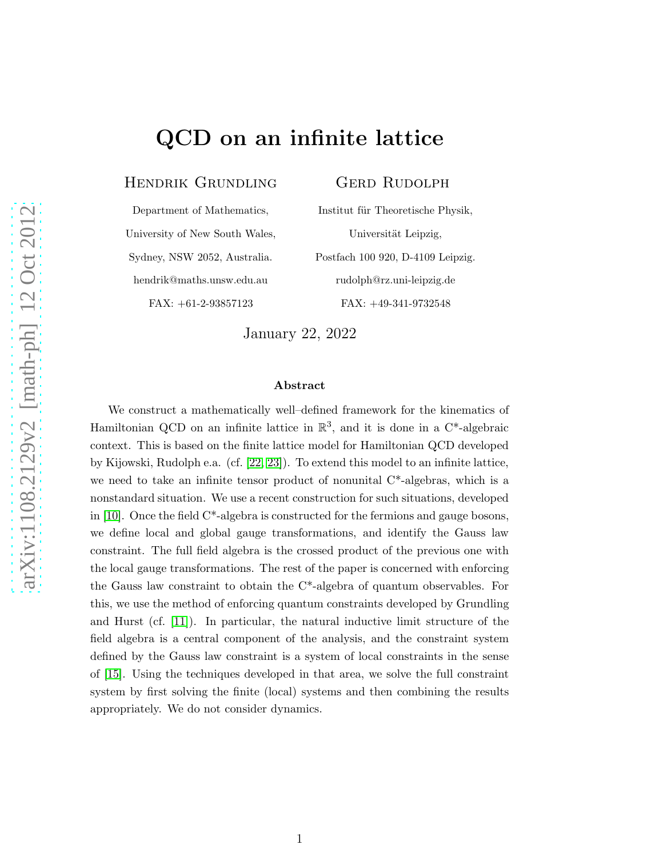# QCD on an infinite lattice

# Hendrik Grundling

## GERD RUDOLPH

Department of Mathematics, University of New South Wales, Sydney, NSW 2052, Australia.

FAX: +61-2-93857123

hendrik@maths.unsw.edu.au

Institut für Theoretische Physik, Universität Leipzig, Postfach 100 920, D-4109 Leipzig. rudolph@rz.uni-leipzig.de FAX: +49-341-9732548

January 22, 2022

#### Abstract

We construct a mathematically well–defined framework for the kinematics of Hamiltonian QCD on an infinite lattice in  $\mathbb{R}^3$ , and it is done in a C<sup>\*</sup>-algebraic context. This is based on the finite lattice model for Hamiltonian QCD developed by Kijowski, Rudolph e.a. (cf. [\[22,](#page-56-0) [23\]](#page-56-1)). To extend this model to an infinite lattice, we need to take an infinite tensor product of nonunital C\*-algebras, which is a nonstandard situation. We use a recent construction for such situations, developed in [\[10\]](#page-55-0). Once the field C\*-algebra is constructed for the fermions and gauge bosons, we define local and global gauge transformations, and identify the Gauss law constraint. The full field algebra is the crossed product of the previous one with the local gauge transformations. The rest of the paper is concerned with enforcing the Gauss law constraint to obtain the C\*-algebra of quantum observables. For this, we use the method of enforcing quantum constraints developed by Grundling and Hurst  $(cf. |11|)$ . In particular, the natural inductive limit structure of the field algebra is a central component of the analysis, and the constraint system defined by the Gauss law constraint is a system of local constraints in the sense of [\[15\]](#page-55-2). Using the techniques developed in that area, we solve the full constraint system by first solving the finite (local) systems and then combining the results appropriately. We do not consider dynamics.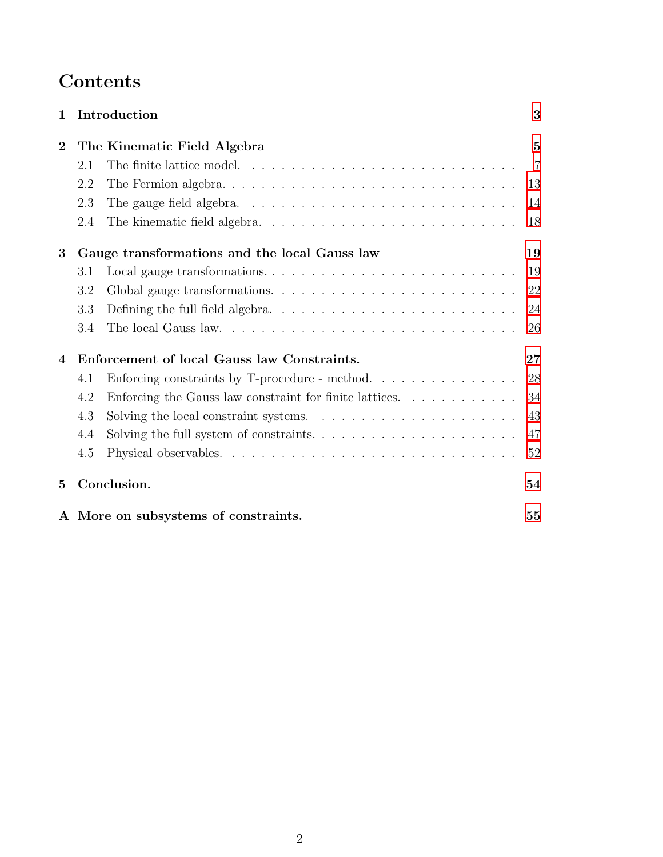# Contents

| $\mathbf{1}$   |                                               | Introduction                                                                      | 3              |  |
|----------------|-----------------------------------------------|-----------------------------------------------------------------------------------|----------------|--|
| $\overline{2}$ |                                               | The Kinematic Field Algebra                                                       | $\overline{5}$ |  |
|                | 2.1                                           |                                                                                   | $\overline{7}$ |  |
|                | 2.2                                           |                                                                                   | 13             |  |
|                | 2.3                                           |                                                                                   | 14             |  |
|                | 2.4                                           |                                                                                   | 18             |  |
| 3              | Gauge transformations and the local Gauss law |                                                                                   | 19             |  |
|                | 3.1                                           |                                                                                   | 19             |  |
|                | 3.2                                           |                                                                                   | 22             |  |
|                | 3.3                                           |                                                                                   | 24             |  |
|                | 3.4                                           |                                                                                   | 26             |  |
| 4              | Enforcement of local Gauss law Constraints.   |                                                                                   | 27             |  |
|                | 4.1                                           | Enforcing constraints by T-procedure - method. $\dots \dots \dots \dots \dots$    | 28             |  |
|                | 4.2                                           | Enforcing the Gauss law constraint for finite lattices. $\dots \dots \dots \dots$ | 34             |  |
|                | 4.3                                           | Solving the local constraint systems. $\ldots \ldots \ldots \ldots \ldots \ldots$ | 43             |  |
|                | 4.4                                           |                                                                                   | 47             |  |
|                | 4.5                                           |                                                                                   | 52             |  |
| $\bf{5}$       | Conclusion.                                   |                                                                                   | 54             |  |
|                |                                               | A More on subsystems of constraints.                                              | 55             |  |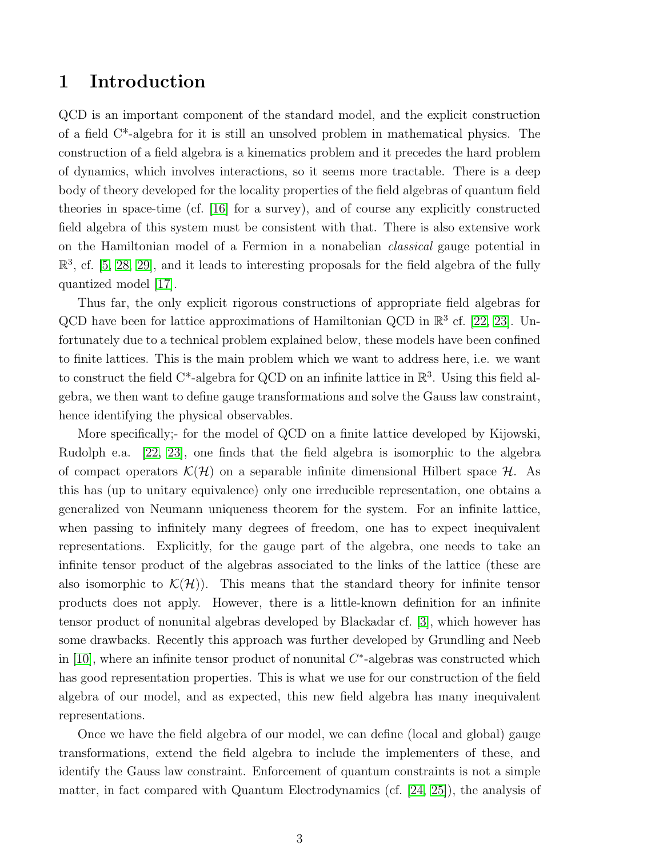# <span id="page-2-0"></span>1 Introduction

QCD is an important component of the standard model, and the explicit construction of a field C\*-algebra for it is still an unsolved problem in mathematical physics. The construction of a field algebra is a kinematics problem and it precedes the hard problem of dynamics, which involves interactions, so it seems more tractable. There is a deep body of theory developed for the locality properties of the field algebras of quantum field theories in space-time (cf. [\[16\]](#page-55-3) for a survey), and of course any explicitly constructed field algebra of this system must be consistent with that. There is also extensive work on the Hamiltonian model of a Fermion in a nonabelian classical gauge potential in  $\mathbb{R}^3$ , cf. [\[5,](#page-55-4) [28,](#page-56-2) [29\]](#page-56-3), and it leads to interesting proposals for the field algebra of the fully quantized model [\[17\]](#page-56-4).

Thus far, the only explicit rigorous constructions of appropriate field algebras for QCD have been for lattice approximations of Hamiltonian QCD in  $\mathbb{R}^3$  cf. [\[22,](#page-56-0) [23\]](#page-56-1). Unfortunately due to a technical problem explained below, these models have been confined to finite lattices. This is the main problem which we want to address here, i.e. we want to construct the field  $C^*$ -algebra for QCD on an infinite lattice in  $\mathbb{R}^3$ . Using this field algebra, we then want to define gauge transformations and solve the Gauss law constraint, hence identifying the physical observables.

More specifically;- for the model of QCD on a finite lattice developed by Kijowski, Rudolph e.a. [\[22,](#page-56-0) [23\]](#page-56-1), one finds that the field algebra is isomorphic to the algebra of compact operators  $\mathcal{K}(\mathcal{H})$  on a separable infinite dimensional Hilbert space  $\mathcal{H}$ . As this has (up to unitary equivalence) only one irreducible representation, one obtains a generalized von Neumann uniqueness theorem for the system. For an infinite lattice, when passing to infinitely many degrees of freedom, one has to expect inequivalent representations. Explicitly, for the gauge part of the algebra, one needs to take an infinite tensor product of the algebras associated to the links of the lattice (these are also isomorphic to  $\mathcal{K}(\mathcal{H})$ . This means that the standard theory for infinite tensor products does not apply. However, there is a little-known definition for an infinite tensor product of nonunital algebras developed by Blackadar cf. [\[3\]](#page-54-1), which however has some drawbacks. Recently this approach was further developed by Grundling and Neeb in [\[10\]](#page-55-0), where an infinite tensor product of nonunital  $C^*$ -algebras was constructed which has good representation properties. This is what we use for our construction of the field algebra of our model, and as expected, this new field algebra has many inequivalent representations.

Once we have the field algebra of our model, we can define (local and global) gauge transformations, extend the field algebra to include the implementers of these, and identify the Gauss law constraint. Enforcement of quantum constraints is not a simple matter, in fact compared with Quantum Electrodynamics (cf. [\[24,](#page-56-5) [25\]](#page-56-6)), the analysis of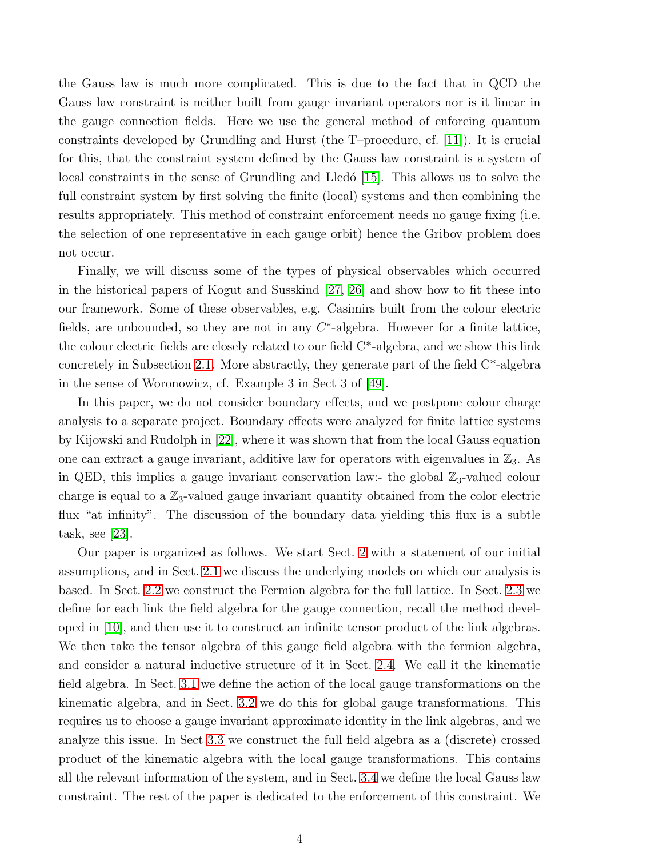the Gauss law is much more complicated. This is due to the fact that in QCD the Gauss law constraint is neither built from gauge invariant operators nor is it linear in the gauge connection fields. Here we use the general method of enforcing quantum constraints developed by Grundling and Hurst (the T–procedure, cf. [\[11\]](#page-55-1)). It is crucial for this, that the constraint system defined by the Gauss law constraint is a system of local constraints in the sense of Grundling and Lledó [\[15\]](#page-55-2). This allows us to solve the full constraint system by first solving the finite (local) systems and then combining the results appropriately. This method of constraint enforcement needs no gauge fixing (i.e. the selection of one representative in each gauge orbit) hence the Gribov problem does not occur.

Finally, we will discuss some of the types of physical observables which occurred in the historical papers of Kogut and Susskind [\[27,](#page-56-7) [26\]](#page-56-8) and show how to fit these into our framework. Some of these observables, e.g. Casimirs built from the colour electric fields, are unbounded, so they are not in any  $C^*$ -algebra. However for a finite lattice, the colour electric fields are closely related to our field C\*-algebra, and we show this link concretely in Subsection [2.1.](#page-6-0) More abstractly, they generate part of the field C\*-algebra in the sense of Woronowicz, cf. Example 3 in Sect 3 of [\[49\]](#page-58-0).

In this paper, we do not consider boundary effects, and we postpone colour charge analysis to a separate project. Boundary effects were analyzed for finite lattice systems by Kijowski and Rudolph in [\[22\]](#page-56-0), where it was shown that from the local Gauss equation one can extract a gauge invariant, additive law for operators with eigenvalues in  $\mathbb{Z}_3$ . As in QED, this implies a gauge invariant conservation law:- the global  $\mathbb{Z}_3$ -valued colour charge is equal to a  $\mathbb{Z}_3$ -valued gauge invariant quantity obtained from the color electric flux "at infinity". The discussion of the boundary data yielding this flux is a subtle task, see [\[23\]](#page-56-1).

Our paper is organized as follows. We start Sect. [2](#page-4-0) with a statement of our initial assumptions, and in Sect. [2.1](#page-6-0) we discuss the underlying models on which our analysis is based. In Sect. [2.2](#page-12-0) we construct the Fermion algebra for the full lattice. In Sect. [2.3](#page-13-0) we define for each link the field algebra for the gauge connection, recall the method developed in [\[10\]](#page-55-0), and then use it to construct an infinite tensor product of the link algebras. We then take the tensor algebra of this gauge field algebra with the fermion algebra, and consider a natural inductive structure of it in Sect. [2.4.](#page-17-0) We call it the kinematic field algebra. In Sect. [3.1](#page-18-1) we define the action of the local gauge transformations on the kinematic algebra, and in Sect. [3.2](#page-21-0) we do this for global gauge transformations. This requires us to choose a gauge invariant approximate identity in the link algebras, and we analyze this issue. In Sect [3.3](#page-23-0) we construct the full field algebra as a (discrete) crossed product of the kinematic algebra with the local gauge transformations. This contains all the relevant information of the system, and in Sect. [3.4](#page-25-0) we define the local Gauss law constraint. The rest of the paper is dedicated to the enforcement of this constraint. We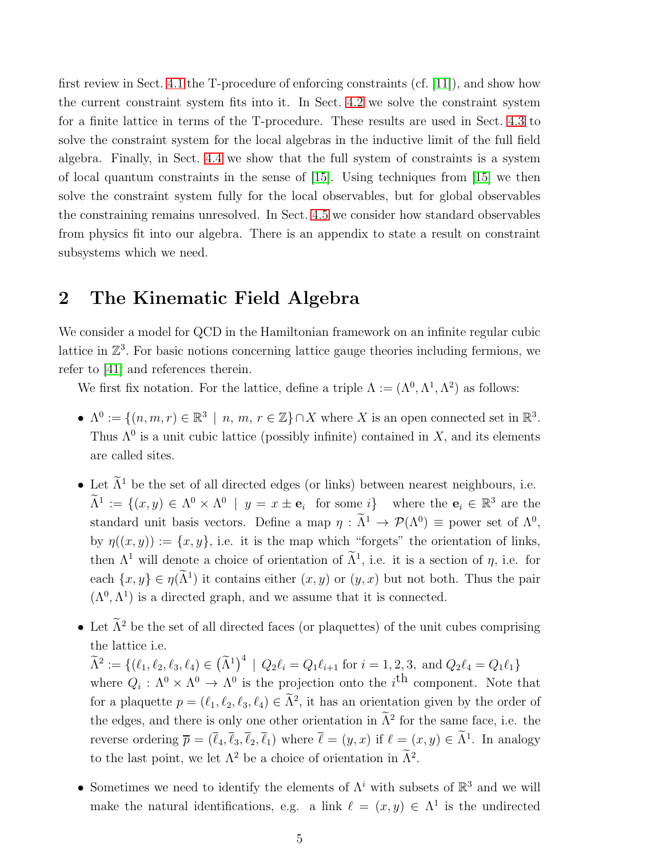first review in Sect. [4.1](#page-27-0) the T-procedure of enforcing constraints (cf.  $[11]$ ), and show how the current constraint system fits into it. In Sect. [4.2](#page-33-0) we solve the constraint system for a finite lattice in terms of the T-procedure. These results are used in Sect. [4.3](#page-42-0) to solve the constraint system for the local algebras in the inductive limit of the full field algebra. Finally, in Sect. [4.4](#page-46-0) we show that the full system of constraints is a system of local quantum constraints in the sense of [\[15\]](#page-55-2). Using techniques from [\[15\]](#page-55-2) we then solve the constraint system fully for the local observables, but for global observables the constraining remains unresolved. In Sect. [4.5](#page-51-0) we consider how standard observables from physics fit into our algebra. There is an appendix to state a result on constraint subsystems which we need.

# <span id="page-4-0"></span>2 The Kinematic Field Algebra

We consider a model for QCD in the Hamiltonian framework on an infinite regular cubic lattice in  $\mathbb{Z}^3$ . For basic notions concerning lattice gauge theories including fermions, we refer to [\[41\]](#page-57-0) and references therein.

We first fix notation. For the lattice, define a triple  $\Lambda := (\Lambda^0, \Lambda^1, \Lambda^2)$  as follows:

- $\Lambda^0 := \{(n, m, r) \in \mathbb{R}^3 \mid n, m, r \in \mathbb{Z}\} \cap X$  where X is an open connected set in  $\mathbb{R}^3$ . Thus  $\Lambda^0$  is a unit cubic lattice (possibly infinite) contained in X, and its elements are called sites.
- Let  $\tilde{\Lambda}^1$  be the set of all directed edges (or links) between nearest neighbours, i.e.  $\widetilde{\Lambda}^1 := \{(x, y) \in \Lambda^0 \times \Lambda^0 \mid y = x \pm \mathbf{e}_i \text{ for some } i\}$  where the  $\mathbf{e}_i \in \mathbb{R}^3$  are the standard unit basis vectors. Define a map  $\eta : \Lambda^1 \to \mathcal{P}(\Lambda^0) \equiv$  power set of  $\Lambda^0$ , by  $\eta((x, y)) := \{x, y\}$ , i.e. it is the map which "forgets" the orientation of links, then  $\Lambda^1$  will denote a choice of orientation of  $\Lambda^1$ , i.e. it is a section of  $\eta$ , i.e. for each  $\{x, y\} \in \eta(\Lambda^1)$  it contains either  $(x, y)$  or  $(y, x)$  but not both. Thus the pair  $(\Lambda^0, \Lambda^1)$  is a directed graph, and we assume that it is connected.
- Let  $\tilde{\Lambda}^2$  be the set of all directed faces (or plaquettes) of the unit cubes comprising the lattice i.e.

 $\widetilde{\Lambda}^2 := \{(\ell_1, \ell_2, \ell_3, \ell_4) \in (\widetilde{\Lambda}^1)^4 \mid Q_2\ell_i = Q_1\ell_{i+1} \text{ for } i = 1, 2, 3, \text{ and } Q_2\ell_4 = Q_1\ell_1\}$ where  $Q_i: \Lambda^0 \times \Lambda^0 \to \Lambda^0$  is the projection onto the *i*<sup>th</sup> component. Note that for a plaquette  $p = (\ell_1, \ell_2, \ell_3, \ell_4) \in \Lambda^2$ , it has an orientation given by the order of the edges, and there is only one other orientation in  $\Lambda^2$  for the same face, i.e. the reverse ordering  $\overline{p} = (\overline{\ell}_4, \overline{\ell}_3, \overline{\ell}_2, \overline{\ell}_1)$  where  $\overline{\ell} = (y, x)$  if  $\ell = (x, y) \in \Lambda^1$ . In analogy to the last point, we let  $\Lambda^2$  be a choice of orientation in  $\Lambda^2$ .

• Sometimes we need to identify the elements of  $\Lambda^i$  with subsets of  $\mathbb{R}^3$  and we will make the natural identifications, e.g. a link  $\ell = (x, y) \in \Lambda^1$  is the undirected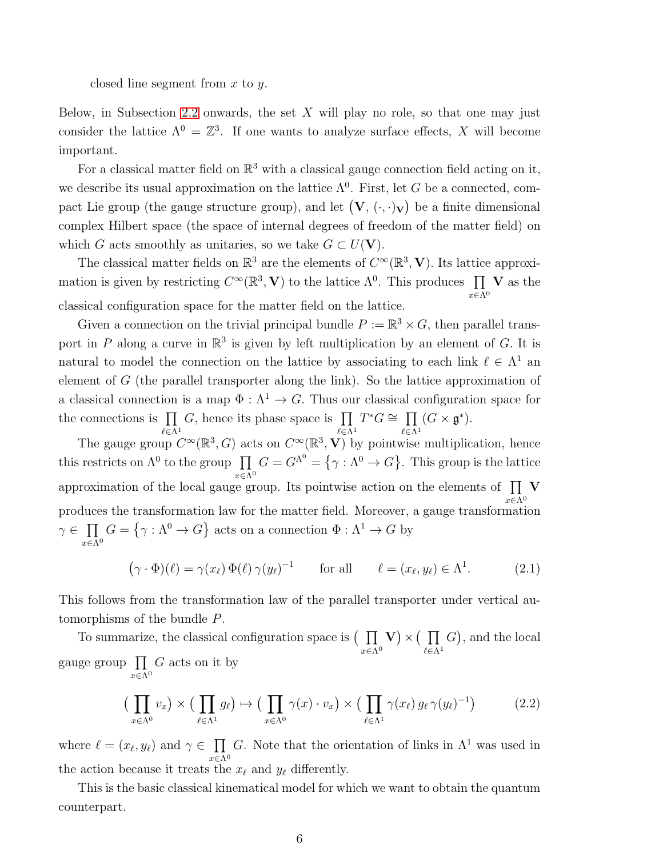closed line segment from  $x$  to  $y$ .

Below, in Subsection [2.2](#page-12-0) onwards, the set  $X$  will play no role, so that one may just consider the lattice  $\Lambda^0 = \mathbb{Z}^3$ . If one wants to analyze surface effects, X will become important.

For a classical matter field on  $\mathbb{R}^3$  with a classical gauge connection field acting on it, we describe its usual approximation on the lattice  $\Lambda^0$ . First, let G be a connected, compact Lie group (the gauge structure group), and let  $(V, (\cdot, \cdot)_V)$  be a finite dimensional complex Hilbert space (the space of internal degrees of freedom of the matter field) on which G acts smoothly as unitaries, so we take  $G \subset U(\mathbf{V})$ .

The classical matter fields on  $\mathbb{R}^3$  are the elements of  $C^{\infty}(\mathbb{R}^3, V)$ . Its lattice approximation is given by restricting  $C^{\infty}(\mathbb{R}^3, V)$  to the lattice  $\Lambda^0$ . This produces  $\prod V$  as the  $x \in \Lambda^0$ classical configuration space for the matter field on the lattice.

Given a connection on the trivial principal bundle  $P := \mathbb{R}^3 \times G$ , then parallel transport in P along a curve in  $\mathbb{R}^3$  is given by left multiplication by an element of G. It is natural to model the connection on the lattice by associating to each link  $\ell \in \Lambda^1$  and element of G (the parallel transporter along the link). So the lattice approximation of a classical connection is a map  $\Phi : \Lambda^1 \to G$ . Thus our classical configuration space for the connections is  $\prod$  $\ell \in \Lambda^1$ G, hence its phase space is  $\prod$  $\ell \in \Lambda^1$  $T^*G \cong \prod$  $\ell \in \Lambda^1$  $(G \times \mathfrak{g}^*).$ 

The gauge group  $C^{\infty}(\mathbb{R}^3, G)$  acts on  $C^{\infty}(\mathbb{R}^3, V)$  by pointwise multiplication, hence this restricts on  $\Lambda^0$  to the group  $\prod$  $x \in \Lambda^0$  $G = G^{\Lambda^0} = \{ \gamma : \Lambda^0 \to G \}.$  This group is the lattice approximation of the local gauge group. Its pointwise action on the elements of  $\prod \mathbf{V}$  $x \in \Lambda^0$ produces the transformation law for the matter field. Moreover, a gauge transformation  $\gamma \in \Pi$  $x \in \Lambda^0$  $G = \{ \gamma : \Lambda^0 \to G \}$  acts on a connection  $\Phi : \Lambda^1 \to G$  by

$$
(\gamma \cdot \Phi)(\ell) = \gamma(x_{\ell}) \Phi(\ell) \gamma(y_{\ell})^{-1} \quad \text{for all} \quad \ell = (x_{\ell}, y_{\ell}) \in \Lambda^{1}.
$$
 (2.1)

This follows from the transformation law of the parallel transporter under vertical automorphisms of the bundle P.

To summarize, the classical configuration space is  $\begin{pmatrix} \prod \end{pmatrix}$  $x \in \Lambda^0$  $V$   $\times$  (  $\prod$  $\ell \in \Lambda^1$  $G$ , and the local gauge group  $\prod$  $x \in \Lambda^0$ G acts on it by

<span id="page-5-0"></span>
$$
\left(\prod_{x \in \Lambda^0} v_x\right) \times \left(\prod_{\ell \in \Lambda^1} g_\ell\right) \mapsto \left(\prod_{x \in \Lambda^0} \gamma(x) \cdot v_x\right) \times \left(\prod_{\ell \in \Lambda^1} \gamma(x_\ell) g_\ell \gamma(y_\ell)^{-1}\right) \tag{2.2}
$$

where  $\ell = (x_{\ell}, y_{\ell})$  and  $\gamma \in \prod$  $x \in \Lambda^0$ G. Note that the orientation of links in  $\Lambda^1$  was used in the action because it treats the  $x_{\ell}$  and  $y_{\ell}$  differently.

This is the basic classical kinematical model for which we want to obtain the quantum counterpart.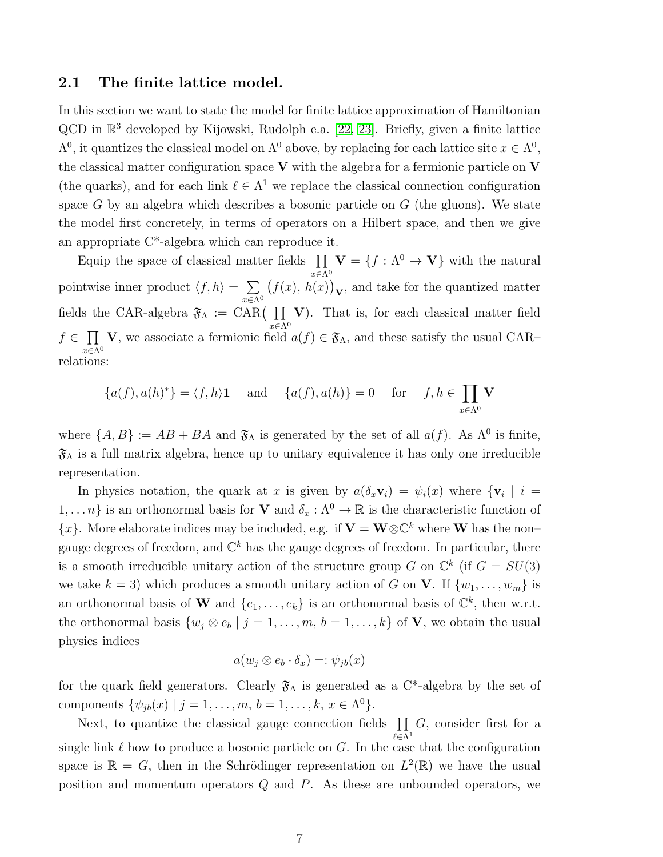### <span id="page-6-0"></span>2.1 The finite lattice model.

In this section we want to state the model for finite lattice approximation of Hamiltonian QCD in  $\mathbb{R}^3$  developed by Kijowski, Rudolph e.a. [\[22,](#page-56-0) [23\]](#page-56-1). Briefly, given a finite lattice  $\Lambda^0$ , it quantizes the classical model on  $\Lambda^0$  above, by replacing for each lattice site  $x \in \Lambda^0$ , the classical matter configuration space  $V$  with the algebra for a fermionic particle on  $V$ (the quarks), and for each link  $\ell \in \Lambda^1$  we replace the classical connection configuration space  $G$  by an algebra which describes a bosonic particle on  $G$  (the gluons). We state the model first concretely, in terms of operators on a Hilbert space, and then we give an appropriate C\*-algebra which can reproduce it.

Equip the space of classical matter fields  $\prod$  $x \in \Lambda^0$  $V = \{f : \Lambda^0 \to V\}$  with the natural pointwise inner product  $\langle f, h \rangle = \sum$  $x \in \Lambda^0$  $(f(x), h(x))<sub>\mathbf{V}</sub>$ , and take for the quantized matter fields the CAR-algebra  $\mathfrak{F}_{\Lambda} := \text{CAR}(\prod \mathbf{V})$ . That is, for each classical matter field  $x \in \Lambda^0$  $f \in \prod$  V, we associate a fermionic field  $a(f) \in \mathfrak{F}_{\Lambda}$ , and these satisfy the usual CAR–  $x \in \Lambda^0$ relations:

$$
\{a(f), a(h)^*\} = \langle f, h \rangle \mathbf{1} \quad \text{and} \quad \{a(f), a(h)\} = 0 \quad \text{for} \quad f, h \in \prod_{x \in \Lambda^0} \mathbf{V}
$$

where  $\{A, B\} := AB + BA$  and  $\mathfrak{F}_{\Lambda}$  is generated by the set of all  $a(f)$ . As  $\Lambda^0$  is finite,  $\mathfrak{F}_{\Lambda}$  is a full matrix algebra, hence up to unitary equivalence it has only one irreducible representation.

In physics notation, the quark at x is given by  $a(\delta_x \mathbf{v}_i) = \psi_i(x)$  where  $\{\mathbf{v}_i \mid i =$  $1, \ldots n$  is an orthonormal basis for **V** and  $\delta_x : \Lambda^0 \to \mathbb{R}$  is the characteristic function of  ${x}$ . More elaborate indices may be included, e.g. if  $V = W \otimes \mathbb{C}^k$  where W has the nongauge degrees of freedom, and  $\mathbb{C}^k$  has the gauge degrees of freedom. In particular, there is a smooth irreducible unitary action of the structure group G on  $\mathbb{C}^k$  (if  $G = SU(3)$ ) we take  $k = 3$ ) which produces a smooth unitary action of G on V. If  $\{w_1, \ldots, w_m\}$  is an orthonormal basis of **W** and  $\{e_1, \ldots, e_k\}$  is an orthonormal basis of  $\mathbb{C}^k$ , then w.r.t. the orthonormal basis  $\{w_j \otimes e_b \mid j = 1, \ldots, m, b = 1, \ldots, k\}$  of **V**, we obtain the usual physics indices

$$
a(w_j \otimes e_b \cdot \delta_x) =: \psi_{jb}(x)
$$

for the quark field generators. Clearly  $\mathfrak{F}_{\Lambda}$  is generated as a C<sup>\*</sup>-algebra by the set of components  $\{\psi_{jb}(x) | j = 1, ..., m, b = 1, ..., k, x \in \Lambda^0\}.$ 

Next, to quantize the classical gauge connection fields  $\prod G$ , consider first for a  $\ell \in \Lambda^1$ single link  $\ell$  how to produce a bosonic particle on  $G$ . In the case that the configuration space is  $\mathbb{R} = G$ , then in the Schrödinger representation on  $L^2(\mathbb{R})$  we have the usual position and momentum operators  $Q$  and  $P$ . As these are unbounded operators, we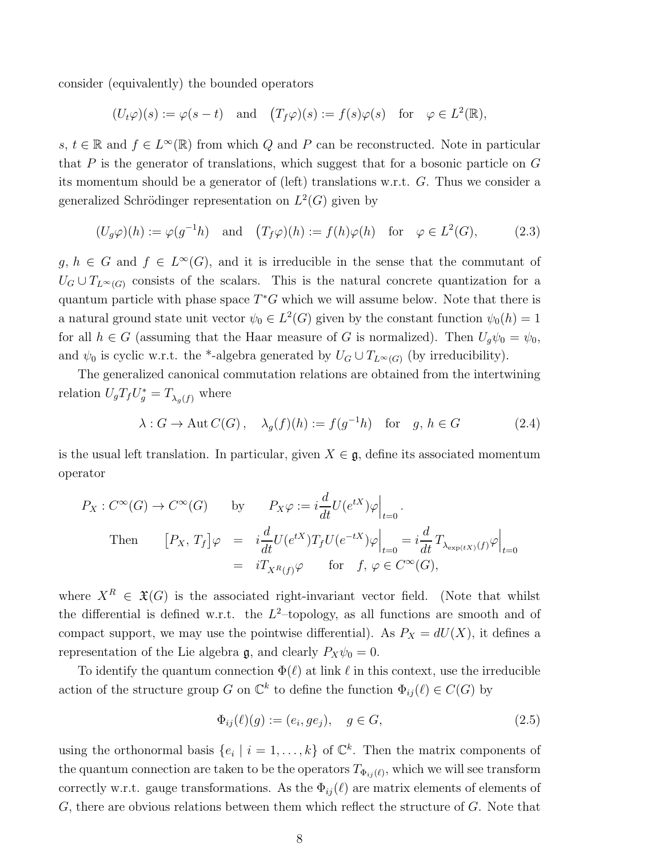consider (equivalently) the bounded operators

$$
(U_t\varphi)(s) := \varphi(s-t)
$$
 and  $(T_f\varphi)(s) := f(s)\varphi(s)$  for  $\varphi \in L^2(\mathbb{R})$ ,

s,  $t \in \mathbb{R}$  and  $f \in L^{\infty}(\mathbb{R})$  from which Q and P can be reconstructed. Note in particular that  $P$  is the generator of translations, which suggest that for a bosonic particle on  $G$ its momentum should be a generator of (left) translations w.r.t. G. Thus we consider a generalized Schrödinger representation on  $L^2(G)$  given by

<span id="page-7-1"></span>
$$
(U_g \varphi)(h) := \varphi(g^{-1}h) \quad \text{and} \quad (T_f \varphi)(h) := f(h)\varphi(h) \quad \text{for} \quad \varphi \in L^2(G), \tag{2.3}
$$

 $g, h \in G$  and  $f \in L^{\infty}(G)$ , and it is irreducible in the sense that the commutant of  $U_G \cup T_{L^{\infty}(G)}$  consists of the scalars. This is the natural concrete quantization for a quantum particle with phase space  $T^*G$  which we will assume below. Note that there is a natural ground state unit vector  $\psi_0 \in L^2(G)$  given by the constant function  $\psi_0(h) = 1$ for all  $h \in G$  (assuming that the Haar measure of G is normalized). Then  $U_g\psi_0 = \psi_0$ , and  $\psi_0$  is cyclic w.r.t. the \*-algebra generated by  $U_G \cup T_{L^{\infty}(G)}$  (by irreducibility).

The generalized canonical commutation relations are obtained from the intertwining relation  $U_g T_f U_g^* = T_{\lambda_g(f)}$  where

<span id="page-7-0"></span>
$$
\lambda: G \to \text{Aut } C(G), \quad \lambda_g(f)(h) := f(g^{-1}h) \quad \text{for} \quad g, h \in G \tag{2.4}
$$

is the usual left translation. In particular, given  $X \in \mathfrak{g}$ , define its associated momentum operator

$$
P_X: C^{\infty}(G) \to C^{\infty}(G) \qquad \text{by} \qquad P_X \varphi := i \frac{d}{dt} U(e^{tX}) \varphi \Big|_{t=0}.
$$
  
Then 
$$
[P_X, T_f] \varphi = i \frac{d}{dt} U(e^{tX}) T_f U(e^{-tX}) \varphi \Big|_{t=0} = i \frac{d}{dt} T_{\lambda_{\exp(tX)}(f)} \varphi \Big|_{t=0}
$$

$$
= i T_{X^R(f)} \varphi \qquad \text{for} \quad f, \varphi \in C^{\infty}(G),
$$

where  $X^R \in \mathfrak{X}(G)$  is the associated right-invariant vector field. (Note that whilst the differential is defined w.r.t. the  $L^2$ -topology, as all functions are smooth and of compact support, we may use the pointwise differential). As  $P_X = dU(X)$ , it defines a representation of the Lie algebra  $\mathfrak{g}$ , and clearly  $P_X\psi_0 = 0$ .

To identify the quantum connection  $\Phi(\ell)$  at link  $\ell$  in this context, use the irreducible action of the structure group G on  $\mathbb{C}^k$  to define the function  $\Phi_{ij}(\ell) \in C(G)$  by

<span id="page-7-2"></span>
$$
\Phi_{ij}(\ell)(g) := (e_i, ge_j), \quad g \in G,\tag{2.5}
$$

using the orthonormal basis  $\{e_i \mid i = 1, \ldots, k\}$  of  $\mathbb{C}^k$ . Then the matrix components of the quantum connection are taken to be the operators  $T_{\Phi_{ij}(\ell)}$ , which we will see transform correctly w.r.t. gauge transformations. As the  $\Phi_{ij}(\ell)$  are matrix elements of elements of G, there are obvious relations between them which reflect the structure of G. Note that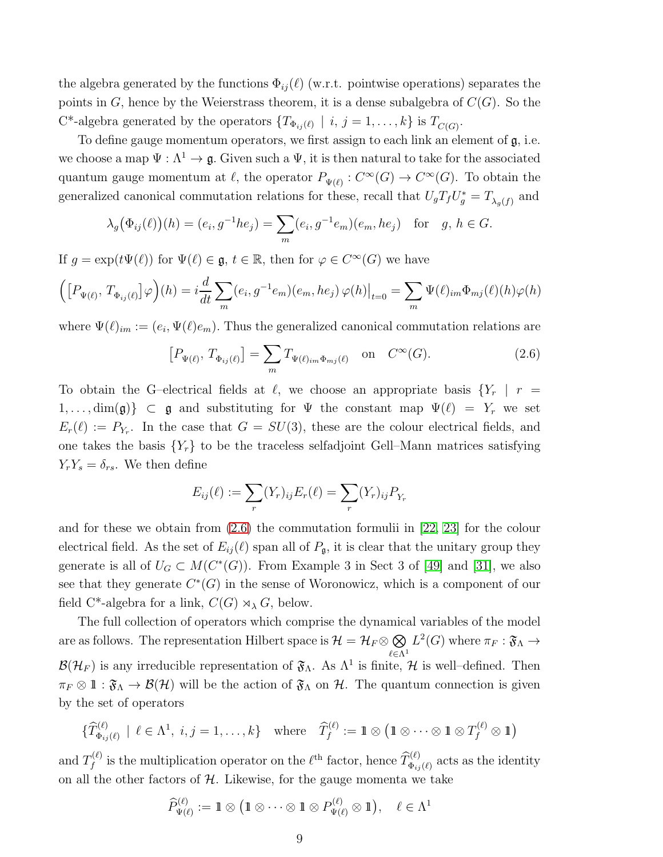the algebra generated by the functions  $\Phi_{ij}(\ell)$  (w.r.t. pointwise operations) separates the points in  $G$ , hence by the Weierstrass theorem, it is a dense subalgebra of  $C(G)$ . So the  $C^*$ -algebra generated by the operators  $\{T_{\Phi_{ij}(\ell)} \mid i, j = 1, \ldots, k\}$  is  $T_{C(G)}$ .

To define gauge momentum operators, we first assign to each link an element of g, i.e. we choose a map  $\Psi : \Lambda^1 \to \mathfrak{g}$ . Given such a  $\Psi$ , it is then natural to take for the associated quantum gauge momentum at  $\ell$ , the operator  $P_{\Psi(\ell)} : C^{\infty}(G) \to C^{\infty}(G)$ . To obtain the generalized canonical commutation relations for these, recall that  $U_g T_f U_g^* = T_{\lambda_g(f)}$  and

$$
\lambda_g(\Phi_{ij}(\ell))(h) = (e_i, g^{-1}he_j) = \sum_m (e_i, g^{-1}e_m)(e_m, he_j) \text{ for } g, h \in G.
$$

If  $g = \exp(t\Psi(\ell))$  for  $\Psi(\ell) \in \mathfrak{g}, t \in \mathbb{R}$ , then for  $\varphi \in C^{\infty}(G)$  we have

$$
\left( \left[ P_{\Psi(\ell)}, T_{\Phi_{ij}(\ell)} \right] \varphi \right)(h) = i \frac{d}{dt} \sum_m (e_i, g^{-1} e_m)(e_m, he_j) \varphi(h) \Big|_{t=0} = \sum_m \Psi(\ell)_{im} \Phi_{mj}(\ell)(h) \varphi(h)
$$

where  $\Psi(\ell)_{im} := (e_i, \Psi(\ell)e_m)$ . Thus the generalized canonical commutation relations are

<span id="page-8-0"></span>
$$
\left[P_{\Psi(\ell)}, T_{\Phi_{ij}(\ell)}\right] = \sum_{m} T_{\Psi(\ell)_{im} \Phi_{mj}(\ell)} \quad \text{on} \quad C^{\infty}(G). \tag{2.6}
$$

To obtain the G–electrical fields at  $\ell$ , we choose an appropriate basis  $\{Y_r \mid r =$  $1, \ldots, \dim(\mathfrak{g})\}\subset \mathfrak{g}$  and substituting for  $\Psi$  the constant map  $\Psi(\ell) = Y_r$  we set  $E_r(\ell) := P_{Y_r}$ . In the case that  $G = SU(3)$ , these are the colour electrical fields, and one takes the basis  ${Y_r}$  to be the traceless selfadjoint Gell–Mann matrices satisfying  $Y_rY_s = \delta_{rs}$ . We then define

$$
E_{ij}(\ell) := \sum_{r} (Y_r)_{ij} E_r(\ell) = \sum_{r} (Y_r)_{ij} P_{Y_r}
$$

and for these we obtain from [\(2](#page-8-0).6) the commutation formulii in [\[22,](#page-56-0) [23\]](#page-56-1) for the colour electrical field. As the set of  $E_{ij}(\ell)$  span all of  $P_{\mathfrak{g}}$ , it is clear that the unitary group they generate is all of  $U_G \subset M(C^*(G))$ . From Example 3 in Sect 3 of [\[49\]](#page-58-0) and [\[31\]](#page-56-9), we also see that they generate  $C^*(G)$  in the sense of Woronowicz, which is a component of our field C<sup>\*</sup>-algebra for a link,  $C(G) \rtimes_{\lambda} G$ , below.

The full collection of operators which comprise the dynamical variables of the model are as follows. The representation Hilbert space is  $\mathcal{H} = \mathcal{H}_F \otimes \bigotimes$  $\ell \in \Lambda^1$  $L^2(G)$  where  $\pi_F : \mathfrak{F}_\Lambda \to$  $\mathcal{B}(\mathcal{H}_F)$  is any irreducible representation of  $\mathfrak{F}_{\Lambda}$ . As  $\Lambda^1$  is finite,  $\mathcal{H}$  is well-defined. Then  $\pi_F \otimes \mathbb{1}: \mathfrak{F}_\Lambda \to \mathcal{B}(\mathcal{H})$  will be the action of  $\mathfrak{F}_\Lambda$  on  $\mathcal{H}$ . The quantum connection is given by the set of operators

$$
\{\widehat{T}_{\Phi_{ij}(\ell)}^{(\ell)} \mid \ell \in \Lambda^1, i, j = 1, \dots, k\} \quad \text{where} \quad \widehat{T}_f^{(\ell)} := \mathbb{1} \otimes (\mathbb{1} \otimes \cdots \otimes \mathbb{1} \otimes T_f^{(\ell)} \otimes \mathbb{1})
$$

and  $T_f^{(\ell)}$  $f_f^{(\ell)}$  is the multiplication operator on the  $\ell^{\text{th}}$  factor, hence  $\widehat{T}_{\Phi_{ij}(\ell)}^{(\ell)}$  acts as the identity on all the other factors of  $H$ . Likewise, for the gauge momenta we take

$$
\widehat{P}_{\Psi(\ell)}^{(\ell)} := \mathbb{1} \otimes (\mathbb{1} \otimes \cdots \otimes \mathbb{1} \otimes P_{\Psi(\ell)}^{(\ell)} \otimes \mathbb{1}), \quad \ell \in \Lambda^1
$$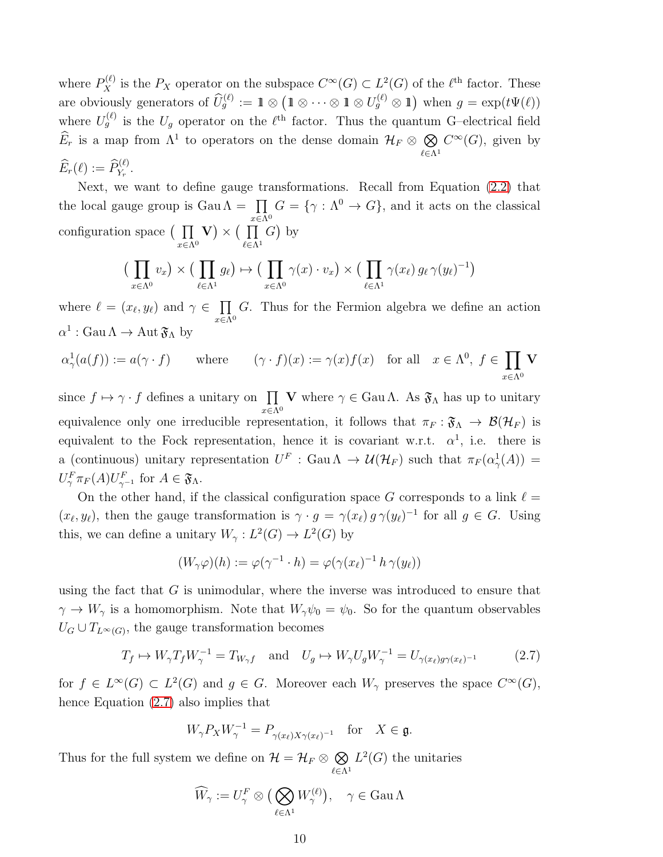where  $P_X^{(\ell)}$  is the  $P_X$  operator on the subspace  $C^{\infty}(G) \subset L^2(G)$  of the  $\ell^{\text{th}}$  factor. These are obviously generators of  $\widehat{U}_g^{(\ell)} := \mathbbm{1} \otimes (\mathbbm{1} \otimes \cdots \otimes \mathbbm{1} \otimes U_g^{(\ell)} \otimes \mathbbm{1})$  when  $g = \exp(t \Psi(\ell))$ where  $U_g^{(\ell)}$  is the  $U_g$  operator on the  $\ell^{\text{th}}$  factor. Thus the quantum G-electrical field  $\widehat{E}_r$  is a map from  $\Lambda^1$  to operators on the dense domain  $\mathcal{H}_F \otimes \bigotimes$  $\ell \in \Lambda^1$  $C^{\infty}(G)$ , given by  $\widehat{E}_r(\ell) := \widehat{P}_{Y_r}^{(\ell)}.$ 

Next, we want to define gauge transformations. Recall from Equation [\(2.2\)](#page-5-0) that the local gauge group is  $\text{Gau}\Lambda = \prod$  $x \in \Lambda^0$  $G = {\gamma : \Lambda^0 \to G},$  and it acts on the classical configuration space  $\left(\begin{array}{c}\n\prod\end{array}\right)$  $x \in \Lambda^0$  $V$ )  $\times$  (  $\prod$  $\ell \in \Lambda^1$  $G$ ) by

$$
\left(\prod_{x \in \Lambda^0} v_x\right) \times \left(\prod_{\ell \in \Lambda^1} g_\ell\right) \mapsto \left(\prod_{x \in \Lambda^0} \gamma(x) \cdot v_x\right) \times \left(\prod_{\ell \in \Lambda^1} \gamma(x_\ell) g_\ell \gamma(y_\ell)^{-1}\right)
$$

where  $\ell = (x_{\ell}, y_{\ell})$  and  $\gamma \in \prod G$ . Thus for the Fermion algebra we define an action  $x \in \Lambda^0$  $\alpha^1$ : Gau  $\Lambda \to \text{Aut } \mathfrak{F}_\Lambda$  by

$$
\alpha_{\gamma}^{1}(a(f)) := a(\gamma \cdot f) \quad \text{where} \quad (\gamma \cdot f)(x) := \gamma(x)f(x) \quad \text{for all} \quad x \in \Lambda^{0}, \ f \in \prod_{x \in \Lambda^{0}} V
$$

since  $f \mapsto \gamma \cdot f$  defines a unitary on  $\prod$  $x \in \Lambda^0$ **V** where  $\gamma \in \text{Gau}\,\Lambda$ . As  $\mathfrak{F}_{\Lambda}$  has up to unitary equivalence only one irreducible representation, it follows that  $\pi_F : \mathfrak{F}_\Lambda \to \mathcal{B}(\mathcal{H}_F)$  is equivalent to the Fock representation, hence it is covariant w.r.t.  $\alpha^1$ , i.e. there is a (continuous) unitary representation  $U^F$ : Gau  $\Lambda \to \mathcal{U}(\mathcal{H}_F)$  such that  $\pi_F(\alpha^1_\gamma(A)) =$  $U^F_\gamma \pi_F(A) U^F_{\gamma^{-1}}$  for  $A \in \mathfrak{F}_\Lambda$ .

On the other hand, if the classical configuration space G corresponds to a link  $\ell =$  $(x_{\ell}, y_{\ell})$ , then the gauge transformation is  $\gamma \cdot g = \gamma(x_{\ell}) g \gamma(y_{\ell})^{-1}$  for all  $g \in G$ . Using this, we can define a unitary  $W_\gamma: L^2(G) \to L^2(G)$  by

$$
(W_{\gamma}\varphi)(h) := \varphi(\gamma^{-1} \cdot h) = \varphi(\gamma(x_{\ell})^{-1} h \gamma(y_{\ell}))
$$

using the fact that  $G$  is unimodular, where the inverse was introduced to ensure that  $\gamma \to W_{\gamma}$  is a homomorphism. Note that  $W_{\gamma}\psi_0 = \psi_0$ . So for the quantum observables  $U_G \cup T_{L^{\infty}(G)}$ , the gauge transformation becomes

<span id="page-9-0"></span>
$$
T_f \mapsto W_{\gamma} T_f W_{\gamma}^{-1} = T_{W_{\gamma}f} \quad \text{and} \quad U_g \mapsto W_{\gamma} U_g W_{\gamma}^{-1} = U_{\gamma(x_{\ell})g\gamma(x_{\ell})^{-1}} \tag{2.7}
$$

for  $f \in L^{\infty}(G) \subset L^{2}(G)$  and  $g \in G$ . Moreover each  $W_{\gamma}$  preserves the space  $C^{\infty}(G)$ , hence Equation [\(2.7\)](#page-9-0) also implies that

$$
W_{\gamma} P_X W_{\gamma}^{-1} = P_{\gamma(x_{\ell}) X \gamma(x_{\ell})^{-1}} \quad \text{for} \quad X \in \mathfrak{g}.
$$

Thus for the full system we define on  $\mathcal{H} = \mathcal{H}_F \otimes \mathcal{L}$  $\ell \in \Lambda^1$  $L^2(G)$  the unitaries

$$
\widehat{W}_{\gamma} := U_{\gamma}^{F} \otimes \left( \bigotimes_{\ell \in \Lambda^{1}} W_{\gamma}^{(\ell)} \right), \quad \gamma \in \text{Gau}\,\Lambda
$$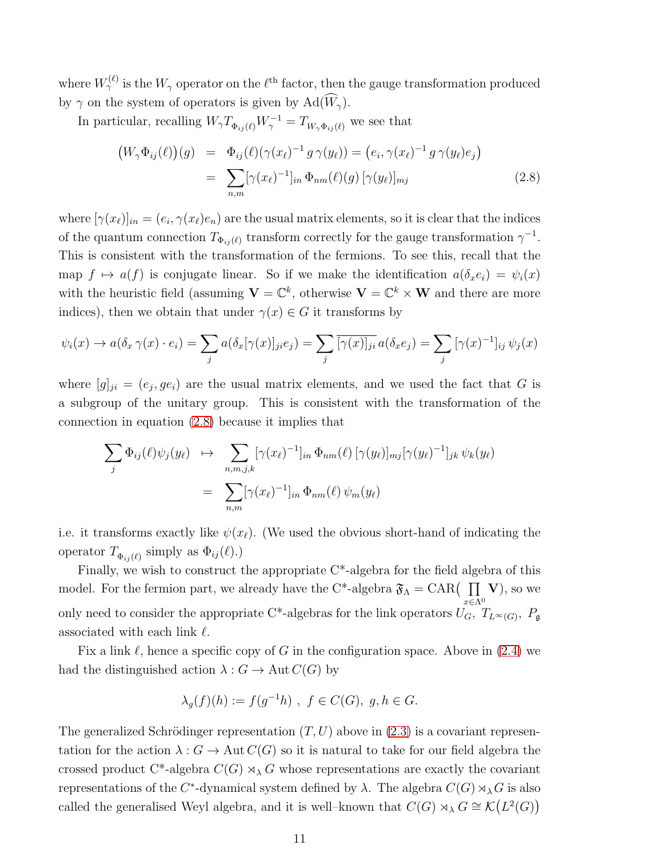where  $W_{\gamma}^{(\ell)}$  is the  $W_{\gamma}$  operator on the  $\ell^{\text{th}}$  factor, then the gauge transformation produced by  $\gamma$  on the system of operators is given by  $\text{Ad}(\widehat{W}_{\gamma})$ .

In particular, recalling  $W_{\gamma}T_{\Phi_{ij}(\ell)}W_{\gamma}^{-1}=T_{W_{\gamma}\Phi_{ij}(\ell)}$  we see that

<span id="page-10-0"></span>
$$
\begin{aligned} \left( W_{\gamma} \Phi_{ij}(\ell) \right)(g) &= \Phi_{ij}(\ell) (\gamma(x_{\ell})^{-1} \, g \, \gamma(y_{\ell})) = \left( e_i, \gamma(x_{\ell})^{-1} \, g \, \gamma(y_{\ell}) e_j \right) \\ &= \sum_{n,m} [\gamma(x_{\ell})^{-1}]_{in} \, \Phi_{nm}(\ell)(g) \, [\gamma(y_{\ell})]_{mj} \end{aligned} \tag{2.8}
$$

where  $[\gamma(x_\ell)]_{in} = (e_i, \gamma(x_\ell)e_n)$  are the usual matrix elements, so it is clear that the indices of the quantum connection  $T_{\Phi_{ij}(\ell)}$  transform correctly for the gauge transformation  $\gamma^{-1}$ . This is consistent with the transformation of the fermions. To see this, recall that the map  $f \mapsto a(f)$  is conjugate linear. So if we make the identification  $a(\delta_x e_i) = \psi_i(x)$ with the heuristic field (assuming  $V = \mathbb{C}^k$ , otherwise  $V = \mathbb{C}^k \times W$  and there are more indices), then we obtain that under  $\gamma(x) \in G$  it transforms by

$$
\psi_i(x) \to a(\delta_x \gamma(x) \cdot e_i) = \sum_j a(\delta_x[\gamma(x)]_{ji} e_j) = \sum_j [\gamma(x)]_{ji} a(\delta_x e_j) = \sum_j [\gamma(x)^{-1}]_{ij} \psi_j(x)
$$

where  $[g]_{ji} = (e_j, ge_i)$  are the usual matrix elements, and we used the fact that G is a subgroup of the unitary group. This is consistent with the transformation of the connection in equation [\(2.8\)](#page-10-0) because it implies that

$$
\sum_{j} \Phi_{ij}(\ell) \psi_j(y_\ell) \rightarrow \sum_{n,m,j,k} [\gamma(x_\ell)^{-1}]_{in} \Phi_{nm}(\ell) [\gamma(y_\ell)]_{mj} [\gamma(y_\ell)^{-1}]_{jk} \psi_k(y_\ell)
$$
  

$$
= \sum_{n,m} [\gamma(x_\ell)^{-1}]_{in} \Phi_{nm}(\ell) \psi_m(y_\ell)
$$

i.e. it transforms exactly like  $\psi(x_\ell)$ . (We used the obvious short-hand of indicating the operator  $T_{\Phi_{ij}(\ell)}$  simply as  $\Phi_{ij}(\ell)$ .)

Finally, we wish to construct the appropriate C\*-algebra for the field algebra of this model. For the fermion part, we already have the C<sup>\*</sup>-algebra  $\mathfrak{F}_{\Lambda} = \text{CAR}(\Pi)$  $x \in \Lambda^0$  $\mathbf{V}),$  so we only need to consider the appropriate C<sup>\*</sup>-algebras for the link operators  $U_G$ ,  $T_{L^{\infty}(G)}$ ,  $P_{\mathfrak{g}}$ associated with each link  $\ell$ .

Fix a link  $\ell$ , hence a specific copy of G in the configuration space. Above in [\(2.4\)](#page-7-0) we had the distinguished action  $\lambda : G \to \text{Aut } C(G)$  by

$$
\lambda_g(f)(h) := f(g^{-1}h) , f \in C(G), g, h \in G.
$$

The generalized Schrödinger representation  $(T, U)$  above in  $(2.3)$  is a covariant representation for the action  $\lambda: G \to \text{Aut } C(G)$  so it is natural to take for our field algebra the crossed product C<sup>\*</sup>-algebra  $C(G) \rtimes_{\lambda} G$  whose representations are exactly the covariant representations of the C<sup>\*</sup>-dynamical system defined by  $\lambda$ . The algebra  $C(G) \rtimes_{\lambda} G$  is also called the generalised Weyl algebra, and it is well-known that  $C(G) \rtimes_{\lambda} G \cong \mathcal{K}(L^2(G))$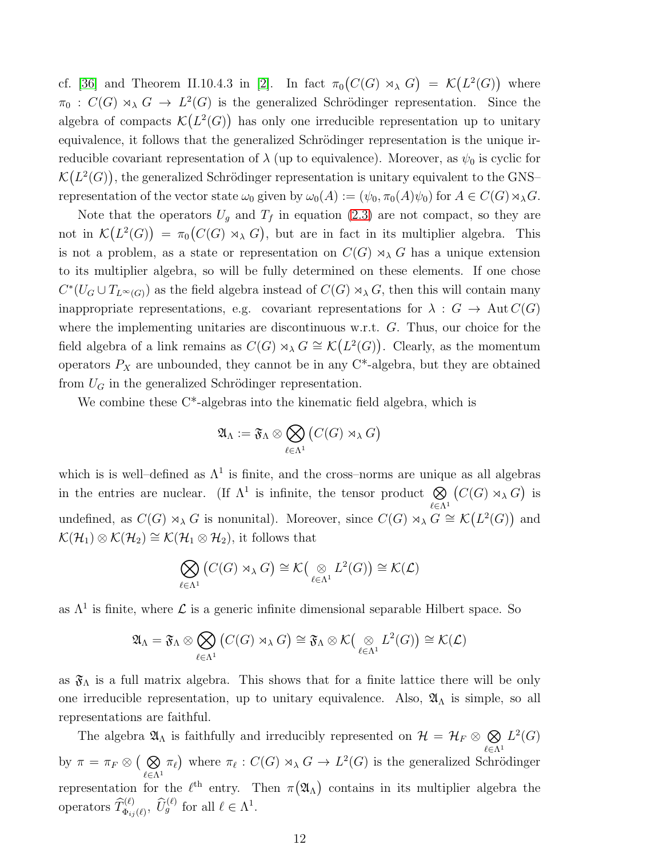cf. [\[36\]](#page-57-1) and Theorem II.10.4.3 in [\[2\]](#page-54-2). In fact  $\pi_0(C(G) \rtimes_A G) = \mathcal{K}(L^2(G))$  where  $\pi_0 : C(G) \rtimes_{\lambda} G \to L^2(G)$  is the generalized Schrödinger representation. Since the algebra of compacts  $\mathcal{K}(L^2(G))$  has only one irreducible representation up to unitary equivalence, it follows that the generalized Schrödinger representation is the unique irreducible covariant representation of  $\lambda$  (up to equivalence). Moreover, as  $\psi_0$  is cyclic for  $\mathcal{K}(L^2(G))$ , the generalized Schrödinger representation is unitary equivalent to the GNS– representation of the vector state  $\omega_0$  given by  $\omega_0(A) := (\psi_0, \pi_0(A)\psi_0)$  for  $A \in C(G) \rtimes_{\lambda} G$ .

Note that the operators  $U_g$  and  $T_f$  in equation [\(2.3\)](#page-7-1) are not compact, so they are not in  $\mathcal{K}(L^2(G)) = \pi_0(C(G) \rtimes_{\lambda} G)$ , but are in fact in its multiplier algebra. This is not a problem, as a state or representation on  $C(G) \rtimes_{\lambda} G$  has a unique extension to its multiplier algebra, so will be fully determined on these elements. If one chose  $C^*(U_G \cup T_{L^{\infty}(G)})$  as the field algebra instead of  $C(G) \rtimes_{\lambda} G$ , then this will contain many inappropriate representations, e.g. covariant representations for  $\lambda : G \to \text{Aut } C(G)$ where the implementing unitaries are discontinuous w.r.t. G. Thus, our choice for the field algebra of a link remains as  $C(G) \rtimes_{\lambda} G \cong \mathcal{K}(L^2(G))$ . Clearly, as the momentum operators  $P_X$  are unbounded, they cannot be in any  $C^*$ -algebra, but they are obtained from  $U_G$  in the generalized Schrödinger representation.

We combine these  $C^*$ -algebras into the kinematic field algebra, which is

$$
\mathfrak{A}_\Lambda:=\mathfrak{F}_\Lambda\otimes\bigotimes_{\ell\in\Lambda^1}\big(C(G)\rtimes_\lambda G\big)
$$

which is is well-defined as  $\Lambda^1$  is finite, and the cross-norms are unique as all algebras in the entries are nuclear. (If  $\Lambda^1$  is infinite, the tensor product  $\otimes$  $\ell \in \Lambda^1$  $(C(G) \rtimes_{\lambda} G)$  is undefined, as  $C(G) \rtimes_{\lambda} G$  is nonunital). Moreover, since  $C(G) \rtimes_{\lambda} G \cong \mathcal{K}(L^2(G))$  and  $\mathcal{K}(\mathcal{H}_1) \otimes \mathcal{K}(\mathcal{H}_2) \cong \mathcal{K}(\mathcal{H}_1 \otimes \mathcal{H}_2)$ , it follows that

$$
\bigotimes_{\ell \in \Lambda^1} \left( C(G) \rtimes_{\lambda} G \right) \cong \mathcal{K} \left( \underset{\ell \in \Lambda^1}{\otimes} L^2(G) \right) \cong \mathcal{K}(\mathcal{L})
$$

as  $\Lambda^1$  is finite, where  $\mathcal L$  is a generic infinite dimensional separable Hilbert space. So

$$
\mathfrak{A}_{\Lambda}=\mathfrak{F}_{\Lambda}\otimes\bigotimes_{\ell\in\Lambda^1}\big(C(G)\rtimes_{\lambda}G\big)\cong\mathfrak{F}_{\Lambda}\otimes\mathcal{K}\big(\underset{\ell\in\Lambda^1}{\otimes}L^2(G)\big)\cong\mathcal{K}(\mathcal{L})
$$

as  $\mathfrak{F}_\Lambda$  is a full matrix algebra. This shows that for a finite lattice there will be only one irreducible representation, up to unitary equivalence. Also,  $\mathfrak{A}_{\Lambda}$  is simple, so all representations are faithful.

The algebra  $\mathfrak{A}_{\Lambda}$  is faithfully and irreducibly represented on  $\mathcal{H} = \mathcal{H}_F \otimes \mathfrak{D} L^2(G)$  $\ell \in \Lambda^1$ by  $\pi = \pi_F \otimes (\bigotimes$  $\ell \in \Lambda^1$  $\pi_{\ell}$ ) where  $\pi_{\ell}: C(G) \rtimes_{\lambda} G \to L^2(G)$  is the generalized Schrödinger representation for the  $\ell^{\text{th}}$  entry. Then  $\pi(\mathfrak{A}_{\Lambda})$  contains in its multiplier algebra the operators  $\widehat{T}_{\Phi_{ij}(\ell)}^{(\ell)}, \widehat{U}_g^{(\ell)}$  for all  $\ell \in \Lambda^1$ .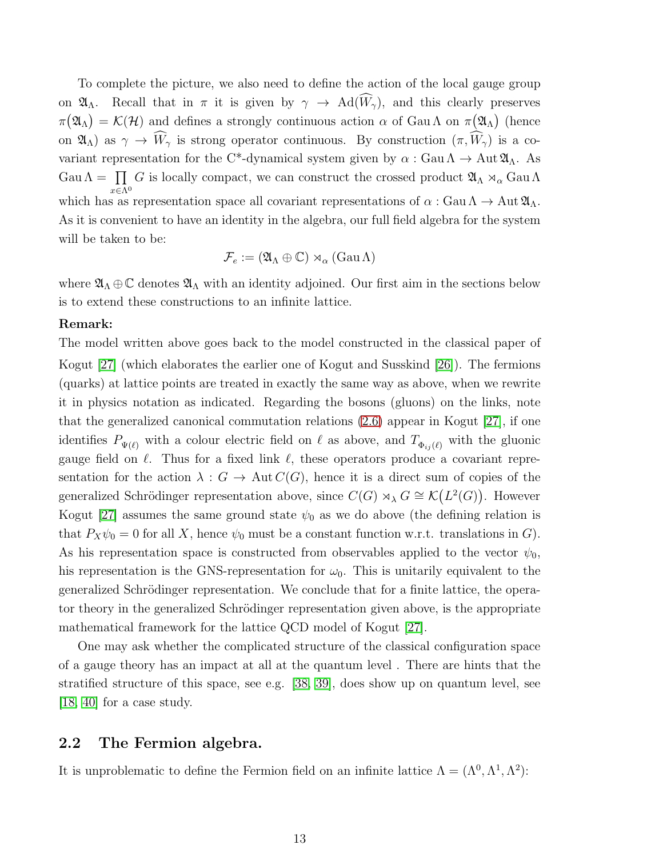To complete the picture, we also need to define the action of the local gauge group on  $\mathfrak{A}_{\Lambda}$ . Recall that in  $\pi$  it is given by  $\gamma \to \text{Ad}(\widehat{W}_{\gamma})$ , and this clearly preserves  $\pi(\mathfrak{A}_{\Lambda}) = \mathcal{K}(\mathcal{H})$  and defines a strongly continuous action  $\alpha$  of Gau  $\Lambda$  on  $\pi(\mathfrak{A}_{\Lambda})$  (hence on  $\mathfrak{A}_{\Lambda}$ ) as  $\gamma \to \widehat{W}_{\gamma}$  is strong operator continuous. By construction  $(\pi, \widehat{W}_{\gamma})$  is a covariant representation for the C<sup>\*</sup>-dynamical system given by  $\alpha$ : Gau  $\Lambda \to \text{Aut } \mathfrak{A}_{\Lambda}$ . As Gau  $\Lambda = \prod G$  is locally compact, we can construct the crossed product  $\mathfrak{A}_{\Lambda} \rtimes_{\alpha}$  Gau  $\Lambda$  $x \in \Lambda^0$ which has as representation space all covariant representations of  $\alpha$ : Gau  $\Lambda \to \text{Aut } \mathfrak{A}_{\Lambda}$ . As it is convenient to have an identity in the algebra, our full field algebra for the system will be taken to be:

$$
\mathcal{F}_e := (\mathfrak{A}_\Lambda \oplus \mathbb{C}) \rtimes_\alpha (\text{Gau}\Lambda)
$$

where  $\mathfrak{A}_{\Lambda}\oplus\mathbb{C}$  denotes  $\mathfrak{A}_{\Lambda}$  with an identity adjoined. Our first aim in the sections below is to extend these constructions to an infinite lattice.

#### Remark:

The model written above goes back to the model constructed in the classical paper of Kogut [\[27\]](#page-56-7) (which elaborates the earlier one of Kogut and Susskind [\[26\]](#page-56-8)). The fermions (quarks) at lattice points are treated in exactly the same way as above, when we rewrite it in physics notation as indicated. Regarding the bosons (gluons) on the links, note that the generalized canonical commutation relations [\(2.6\)](#page-8-0) appear in Kogut [\[27\]](#page-56-7), if one identifies  $P_{\Psi(\ell)}$  with a colour electric field on  $\ell$  as above, and  $T_{\Phi_{ij}(\ell)}$  with the gluonic gauge field on  $\ell$ . Thus for a fixed link  $\ell$ , these operators produce a covariant representation for the action  $\lambda : G \to \text{Aut } C(G)$ , hence it is a direct sum of copies of the generalized Schrödinger representation above, since  $C(G) \rtimes_{\lambda} G \cong \mathcal{K}(L^2(G))$ . However Kogut [\[27\]](#page-56-7) assumes the same ground state  $\psi_0$  as we do above (the defining relation is that  $P_X \psi_0 = 0$  for all X, hence  $\psi_0$  must be a constant function w.r.t. translations in G). As his representation space is constructed from observables applied to the vector  $\psi_0$ , his representation is the GNS-representation for  $\omega_0$ . This is unitarily equivalent to the generalized Schrödinger representation. We conclude that for a finite lattice, the operator theory in the generalized Schrödinger representation given above, is the appropriate mathematical framework for the lattice QCD model of Kogut [\[27\]](#page-56-7).

One may ask whether the complicated structure of the classical configuration space of a gauge theory has an impact at all at the quantum level . There are hints that the stratified structure of this space, see e.g. [\[38,](#page-57-2) [39\]](#page-57-3), does show up on quantum level, see [\[18,](#page-56-10) [40\]](#page-57-4) for a case study.

### <span id="page-12-0"></span>2.2 The Fermion algebra.

It is unproblematic to define the Fermion field on an infinite lattice  $\Lambda = (\Lambda^0, \Lambda^1, \Lambda^2)$ :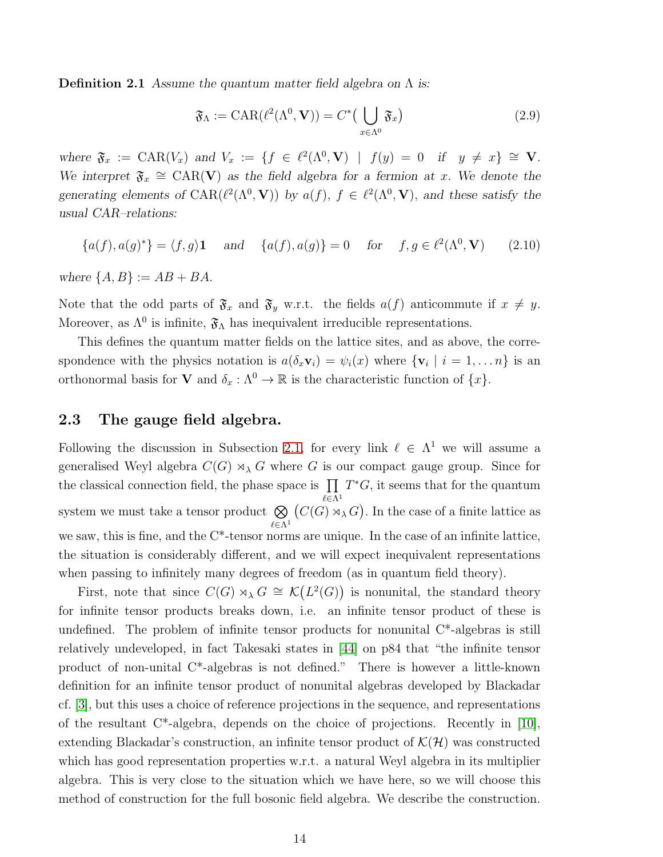**Definition 2.1** Assume the quantum matter field algebra on  $\Lambda$  is:

$$
\mathfrak{F}_{\Lambda} := \text{CAR}(\ell^2(\Lambda^0, \mathbf{V})) = C^* \big( \bigcup_{x \in \Lambda^0} \mathfrak{F}_x \big) \tag{2.9}
$$

where  $\mathfrak{F}_x := \text{CAR}(V_x)$  and  $V_x := \{f \in \ell^2(\Lambda^0, V) \mid f(y) = 0 \text{ if } y \neq x\} \cong V$ . We interpret  $\mathfrak{F}_x \cong \text{CAR}(\mathbf{V})$  as the field algebra for a fermion at x. We denote the generating elements of  $CAR(\ell^2(\Lambda^0, V))$  by  $a(f)$ ,  $f \in \ell^2(\Lambda^0, V)$ , and these satisfy the usual CAR–relations:

$$
\{a(f), a(g)^*\} = \langle f, g \rangle \mathbf{1} \quad \text{and} \quad \{a(f), a(g)\} = 0 \quad \text{for} \quad f, g \in \ell^2(\Lambda^0, \mathbf{V}) \tag{2.10}
$$

where  $\{A, B\} := AB + BA$ .

Note that the odd parts of  $\mathfrak{F}_x$  and  $\mathfrak{F}_y$  w.r.t. the fields  $a(f)$  anticommute if  $x \neq y$ . Moreover, as  $\Lambda^0$  is infinite,  $\mathfrak{F}_{\Lambda}$  has inequivalent irreducible representations.

This defines the quantum matter fields on the lattice sites, and as above, the correspondence with the physics notation is  $a(\delta_x \mathbf{v}_i) = \psi_i(x)$  where  $\{\mathbf{v}_i \mid i = 1, \dots n\}$  is an orthonormal basis for **V** and  $\delta_x : \Lambda^0 \to \mathbb{R}$  is the characteristic function of  $\{x\}$ .

# <span id="page-13-0"></span>2.3 The gauge field algebra.

Following the discussion in Subsection [2.1,](#page-6-0) for every link  $\ell \in \Lambda^1$  we will assume a generalised Weyl algebra  $C(G) \rtimes_{\lambda} G$  where G is our compact gauge group. Since for the classical connection field, the phase space is  $\prod$  $\ell \in \Lambda^1$  $T^*G$ , it seems that for the quantum system we must take a tensor product  $\otimes$  $\ell \in \Lambda^1$  $(C(G) \rtimes_{\lambda} G)$ . In the case of a finite lattice as we saw, this is fine, and the C\*-tensor norms are unique. In the case of an infinite lattice, the situation is considerably different, and we will expect inequivalent representations when passing to infinitely many degrees of freedom (as in quantum field theory).

First, note that since  $C(G) \rtimes_{\lambda} G \cong \mathcal{K}(L^2(G))$  is nonunital, the standard theory for infinite tensor products breaks down, i.e. an infinite tensor product of these is undefined. The problem of infinite tensor products for nonunital  $C^*$ -algebras is still relatively undeveloped, in fact Takesaki states in [\[44\]](#page-57-5) on p84 that "the infinite tensor product of non-unital C\*-algebras is not defined." There is however a little-known definition for an infinite tensor product of nonunital algebras developed by Blackadar cf. [\[3\]](#page-54-1), but this uses a choice of reference projections in the sequence, and representations of the resultant C\*-algebra, depends on the choice of projections. Recently in [\[10\]](#page-55-0), extending Blackadar's construction, an infinite tensor product of  $\mathcal{K}(\mathcal{H})$  was constructed which has good representation properties w.r.t. a natural Weyl algebra in its multiplier algebra. This is very close to the situation which we have here, so we will choose this method of construction for the full bosonic field algebra. We describe the construction.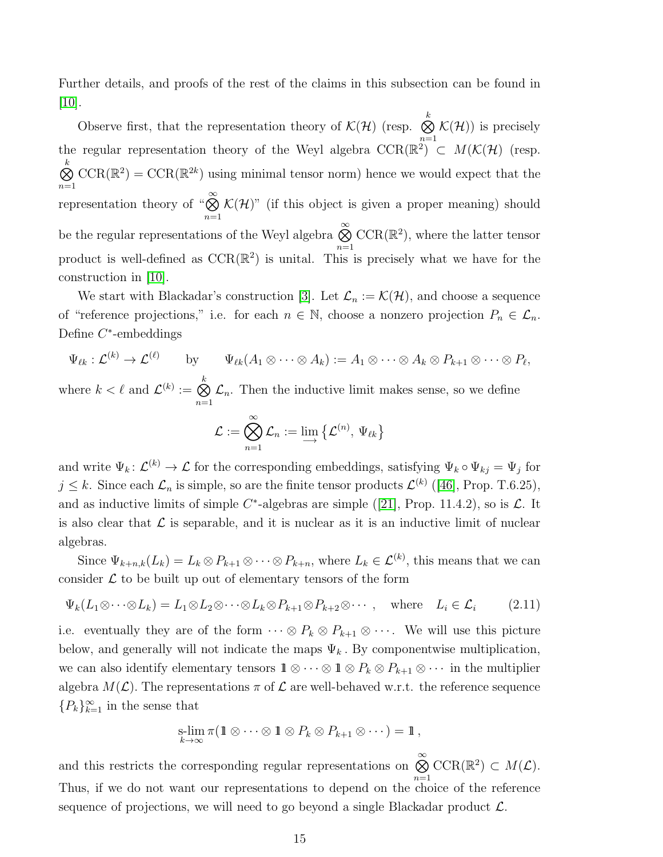Further details, and proofs of the rest of the claims in this subsection can be found in [\[10\]](#page-55-0).

Observe first, that the representation theory of  $\mathcal{K}(\mathcal{H})$  (resp.  $\bigotimes^k$  $n=1$  $\mathcal{K}(\mathcal{H})$  is precisely the regular representation theory of the Weyl algebra  $CCR(\mathbb{R}^2) \subset M(K(\mathcal{H})$  (resp.  $\hat{\otimes}$  CCR( $\mathbb{R}^2$ ) = CCR( $\mathbb{R}^{2k}$ ) using minimal tensor norm) hence we would expect that the k  $n=1$ <br>representation theory of " $\overset{\infty}{\bigotimes}$  $n=1$  $\mathcal{K}(\mathcal{H})$ " (if this object is given a proper meaning) should be the regular representations of the Weyl algebra  $\overset{\infty}{\otimes}$  $n=1$  $CCR(\mathbb{R}^2)$ , where the latter tensor product is well-defined as  $CCR(\mathbb{R}^2)$  is unital. This is precisely what we have for the construction in [\[10\]](#page-55-0).

We start with Blackadar's construction [\[3\]](#page-54-1). Let  $\mathcal{L}_n := \mathcal{K}(\mathcal{H})$ , and choose a sequence of "reference projections," i.e. for each  $n \in \mathbb{N}$ , choose a nonzero projection  $P_n \in \mathcal{L}_n$ . Define C<sup>\*</sup>-embeddings

$$
\Psi_{\ell k}: \mathcal{L}^{(k)} \to \mathcal{L}^{(\ell)} \qquad \text{by} \qquad \Psi_{\ell k}(A_1 \otimes \cdots \otimes A_k) := A_1 \otimes \cdots \otimes A_k \otimes P_{k+1} \otimes \cdots \otimes P_{\ell},
$$

where  $k < \ell$  and  $\mathcal{L}^{(k)} := \bigotimes^k$  $n=1$  $\mathcal{L}_n$ . Then the inductive limit makes sense, so we define

$$
\mathcal{L}:=\bigotimes_{n=1}^\infty \mathcal{L}_n:=\lim_{\longrightarrow}\big\{\mathcal{L}^{(n)},\, \Psi_{\ell k}\big\}
$$

and write  $\Psi_k: \mathcal{L}^{(k)} \to \mathcal{L}$  for the corresponding embeddings, satisfying  $\Psi_k \circ \Psi_{kj} = \Psi_j$  for  $j \leq k$ . Since each  $\mathcal{L}_n$  is simple, so are the finite tensor products  $\mathcal{L}^{(k)}$  ([\[46\]](#page-58-1), Prop. T.6.25), andas inductive limits of simple  $C^*$ -algebras are simple ([\[21\]](#page-56-11), Prop. 11.4.2), so is  $\mathcal{L}$ . It is also clear that  $\mathcal L$  is separable, and it is nuclear as it is an inductive limit of nuclear algebras.

Since  $\Psi_{k+n,k}(L_k) = L_k \otimes P_{k+1} \otimes \cdots \otimes P_{k+n}$ , where  $L_k \in \mathcal{L}^{(k)}$ , this means that we can consider  $\mathcal L$  to be built up out of elementary tensors of the form

$$
\Psi_k(L_1 \otimes \cdots \otimes L_k) = L_1 \otimes L_2 \otimes \cdots \otimes L_k \otimes P_{k+1} \otimes P_{k+2} \otimes \cdots , \text{ where } L_i \in \mathcal{L}_i \qquad (2.11)
$$

i.e. eventually they are of the form  $\cdots \otimes P_k \otimes P_{k+1} \otimes \cdots$ . We will use this picture below, and generally will not indicate the maps  $\Psi_k$ . By componentwise multiplication, we can also identify elementary tensors  $\mathbb{I} \otimes \cdots \otimes \mathbb{I} \otimes P_k \otimes P_{k+1} \otimes \cdots$  in the multiplier algebra  $M(\mathcal{L})$ . The representations  $\pi$  of  $\mathcal L$  are well-behaved w.r.t. the reference sequence  ${P_k}_{k=1}^{\infty}$  in the sense that

$$
\operatorname*{slim}_{k\to\infty}\pi(\mathbb{1}\otimes\cdots\otimes\mathbb{1}\otimes P_k\otimes P_{k+1}\otimes\cdots)=\mathbb{1},
$$

and this restricts the corresponding regular representations on  $\bigotimes^{\infty}$  $n=1$  $CCR(\mathbb{R}^2) \subset M(\mathcal{L}).$ Thus, if we do not want our representations to depend on the choice of the reference sequence of projections, we will need to go beyond a single Blackadar product  $\mathcal{L}$ .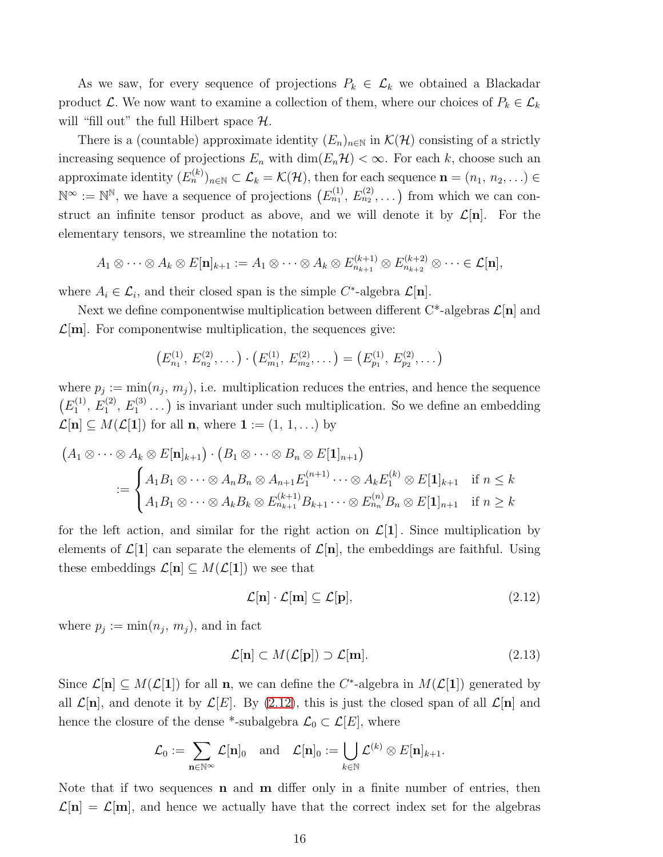As we saw, for every sequence of projections  $P_k \in \mathcal{L}_k$  we obtained a Blackadar product L. We now want to examine a collection of them, where our choices of  $P_k \in \mathcal{L}_k$ will "fill out" the full Hilbert space  $\mathcal{H}$ .

There is a (countable) approximate identity  $(E_n)_{n\in\mathbb{N}}$  in  $\mathcal{K}(\mathcal{H})$  consisting of a strictly increasing sequence of projections  $E_n$  with  $\dim(E_n\mathcal{H}) < \infty$ . For each k, choose such an approximate identity  $(E_n^{(k)})_{n \in \mathbb{N}} \subset \mathcal{L}_k = \mathcal{K}(\mathcal{H}),$  then for each sequence  $\mathbf{n} = (n_1, n_2, \ldots) \in$  $\mathbb{N}^{\infty} := \mathbb{N}^{\mathbb{N}},$  we have a sequence of projections  $(E_{n_1}^{(1)}, E_{n_2}^{(2)}, \dots)$  from which we can construct an infinite tensor product as above, and we will denote it by  $\mathcal{L}[n]$ . For the elementary tensors, we streamline the notation to:

$$
A_1 \otimes \cdots \otimes A_k \otimes E[\mathbf{n}]_{k+1} := A_1 \otimes \cdots \otimes A_k \otimes E_{n_{k+1}}^{(k+1)} \otimes E_{n_{k+2}}^{(k+2)} \otimes \cdots \in \mathcal{L}[\mathbf{n}],
$$

where  $A_i \in \mathcal{L}_i$ , and their closed span is the simple C<sup>\*</sup>-algebra  $\mathcal{L}[\mathbf{n}]$ .

Next we define componentwise multiplication between different  $C^*$ -algebras  $\mathcal{L}[n]$  and  $\mathcal{L}[\mathbf{m}]$ . For componentwise multiplication, the sequences give:

$$
(E_{n_1}^{(1)}, E_{n_2}^{(2)}, \dots) \cdot (E_{m_1}^{(1)}, E_{m_2}^{(2)}, \dots) = (E_{p_1}^{(1)}, E_{p_2}^{(2)}, \dots)
$$

where  $p_j := \min(n_j, m_j)$ , i.e. multiplication reduces the entries, and hence the sequence  $(E_1^{(1)}$  $L_1^{(1)}, E_1^{(2)}, E_1^{(3)} \dots$  is invariant under such multiplication. So we define an embedding  $\mathcal{L}[\mathbf{n}] \subseteq M(\mathcal{L}[1])$  for all **n**, where  $\mathbf{1} := (1, 1, \ldots)$  by

$$
(A_1 \otimes \cdots \otimes A_k \otimes E[\mathbf{n}]_{k+1}) \cdot (B_1 \otimes \cdots \otimes B_n \otimes E[\mathbf{1}]_{n+1})
$$
  
:= 
$$
\begin{cases} A_1 B_1 \otimes \cdots \otimes A_n B_n \otimes A_{n+1} E_1^{(n+1)} \cdots \otimes A_k E_1^{(k)} \otimes E[\mathbf{1}]_{k+1} & \text{if } n \le k \\ A_1 B_1 \otimes \cdots \otimes A_k B_k \otimes E_{n_{k+1}}^{(k+1)} B_{k+1} \cdots \otimes E_{n_n}^{(n)} B_n \otimes E[\mathbf{1}]_{n+1} & \text{if } n \ge k \end{cases}
$$

for the left action, and similar for the right action on  $\mathcal{L}[\mathbf{1}]$ . Since multiplication by elements of  $\mathcal{L}[\mathbf{1}]$  can separate the elements of  $\mathcal{L}[\mathbf{n}]$ , the embeddings are faithful. Using these embeddings  $\mathcal{L}[\mathbf{n}] \subseteq M(\mathcal{L}[\mathbf{1}])$  we see that

<span id="page-15-0"></span>
$$
\mathcal{L}[\mathbf{n}] \cdot \mathcal{L}[\mathbf{m}] \subseteq \mathcal{L}[\mathbf{p}],\tag{2.12}
$$

where  $p_j := \min(n_j, m_j)$ , and in fact

<span id="page-15-1"></span>
$$
\mathcal{L}[\mathbf{n}] \subset M(\mathcal{L}[\mathbf{p}]) \supset \mathcal{L}[\mathbf{m}]. \tag{2.13}
$$

Since  $\mathcal{L}[\mathbf{n}] \subseteq M(\mathcal{L}[\mathbf{1}])$  for all **n**, we can define the C<sup>\*</sup>-algebra in  $M(\mathcal{L}[\mathbf{1}])$  generated by all  $\mathcal{L}[\mathbf{n}]$ , and denote it by  $\mathcal{L}[E]$ . By [\(2.12\)](#page-15-0), this is just the closed span of all  $\mathcal{L}[\mathbf{n}]$  and hence the closure of the dense \*-subalgebra  $\mathcal{L}_0 \subset \mathcal{L}[E]$ , where

$$
\mathcal{L}_0 := \sum_{\mathbf{n} \in \mathbb{N}^\infty} \mathcal{L}[\mathbf{n}]_0 \text{ and } \mathcal{L}[\mathbf{n}]_0 := \bigcup_{k \in \mathbb{N}} \mathcal{L}^{(k)} \otimes E[\mathbf{n}]_{k+1}.
$$

Note that if two sequences **n** and **m** differ only in a finite number of entries, then  $\mathcal{L}[\mathbf{n}] = \mathcal{L}[\mathbf{m}]$ , and hence we actually have that the correct index set for the algebras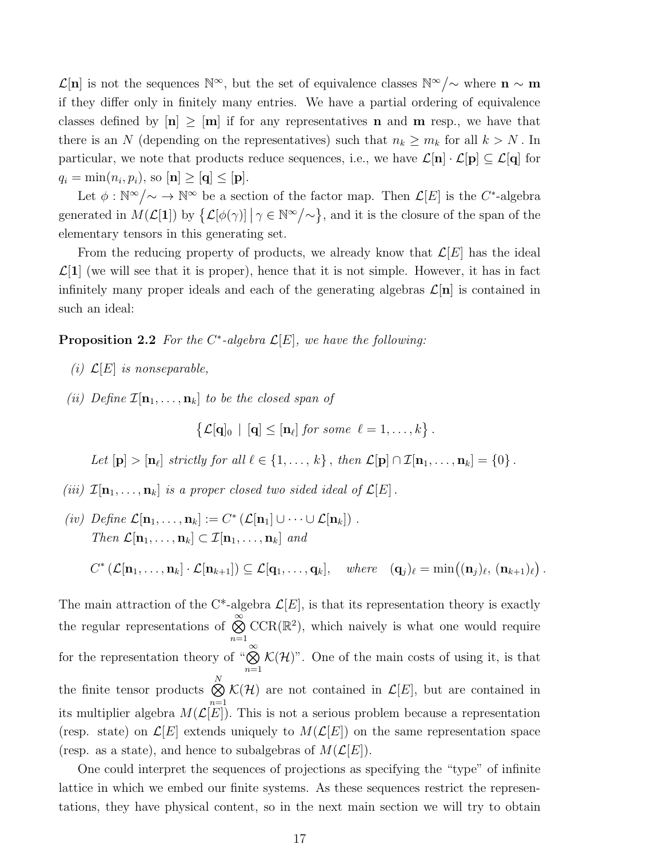$\mathcal{L}[\mathbf{n}]$  is not the sequences  $\mathbb{N}^{\infty}$ , but the set of equivalence classes  $\mathbb{N}^{\infty}/\sim$  where  $\mathbf{n} \sim \mathbf{m}$ if they differ only in finitely many entries. We have a partial ordering of equivalence classes defined by  $[n] \geq [m]$  if for any representatives **n** and **m** resp., we have that there is an N (depending on the representatives) such that  $n_k \ge m_k$  for all  $k > N$ . In particular, we note that products reduce sequences, i.e., we have  $\mathcal{L}[\mathbf{n}] \cdot \mathcal{L}[\mathbf{p}] \subseteq \mathcal{L}[\mathbf{q}]$  for  $q_i = \min(n_i, p_i)$ , so  $[\mathbf{n}] \geq [\mathbf{q}] \leq [\mathbf{p}]$ .

Let  $\phi: \mathbb{N}^{\infty}/\sim \mathbb{N}^{\infty}$  be a section of the factor map. Then  $\mathcal{L}[E]$  is the C<sup>\*</sup>-algebra generated in  $M(\mathcal{L}[\mathbf{1}])$  by  $\{\mathcal{L}[\phi(\gamma)] \mid \gamma \in \mathbb{N}^{\infty}/\sim\}$ , and it is the closure of the span of the elementary tensors in this generating set.

From the reducing property of products, we already know that  $\mathcal{L}[E]$  has the ideal  $\mathcal{L}[1]$  (we will see that it is proper), hence that it is not simple. However, it has in fact infinitely many proper ideals and each of the generating algebras  $\mathcal{L}[\mathbf{n}]$  is contained in such an ideal:

**Proposition 2.2** For the C<sup>\*</sup>-algebra  $\mathcal{L}[E]$ , we have the following:

(i) 
$$
\mathcal{L}[E]
$$
 is nonseparable,

(ii) Define  $\mathcal{I}[\mathbf{n}_1,\ldots,\mathbf{n}_k]$  to be the closed span of

$$
\left\{ \mathcal{L}[\mathbf{q}]_0 \, \mid \, [\mathbf{q}] \leq [\mathbf{n}_{\ell}] \text{ for some } \ell = 1,\ldots,k \right\}.
$$

Let 
$$
[\mathbf{p}] > [\mathbf{n}_{\ell}]
$$
 strictly for all  $\ell \in \{1, ..., k\}$ , then  $\mathcal{L}[\mathbf{p}] \cap \mathcal{I}[\mathbf{n}_1, ..., \mathbf{n}_k] = \{0\}$ .

(iii)  $\mathcal{I}[\mathbf{n}_1,\ldots,\mathbf{n}_k]$  is a proper closed two sided ideal of  $\mathcal{L}[E]$ .

$$
\begin{aligned}\n(iv) \ \text{Define } \mathcal{L}[\mathbf{n}_1, \dots, \mathbf{n}_k] &:= C^* \left( \mathcal{L}[\mathbf{n}_1] \cup \dots \cup \mathcal{L}[\mathbf{n}_k] \right) . \\
\text{Then } \mathcal{L}[\mathbf{n}_1, \dots, \mathbf{n}_k] & \subset \mathcal{I}[\mathbf{n}_1, \dots, \mathbf{n}_k] \text{ and} \\
C^* \left( \mathcal{L}[\mathbf{n}_1, \dots, \mathbf{n}_k] \cdot \mathcal{L}[\mathbf{n}_{k+1}] \right) & \subseteq \mathcal{L}[\mathbf{q}_1, \dots, \mathbf{q}_k], \quad \text{where} \quad (\mathbf{q}_j)_\ell = \min((\mathbf{n}_j)_\ell, (\mathbf{n}_{k+1})_\ell)\n\end{aligned}
$$

.

The main attraction of the C<sup>\*</sup>-algebra  $\mathcal{L}[E]$ , is that its representation theory is exactly the regular representations of  $\overset{\infty}{\bigotimes}$  $n=1$  $CCR(\mathbb{R}^2)$ , which naively is what one would require for the representation theory of " $\otimes$  $n=1$  $\mathcal{K}(\mathcal{H})$ ". One of the main costs of using it, is that the finite tensor products  $\bigotimes$ N  $n=1$  $\mathcal{K}(\mathcal{H})$  are not contained in  $\mathcal{L}[E]$ , but are contained in its multiplier algebra  $M(\mathcal{L}[E])$ . This is not a serious problem because a representation (resp. state) on  $\mathcal{L}[E]$  extends uniquely to  $M(\mathcal{L}[E])$  on the same representation space (resp. as a state), and hence to subalgebras of  $M(\mathcal{L}[E])$ .

One could interpret the sequences of projections as specifying the "type" of infinite lattice in which we embed our finite systems. As these sequences restrict the representations, they have physical content, so in the next main section we will try to obtain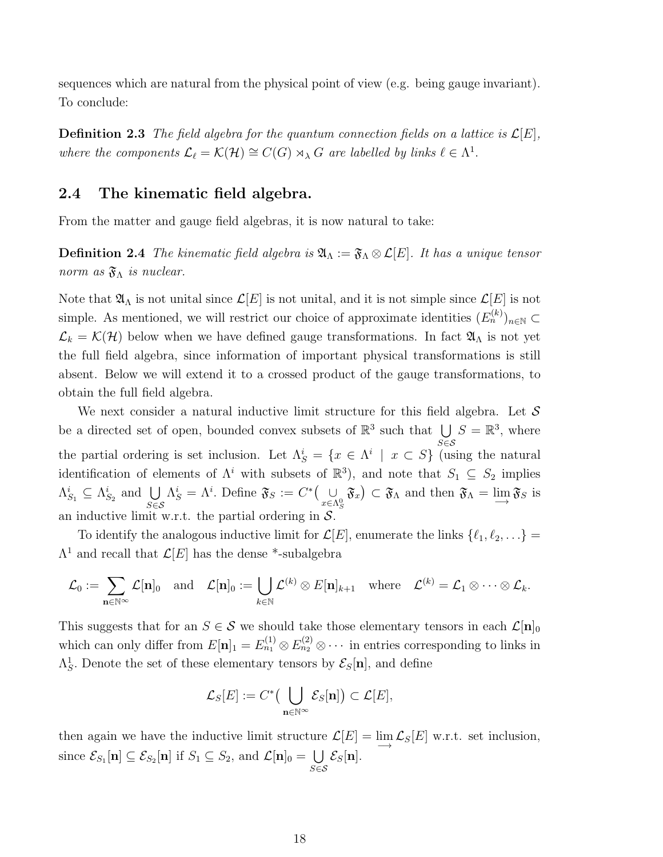sequences which are natural from the physical point of view (e.g. being gauge invariant). To conclude:

**Definition 2.3** The field algebra for the quantum connection fields on a lattice is  $\mathcal{L}[E]$ , where the components  $\mathcal{L}_{\ell} = \mathcal{K}(\mathcal{H}) \cong C(G) \rtimes_{\lambda} G$  are labelled by links  $\ell \in \Lambda^1$ .

# <span id="page-17-0"></span>2.4 The kinematic field algebra.

From the matter and gauge field algebras, it is now natural to take:

**Definition 2.4** The kinematic field algebra is  $\mathfrak{A}_{\Lambda} := \mathfrak{F}_{\Lambda} \otimes \mathcal{L}[E]$ . It has a unique tensor norm as  $\mathfrak{F}_{\Lambda}$  is nuclear.

Note that  $\mathfrak{A}_{\Lambda}$  is not unital since  $\mathcal{L}[E]$  is not unital, and it is not simple since  $\mathcal{L}[E]$  is not simple. As mentioned, we will restrict our choice of approximate identities  $(E_n^{(k)})_{n\in\mathbb{N}}\subset$  $\mathcal{L}_k = \mathcal{K}(\mathcal{H})$  below when we have defined gauge transformations. In fact  $\mathfrak{A}_{\Lambda}$  is not yet the full field algebra, since information of important physical transformations is still absent. Below we will extend it to a crossed product of the gauge transformations, to obtain the full field algebra.

We next consider a natural inductive limit structure for this field algebra. Let  $\mathcal S$ be a directed set of open, bounded convex subsets of  $\mathbb{R}^3$  such that  $\bigcup$ S∈S  $S = \mathbb{R}^3$ , where the partial ordering is set inclusion. Let  $\Lambda_S^i = \{x \in \Lambda^i \mid x \subset S\}$  (using the natural identification of elements of  $\Lambda^i$  with subsets of  $\mathbb{R}^3$ , and note that  $S_1 \subseteq S_2$  implies  $\Lambda_{S_1}^i \subseteq \Lambda_{S_2}^i$  and  $\bigcup$ S∈S  $\Lambda_S^i = \Lambda^i$ . Define  $\mathfrak{F}_S := C^* \left( \bigcup_{x \in \Lambda_S^0} \mathcal{S}_{\mathcal{S}_S} \right)$  $\mathfrak{F}_x$ )  $\subset$   $\mathfrak{F}_\Lambda$  and then  $\mathfrak{F}_\Lambda = \lim_{\longrightarrow} \mathfrak{F}_S$  is an inductive limit w.r.t. the partial ordering in  $S$ .

To identify the analogous inductive limit for  $\mathcal{L}[E]$ , enumerate the links  $\{\ell_1, \ell_2, \ldots\}$  $\Lambda^1$  and recall that  $\mathcal{L}[E]$  has the dense \*-subalgebra

$$
\mathcal{L}_0 := \sum_{\mathbf{n} \in \mathbb{N}^\infty} \mathcal{L}[\mathbf{n}]_0 \quad \text{and} \quad \mathcal{L}[\mathbf{n}]_0 := \bigcup_{k \in \mathbb{N}} \mathcal{L}^{(k)} \otimes E[\mathbf{n}]_{k+1} \quad \text{where} \quad \mathcal{L}^{(k)} = \mathcal{L}_1 \otimes \cdots \otimes \mathcal{L}_k.
$$

This suggests that for an  $S \in \mathcal{S}$  we should take those elementary tensors in each  $\mathcal{L}[\mathbf{n}]_0$ which can only differ from  $E[\mathbf{n}]_1 = E_{n_1}^{(1)} \otimes E_{n_2}^{(2)} \otimes \cdots$  in entries corresponding to links in  $\Lambda_S^1$ . Denote the set of these elementary tensors by  $\mathcal{E}_S[\mathbf{n}]$ , and define

$$
\mathcal{L}_S[E]:=C^*\big(\bigcup_{\mathbf{n}\in\mathbb{N}^\infty}\mathcal{E}_S[\mathbf{n}]\big)\subset\mathcal{L}[E],
$$

<span id="page-17-1"></span>then again we have the inductive limit structure  $\mathcal{L}[E] = \lim_{\longrightarrow} \mathcal{L}_S[E]$  w.r.t. set inclusion, since  $\mathcal{E}_{S_1}[\mathbf{n}] \subseteq \mathcal{E}_{S_2}[\mathbf{n}]$  if  $S_1 \subseteq S_2$ , and  $\mathcal{L}[\mathbf{n}]_0 = \bigcup$ S∈S  $\mathcal{E}_S[\mathbf{n}]$ .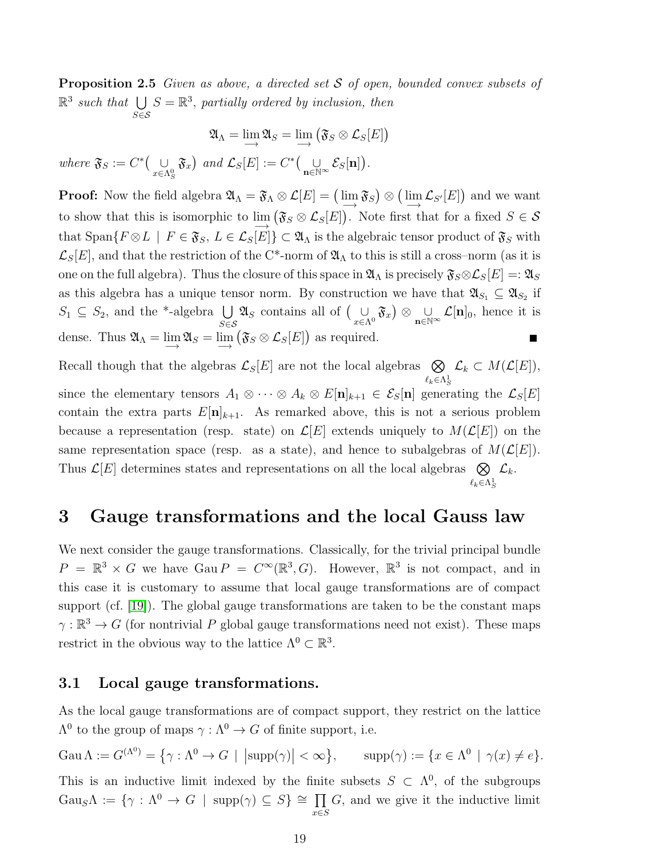**Proposition 2.5** Given as above, a directed set  $S$  of open, bounded convex subsets of  $\mathbb{R}^3$  such that  $\bigcup$ S∈S  $S = \mathbb{R}^3$ , partially ordered by inclusion, then

$$
\mathfrak{A}_{\Lambda}=\displaystyle\lim_{\longrightarrow}\mathfrak{A}_{S}=\displaystyle\lim_{\longrightarrow}\big(\mathfrak{F}_{S}\otimes\mathcal{L}_{S}[E]\big)
$$

where  $\mathfrak{F}_S := C^* \left( \bigcup_{x \in \Lambda_S^0} \mathcal{F}_S \right)$  $\mathfrak{F}_x$ ) and  $\mathcal{L}_S[E] := C^* \left( \bigcup_{\mathbf{n} \in \mathbb{N}^\infty} \mathcal{E}_S[\mathbf{n}] \right).$ 

**Proof:** Now the field algebra  $\mathfrak{A}_{\Lambda} = \mathfrak{F}_{\Lambda} \otimes \mathcal{L}[E] = (\lim_{\longrightarrow} \mathfrak{F}_{S}) \otimes (\lim_{\longrightarrow} \mathcal{L}_{S'}[E])$  and we want to show that this is isomorphic to  $\lim_{\longrightarrow} (\mathfrak{F}_S \otimes \mathcal{L}_S[E])$ . Note first that for a fixed  $S \in \mathcal{S}$ that Span $\{F \otimes L \mid F \in \mathfrak{F}_S, L \in \mathcal{L}_S[\mathcal{E}] \} \subset \mathfrak{A}_{\Lambda}$  is the algebraic tensor product of  $\mathfrak{F}_S$  with  $\mathcal{L}_S[E]$ , and that the restriction of the C<sup>\*</sup>-norm of  $\mathfrak{A}_\Lambda$  to this is still a cross–norm (as it is one on the full algebra). Thus the closure of this space in  $\mathfrak{A}_\Lambda$  is precisely  $\mathfrak{F}_S \otimes \mathcal{L}_S[E] =: \mathfrak{A}_S$ as this algebra has a unique tensor norm. By construction we have that  $\mathfrak{A}_{S_1} \subseteq \mathfrak{A}_{S_2}$  if  $S_1 \subseteq S_2$ , and the \*-algebra  $\bigcup$ S∈S  $\mathfrak{A}_{S}$  contains all of  $\left(\bigcup_{x \in \Lambda^{0}} \mathfrak{F}_{x}\right) \otimes \bigcup_{\mathbf{n} \in \mathbb{N}^{\infty}} \mathcal{L}[\mathbf{n}]_{0}$ , hence it is dense. Thus  $\mathfrak{A}_{\Lambda} = \lim_{\longrightarrow} \mathfrak{A}_{S} = \lim_{\longrightarrow} (\mathfrak{F}_{S} \otimes \mathcal{L}_{S}[E])$  as required.

Recall though that the algebras  $\mathcal{L}_S[E]$  are not the local algebras  $\bigotimes$  $\ell_k \in \Lambda_S^1$  $\mathcal{L}_k \subset M(\mathcal{L}[E]),$ since the elementary tensors  $A_1 \otimes \cdots \otimes A_k \otimes E[n]_{k+1} \in \mathcal{E}_S[n]$  generating the  $\mathcal{L}_S[E]$ contain the extra parts  $E[\mathbf{n}]_{k+1}$ . As remarked above, this is not a serious problem because a representation (resp. state) on  $\mathcal{L}[E]$  extends uniquely to  $M(\mathcal{L}[E])$  on the same representation space (resp. as a state), and hence to subalgebras of  $M(\mathcal{L}[E])$ . Thus  $\mathcal{L}[E]$  determines states and representations on all the local algebras  $\otimes$  $\ell_k \in \Lambda_S^1$  $\mathcal{L}_k.$ 

# <span id="page-18-0"></span>3 Gauge transformations and the local Gauss law

We next consider the gauge transformations. Classically, for the trivial principal bundle  $P = \mathbb{R}^3 \times G$  we have  $\text{Gau } P = C^{\infty}(\mathbb{R}^3, G)$ . However,  $\mathbb{R}^3$  is not compact, and in this case it is customary to assume that local gauge transformations are of compact support (cf. [\[19\]](#page-56-12)). The global gauge transformations are taken to be the constant maps  $\gamma : \mathbb{R}^3 \to G$  (for nontrivial P global gauge transformations need not exist). These maps restrict in the obvious way to the lattice  $\Lambda^0 \subset \mathbb{R}^3$ .

### <span id="page-18-1"></span>3.1 Local gauge transformations.

As the local gauge transformations are of compact support, they restrict on the lattice  $\Lambda^0$  to the group of maps  $\gamma : \Lambda^0 \to G$  of finite support, i.e.

Gau  $\Lambda := G^{(\Lambda^0)} = \{ \gamma : \Lambda^0 \to G \mid \left| \text{supp}(\gamma) \right| < \infty \}, \quad \text{supp}(\gamma) := \{ x \in \Lambda^0 \mid \gamma(x) \neq e \}.$ 

This is an inductive limit indexed by the finite subsets  $S \subset \Lambda^0$ , of the subgroups  $Gau_S\Lambda := \{ \gamma : \Lambda^0 \to G \mid \text{supp}(\gamma) \subseteq S \} \cong \prod$ x∈S G, and we give it the inductive limit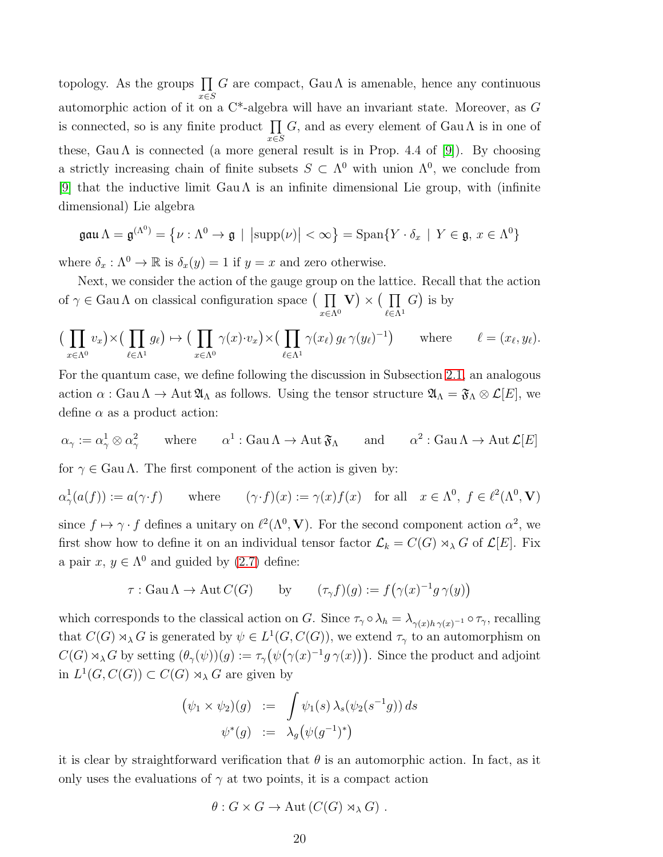topology. As the groups  $\prod G$  are compact,  $\text{Gau }\Lambda$  is amenable, hence any continuous x∈S automorphic action of it on a C\*-algebra will have an invariant state. Moreover, as G is connected, so is any finite product  $\prod G$ , and as every element of Gau  $\Lambda$  is in one of x∈S these,  $Gau \Lambda$  is connected (a more general result is in Prop. 4.4 of [\[9\]](#page-55-5)). By choosing a strictly increasing chain of finite subsets  $S \subset \Lambda^0$  with union  $\Lambda^0$ , we conclude from [\[9\]](#page-55-5) that the inductive limit  $Gau \Lambda$  is an infinite dimensional Lie group, with (infinite dimensional) Lie algebra

$$
\mathfrak{gau}\,\Lambda = \mathfrak{g}^{(\Lambda^0)} = \{ \nu : \Lambda^0 \to \mathfrak{g} \mid \left| \text{supp}(\nu) \right| < \infty \} = \text{Span}\{ Y \cdot \delta_x \mid Y \in \mathfrak{g}, x \in \Lambda^0 \}
$$

where  $\delta_x : \Lambda^0 \to \mathbb{R}$  is  $\delta_x(y) = 1$  if  $y = x$  and zero otherwise.

Next, we consider the action of the gauge group on the lattice. Recall that the action of  $\gamma \in \text{Gau}\,\Lambda$  on classical configuration space  $\left(\begin{array}{c}\n\prod_{i=1}^{n} x_i \end{array}\right)$  $x \in \Lambda^0$  $V$ )  $\times$  (  $\prod$  $\ell \in \Lambda^1$  $G$ ) is by

$$
\left(\prod_{x\in\Lambda^0} v_x\right)\times\left(\prod_{\ell\in\Lambda^1} g_\ell\right)\mapsto \left(\prod_{x\in\Lambda^0} \gamma(x)\cdot v_x\right)\times\left(\prod_{\ell\in\Lambda^1} \gamma(x_\ell) g_\ell\,\gamma(y_\ell)^{-1}\right) \qquad \text{where} \qquad \ell=(x_\ell,y_\ell).
$$

For the quantum case, we define following the discussion in Subsection [2.1,](#page-6-0) an analogous action  $\alpha$ : Gau  $\Lambda \to$  Aut  $\mathfrak{A}_{\Lambda}$  as follows. Using the tensor structure  $\mathfrak{A}_{\Lambda} = \mathfrak{F}_{\Lambda} \otimes \mathcal{L}[E]$ , we define  $\alpha$  as a product action:

$$
\alpha_{\gamma} := \alpha_{\gamma}^{1} \otimes \alpha_{\gamma}^{2} \qquad \text{where} \qquad \alpha^{1} : \text{Gau}\,\Lambda \to \text{Aut}\,\mathfrak{F}_{\Lambda} \qquad \text{and} \qquad \alpha^{2} : \text{Gau}\,\Lambda \to \text{Aut}\,\mathcal{L}[E]
$$

for  $\gamma \in$  Gau  $\Lambda$ . The first component of the action is given by:

$$
\alpha_{\gamma}^{1}(a(f)) := a(\gamma \cdot f) \quad \text{where} \quad (\gamma \cdot f)(x) := \gamma(x)f(x) \quad \text{for all} \quad x \in \Lambda^{0}, \ f \in \ell^{2}(\Lambda^{0}, \mathbf{V})
$$
  
since  $f \mapsto \gamma \cdot f$  defines a unitary on  $\ell^{2}(\Lambda^{0}, \mathbf{V})$ . For the second component action  $\alpha^{2}$ , we  
first show how to define it on an individual tensor factor  $\mathcal{L}_{k} = C(G) \rtimes_{\lambda} G$  of  $\mathcal{L}[E]$ . Fix

a pair  $x, y \in \Lambda^0$  and guided by  $(2.7)$  define:

$$
\tau : \text{Gau}\,\Lambda \to \text{Aut}\,C(G) \qquad \text{by} \qquad (\tau_{\gamma}f)(g) := f(\gamma(x)^{-1}g\,\gamma(y))
$$

which corresponds to the classical action on G. Since  $\tau_{\gamma} \circ \lambda_h = \lambda_{\gamma(x)h \gamma(x)^{-1}} \circ \tau_{\gamma}$ , recalling that  $C(G) \rtimes_{\lambda} G$  is generated by  $\psi \in L^1(G, C(G))$ , we extend  $\tau_{\gamma}$  to an automorphism on  $C(G) \rtimes_{\lambda} G$  by setting  $(\theta_{\gamma}(\psi))(g) := \tau_{\gamma}(\psi(\gamma(x)^{-1}g\gamma(x)))$ . Since the product and adjoint in  $L^1(G, C(G)) \subset C(G) \rtimes_{\lambda} G$  are given by

$$
(\psi_1 \times \psi_2)(g) := \int \psi_1(s) \lambda_s(\psi_2(s^{-1}g)) ds
$$
  

$$
\psi^*(g) := \lambda_g(\psi(g^{-1})^*)
$$

it is clear by straightforward verification that  $\theta$  is an automorphic action. In fact, as it only uses the evaluations of  $\gamma$  at two points, it is a compact action

$$
\theta: G \times G \to \text{Aut}(C(G) \rtimes_{\lambda} G) .
$$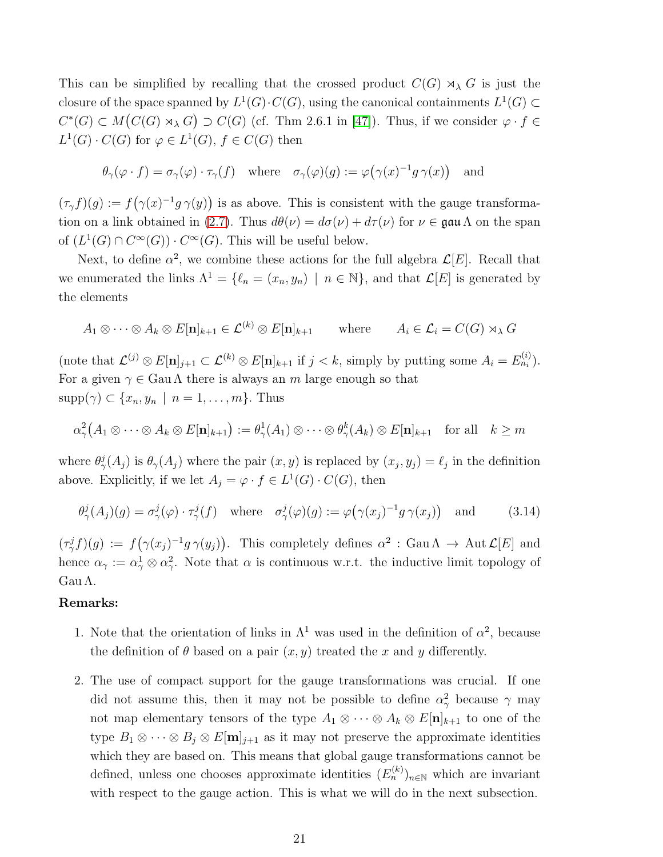This can be simplified by recalling that the crossed product  $C(G) \rtimes_{\lambda} G$  is just the closure of the space spanned by  $L^1(G) \cdot C(G)$ , using the canonical containments  $L^1(G) \subset$  $C^*(G) \subset M(C(G) \rtimes_{\lambda} G) \supset C(G)$  (cf. Thm 2.6.1 in [\[47\]](#page-58-2)). Thus, if we consider  $\varphi \cdot f \in$  $L^1(G) \cdot C(G)$  for  $\varphi \in L^1(G)$ ,  $f \in C(G)$  then

$$
\theta_{\gamma}(\varphi \cdot f) = \sigma_{\gamma}(\varphi) \cdot \tau_{\gamma}(f)
$$
 where  $\sigma_{\gamma}(\varphi)(g) := \varphi(\gamma(x)^{-1}g\gamma(x))$  and

 $(\tau_{\gamma}f)(g) := f(\gamma(x)^{-1}g\gamma(y))$  is as above. This is consistent with the gauge transforma-tion on a link obtained in [\(2.7\)](#page-9-0). Thus  $d\theta(\nu) = d\sigma(\nu) + d\tau(\nu)$  for  $\nu \in \mathfrak{gau}\Lambda$  on the span of  $(L^1(G) \cap C^{\infty}(G)) \cdot C^{\infty}(G)$ . This will be useful below.

Next, to define  $\alpha^2$ , we combine these actions for the full algebra  $\mathcal{L}[E]$ . Recall that we enumerated the links  $\Lambda^1 = \{\ell_n = (x_n, y_n) \mid n \in \mathbb{N}\},\$ and that  $\mathcal{L}[E]$  is generated by the elements

$$
A_1 \otimes \cdots \otimes A_k \otimes E[\mathbf{n}]_{k+1} \in \mathcal{L}^{(k)} \otimes E[\mathbf{n}]_{k+1} \quad \text{where} \quad A_i \in \mathcal{L}_i = C(G) \rtimes_{\lambda} G
$$

(note that  $\mathcal{L}^{(j)} \otimes E[\mathbf{n}]_{j+1} \subset \mathcal{L}^{(k)} \otimes E[\mathbf{n}]_{k+1}$  if  $j < k$ , simply by putting some  $A_i = E_{n_i}^{(i)}$ ). For a given  $\gamma \in \text{Gau}\Lambda$  there is always an m large enough so that  $supp(\gamma) \subset \{x_n, y_n \mid n = 1, \ldots, m\}.$  Thus

$$
\alpha_{\gamma}^{2}(A_{1}\otimes\cdots\otimes A_{k}\otimes E[\mathbf{n}]_{k+1}):=\theta_{\gamma}^{1}(A_{1})\otimes\cdots\otimes\theta_{\gamma}^{k}(A_{k})\otimes E[\mathbf{n}]_{k+1} \text{ for all } k\geq m
$$

where  $\theta^j_\gamma(A_j)$  is  $\theta_\gamma(A_j)$  where the pair  $(x, y)$  is replaced by  $(x_j, y_j) = \ell_j$  in the definition above. Explicitly, if we let  $A_j = \varphi \cdot f \in L^1(G) \cdot C(G)$ , then

<span id="page-20-0"></span>
$$
\theta_{\gamma}^{j}(A_{j})(g) = \sigma_{\gamma}^{j}(\varphi) \cdot \tau_{\gamma}^{j}(f) \quad \text{where} \quad \sigma_{\gamma}^{j}(\varphi)(g) := \varphi(\gamma(x_{j})^{-1}g\gamma(x_{j})) \quad \text{and} \tag{3.14}
$$

 $(\tau^j_\gamma f)(g) := f(\gamma(x_j)^{-1} g \gamma(y_j)).$  This completely defines  $\alpha^2$ : Gau  $\Lambda \to \text{Aut } \mathcal{L}[E]$  and hence  $\alpha_{\gamma} := \alpha_{\gamma}^1 \otimes \alpha_{\gamma}^2$ . Note that  $\alpha$  is continuous w.r.t. the inductive limit topology of Gau Λ.

#### Remarks:

- 1. Note that the orientation of links in  $\Lambda^1$  was used in the definition of  $\alpha^2$ , because the definition of  $\theta$  based on a pair  $(x, y)$  treated the x and y differently.
- 2. The use of compact support for the gauge transformations was crucial. If one did not assume this, then it may not be possible to define  $\alpha_\gamma^2$  because  $\gamma$  may not map elementary tensors of the type  $A_1 \otimes \cdots \otimes A_k \otimes E[n]_{k+1}$  to one of the type  $B_1 \otimes \cdots \otimes B_j \otimes E[\mathbf{m}]_{j+1}$  as it may not preserve the approximate identities which they are based on. This means that global gauge transformations cannot be defined, unless one chooses approximate identities  $(E_n^{(k)})_{n\in\mathbb{N}}$  which are invariant with respect to the gauge action. This is what we will do in the next subsection.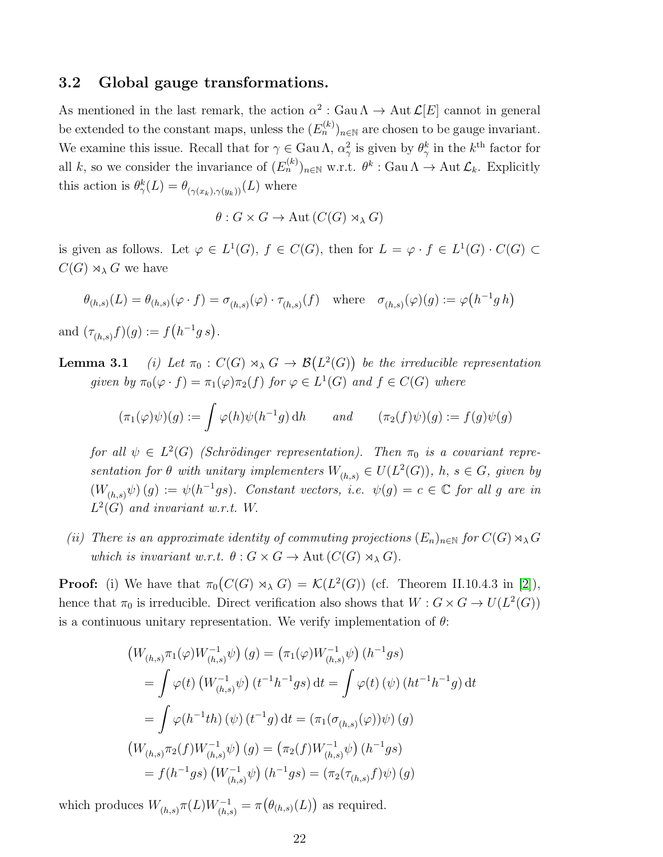## <span id="page-21-0"></span>3.2 Global gauge transformations.

As mentioned in the last remark, the action  $\alpha^2$ : Gau  $\Lambda \to \text{Aut } \mathcal{L}[E]$  cannot in general be extended to the constant maps, unless the  $(E_n^{(k)})_{n\in\mathbb{N}}$  are chosen to be gauge invariant. We examine this issue. Recall that for  $\gamma \in$  Gau  $\Lambda$ ,  $\alpha_\gamma^2$  is given by  $\theta_\gamma^k$  in the k<sup>th</sup> factor for all k, so we consider the invariance of  $(E_n^{(k)})_{n\in\mathbb{N}}$  w.r.t.  $\theta^k$ : Gau  $\Lambda \to \text{Aut }\mathcal{L}_k$ . Explicitly this action is  $\theta_{\gamma}^{k}(L) = \theta_{(\gamma(x_k), \gamma(y_k))}(L)$  where

<span id="page-21-1"></span>
$$
\theta: G \times G \to \text{Aut}(C(G) \rtimes_{\lambda} G)
$$

is given as follows. Let  $\varphi \in L^1(G)$ ,  $f \in C(G)$ , then for  $L = \varphi \cdot f \in L^1(G) \cdot C(G) \subset$  $C(G) \rtimes_{\lambda} G$  we have

$$
\theta_{(h,s)}(L) = \theta_{(h,s)}(\varphi \cdot f) = \sigma_{(h,s)}(\varphi) \cdot \tau_{(h,s)}(f) \quad \text{where} \quad \sigma_{(h,s)}(\varphi)(g) := \varphi\left(h^{-1}g \, h\right)
$$

and  $(\tau_{(h,s)}f)(g) := f(h^{-1}g s).$ 

**Lemma 3.1** (i) Let  $\pi_0$ :  $C(G) \rtimes_{\lambda} G \rightarrow \mathcal{B}(L^2(G))$  be the irreducible representation given by  $\pi_0(\varphi \cdot f) = \pi_1(\varphi) \pi_2(f)$  for  $\varphi \in L^1(G)$  and  $f \in C(G)$  where

$$
(\pi_1(\varphi)\psi)(g) := \int \varphi(h)\psi(h^{-1}g) dh \quad \text{and} \quad (\pi_2(f)\psi)(g) := f(g)\psi(g)
$$

for all  $\psi \in L^2(G)$  (Schrödinger representation). Then  $\pi_0$  is a covariant representation for  $\theta$  with unitary implementers  $W_{(h,s)} \in U(L^2(G))$ ,  $h, s \in G$ , given by  $(W_{(h,s)}\psi)(g) := \psi(h^{-1}gs)$ . Constant vectors, i.e.  $\psi(g) = c \in \mathbb{C}$  for all g are in  $L^2(G)$  and invariant w.r.t. W.

(ii) There is an approximate identity of commuting projections  $(E_n)_{n\in\mathbb{N}}$  for  $C(G)\rtimes_\lambda G$ which is invariant w.r.t.  $\theta: G \times G \to \text{Aut}(C(G) \rtimes_{\lambda} G)$ .

**Proof:** (i) We have that  $\pi_0(C(G) \rtimes_{\lambda} G) = \mathcal{K}(L^2(G))$  (cf. Theorem II.10.4.3 in [\[2\]](#page-54-2)), hence that  $\pi_0$  is irreducible. Direct verification also shows that  $W : G \times G \to U(L^2(G))$ is a continuous unitary representation. We verify implementation of  $\theta$ :

$$
(W_{(h,s)}\pi_1(\varphi)W_{(h,s)}^{-1}\psi)(g) = (\pi_1(\varphi)W_{(h,s)}^{-1}\psi)(h^{-1}gs)
$$
  
=  $\int \varphi(t) (W_{(h,s)}^{-1}\psi)(t^{-1}h^{-1}gs) dt = \int \varphi(t) (\psi)(ht^{-1}h^{-1}g) dt$   
=  $\int \varphi(h^{-1}th)(\psi)(t^{-1}g) dt = (\pi_1(\sigma_{(h,s)}(\varphi))\psi)(g)$   

$$
(W_{(h,s)}\pi_2(f)W_{(h,s)}^{-1}\psi)(g) = (\pi_2(f)W_{(h,s)}^{-1}\psi)(h^{-1}gs)
$$
  
=  $f(h^{-1}gs)(W_{(h,s)}^{-1}\psi)(h^{-1}gs) = (\pi_2(\tau_{(h,s)}f)\psi)(g)$ 

which produces  $W_{(h,s)} \pi(L) W_{(h,s)}^{-1} = \pi(\theta_{(h,s)}(L))$  as required.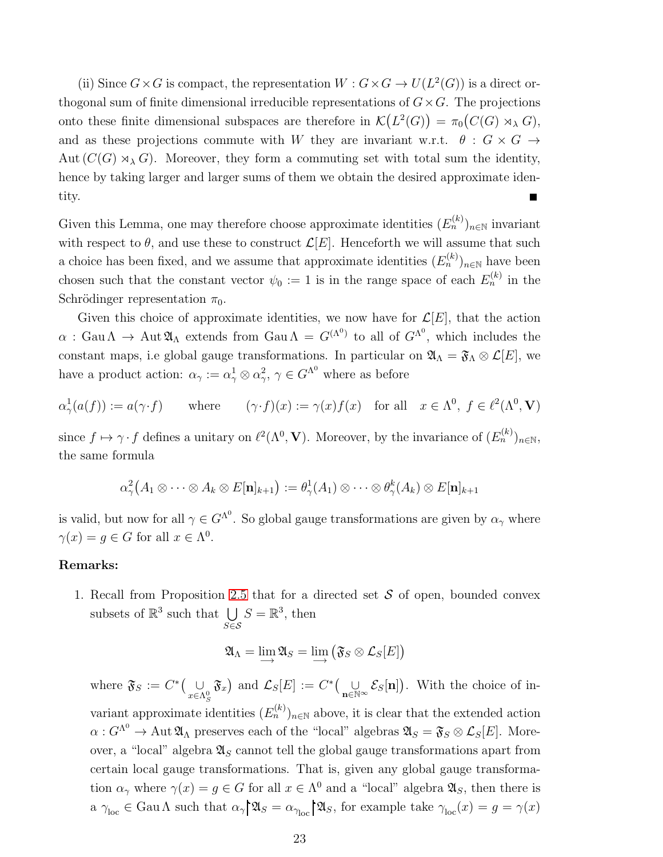(ii) Since  $G \times G$  is compact, the representation  $W : G \times G \to U(L^2(G))$  is a direct orthogonal sum of finite dimensional irreducible representations of  $G \times G$ . The projections onto these finite dimensional subspaces are therefore in  $\mathcal{K}(L^2(G)) = \pi_0(C(G) \rtimes_{\lambda} G)$ , and as these projections commute with W they are invariant w.r.t.  $\theta : G \times G \rightarrow$ Aut  $(C(G) \rtimes_{\lambda} G)$ . Moreover, they form a commuting set with total sum the identity, hence by taking larger and larger sums of them we obtain the desired approximate identity.

Given this Lemma, one may therefore choose approximate identities  $(E_n^{(k)})_{n\in\mathbb{N}}$  invariant with respect to  $\theta$ , and use these to construct  $\mathcal{L}[E]$ . Henceforth we will assume that such a choice has been fixed, and we assume that approximate identities  $(E_n^{(k)})_{n\in\mathbb{N}}$  have been chosen such that the constant vector  $\psi_0 := 1$  is in the range space of each  $E_n^{(k)}$  in the Schrödinger representation  $\pi_0$ .

Given this choice of approximate identities, we now have for  $\mathcal{L}[E]$ , that the action  $\alpha$ : Gau  $\Lambda \to$  Aut  $\mathfrak{A}_{\Lambda}$  extends from Gau  $\Lambda = G^{(\Lambda^0)}$  to all of  $G^{\Lambda^0}$ , which includes the constant maps, i.e global gauge transformations. In particular on  $\mathfrak{A}_{\Lambda} = \mathfrak{F}_{\Lambda} \otimes \mathcal{L}[E]$ , we have a product action:  $\alpha_{\gamma} := \alpha_{\gamma}^{1} \otimes \alpha_{\gamma}^{2}, \gamma \in G^{\Lambda^0}$  where as before

$$
\alpha_{\gamma}^{1}(a(f)) := a(\gamma \cdot f) \quad \text{where} \quad (\gamma \cdot f)(x) := \gamma(x)f(x) \quad \text{for all} \quad x \in \Lambda^{0}, \ f \in \ell^{2}(\Lambda^{0}, \mathbf{V})
$$

since  $f \mapsto \gamma \cdot f$  defines a unitary on  $\ell^2(\Lambda^0, V)$ . Moreover, by the invariance of  $(E_n^{(k)})_{n \in \mathbb{N}},$ the same formula

$$
\alpha_{\gamma}^{2}(A_{1}\otimes\cdots\otimes A_{k}\otimes E[\mathbf{n}]_{k+1}) := \theta_{\gamma}^{1}(A_{1})\otimes\cdots\otimes\theta_{\gamma}^{k}(A_{k})\otimes E[\mathbf{n}]_{k+1}
$$

is valid, but now for all  $\gamma \in G^{\Lambda^0}$ . So global gauge transformations are given by  $\alpha_{\gamma}$  where  $\gamma(x) = g \in G$  for all  $x \in \Lambda^0$ .

#### Remarks:

1. Recall from Proposition [2.5](#page-17-1) that for a directed set  $S$  of open, bounded convex subsets of  $\mathbb{R}^3$  such that  $\bigcup$ S∈S  $S = \mathbb{R}^3$ , then

$$
\mathfrak{A}_\Lambda=\lim\limits_{\longrightarrow}\mathfrak{A}_S=\lim\limits_{\longrightarrow}\big(\mathfrak{F}_S\otimes\mathcal{L}_S[E]\big)
$$

where  $\mathfrak{F}_S := C^* \left( \bigcup_{x \in \Lambda_S^0} \mathcal{L}$  $\mathfrak{F}_x$ ) and  $\mathcal{L}_S[E] := C^* \left( \bigcup_{\mathbf{n} \in \mathbb{N}^\infty} \mathcal{E}_S[\mathbf{n}] \right)$ . With the choice of invariant approximate identities  $(E_n^{(k)})_{n\in\mathbb{N}}$  above, it is clear that the extended action  $\alpha: G^{\Lambda^0} \to \text{Aut } \mathfrak{A}_{\Lambda}$  preserves each of the "local" algebras  $\mathfrak{A}_S = \mathfrak{F}_S \otimes \mathcal{L}_S[E]$ . Moreover, a "local" algebra  $\mathfrak{A}_S$  cannot tell the global gauge transformations apart from certain local gauge transformations. That is, given any global gauge transforma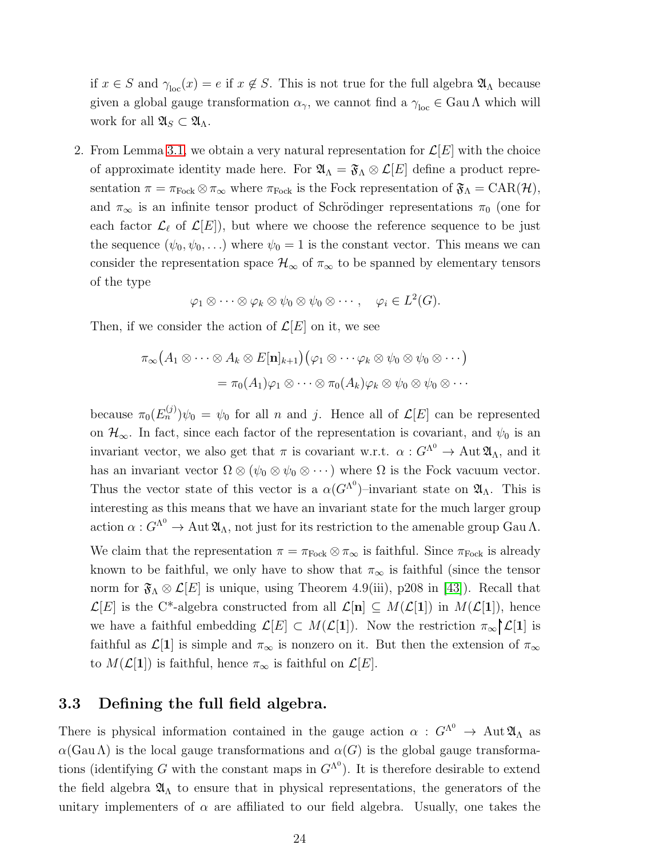if  $x \in S$  and  $\gamma_{\text{loc}}(x) = e$  if  $x \notin S$ . This is not true for the full algebra  $\mathfrak{A}_{\Lambda}$  because given a global gauge transformation  $\alpha_{\gamma}$ , we cannot find a  $\gamma_{\text{loc}} \in \text{Gau}\Lambda$  which will work for all  $\mathfrak{A}_S \subset \mathfrak{A}_\Lambda$ .

2. From Lemma [3.1,](#page-21-1) we obtain a very natural representation for  $\mathcal{L}[E]$  with the choice of approximate identity made here. For  $\mathfrak{A}_{\Lambda} = \mathfrak{F}_{\Lambda} \otimes \mathcal{L}[E]$  define a product representation  $\pi = \pi_{Fock} \otimes \pi_{\infty}$  where  $\pi_{Fock}$  is the Fock representation of  $\mathfrak{F}_{\Lambda} = \text{CAR}(\mathcal{H})$ , and  $\pi_{\infty}$  is an infinite tensor product of Schrödinger representations  $\pi_0$  (one for each factor  $\mathcal{L}_{\ell}$  of  $\mathcal{L}[E]$ , but where we choose the reference sequence to be just the sequence  $(\psi_0, \psi_0, \ldots)$  where  $\psi_0 = 1$  is the constant vector. This means we can consider the representation space  $\mathcal{H}_{\infty}$  of  $\pi_{\infty}$  to be spanned by elementary tensors of the type

$$
\varphi_1 \otimes \cdots \otimes \varphi_k \otimes \psi_0 \otimes \psi_0 \otimes \cdots, \quad \varphi_i \in L^2(G).
$$

Then, if we consider the action of  $\mathcal{L}[E]$  on it, we see

$$
\pi_{\infty}(A_1 \otimes \cdots \otimes A_k \otimes E[\mathbf{n}]_{k+1})(\varphi_1 \otimes \cdots \varphi_k \otimes \psi_0 \otimes \psi_0 \otimes \cdots)
$$
  
=  $\pi_0(A_1)\varphi_1 \otimes \cdots \otimes \pi_0(A_k)\varphi_k \otimes \psi_0 \otimes \psi_0 \otimes \cdots$ 

because  $\pi_0(E_n^{(j)})\psi_0 = \psi_0$  for all n and j. Hence all of  $\mathcal{L}[E]$  can be represented on  $\mathcal{H}_{\infty}$ . In fact, since each factor of the representation is covariant, and  $\psi_0$  is an invariant vector, we also get that  $\pi$  is covariant w.r.t.  $\alpha: G^{\Lambda^0} \to \text{Aut } \mathfrak{A}_{\Lambda}$ , and it has an invariant vector  $\Omega \otimes (\psi_0 \otimes \psi_0 \otimes \cdots)$  where  $\Omega$  is the Fock vacuum vector. Thus the vector state of this vector is a  $\alpha(G^{\Lambda^0})$ -invariant state on  $\mathfrak{A}_{\Lambda}$ . This is interesting as this means that we have an invariant state for the much larger group action  $\alpha: G^{\Lambda^0} \to \text{Aut } \mathfrak{A}_{\Lambda}$ , not just for its restriction to the amenable group Gau  $\Lambda$ .

We claim that the representation  $\pi = \pi_{Fock} \otimes \pi_{\infty}$  is faithful. Since  $\pi_{Fock}$  is already known to be faithful, we only have to show that  $\pi_{\infty}$  is faithful (since the tensor norm for  $\mathfrak{F}_\Lambda \otimes \mathcal{L}[E]$  is unique, using Theorem 4.9(iii), p208 in [\[43\]](#page-57-6)). Recall that  $\mathcal{L}[E]$  is the C<sup>\*</sup>-algebra constructed from all  $\mathcal{L}[\mathbf{n}] \subseteq M(\mathcal{L}[\mathbf{1}])$  in  $M(\mathcal{L}[\mathbf{1}])$ , hence we have a faithful embedding  $\mathcal{L}[E] \subset M(\mathcal{L}[1])$ . Now the restriction  $\pi_{\infty}[\mathcal{L}[1]$  is faithful as  $\mathcal{L}[1]$  is simple and  $\pi_{\infty}$  is nonzero on it. But then the extension of  $\pi_{\infty}$ to  $M(\mathcal{L}[\mathbf{1}])$  is faithful, hence  $\pi_{\infty}$  is faithful on  $\mathcal{L}[E]$ .

# <span id="page-23-0"></span>3.3 Defining the full field algebra.

There is physical information contained in the gauge action  $\alpha$  :  $G^{\Lambda^0} \to$  Aut  $\mathfrak{A}_{\Lambda}$  as  $\alpha(Gau \Lambda)$  is the local gauge transformations and  $\alpha(G)$  is the global gauge transformations (identifying G with the constant maps in  $G^{\Lambda^0}$ ). It is therefore desirable to extend the field algebra  $\mathfrak{A}_{\Lambda}$  to ensure that in physical representations, the generators of the unitary implementers of  $\alpha$  are affiliated to our field algebra. Usually, one takes the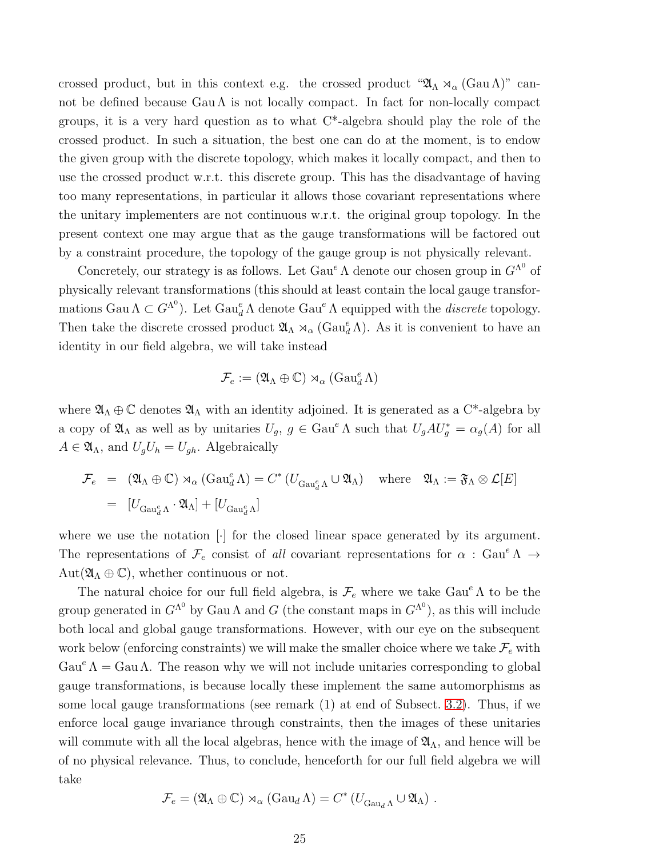crossed product, but in this context e.g. the crossed product " $\mathfrak{A}_{\Lambda} \rtimes_{\alpha} (\text{Gau}\Lambda)$ " cannot be defined because  $\text{Gau }\Lambda$  is not locally compact. In fact for non-locally compact groups, it is a very hard question as to what  $C^*$ -algebra should play the role of the crossed product. In such a situation, the best one can do at the moment, is to endow the given group with the discrete topology, which makes it locally compact, and then to use the crossed product w.r.t. this discrete group. This has the disadvantage of having too many representations, in particular it allows those covariant representations where the unitary implementers are not continuous w.r.t. the original group topology. In the present context one may argue that as the gauge transformations will be factored out by a constraint procedure, the topology of the gauge group is not physically relevant.

Concretely, our strategy is as follows. Let  $Gau^{\epsilon} \Lambda$  denote our chosen group in  $G^{\Lambda^0}$  of physically relevant transformations (this should at least contain the local gauge transformations Gau  $\Lambda \subset G^{\Lambda^0}$ ). Let  $\text{Gau}_d^e \Lambda$  denote  $\text{Gau}^e \Lambda$  equipped with the *discrete* topology. Then take the discrete crossed product  $\mathfrak{A}_{\Lambda} \rtimes_{\alpha} (\text{Gau}^e_{d} \Lambda)$ . As it is convenient to have an identity in our field algebra, we will take instead

$$
\mathcal{F}_e := (\mathfrak{A}_{\Lambda} \oplus \mathbb{C}) \rtimes_{\alpha} (\text{Gau}^e_d \Lambda)
$$

where  $\mathfrak{A}_{\Lambda}\oplus\mathbb{C}$  denotes  $\mathfrak{A}_{\Lambda}$  with an identity adjoined. It is generated as a C<sup>\*</sup>-algebra by a copy of  $\mathfrak{A}_{\Lambda}$  as well as by unitaries  $U_g$ ,  $g \in \text{Gau}^e \Lambda$  such that  $U_g A U_g^* = \alpha_g(A)$  for all  $A \in \mathfrak{A}_{\Lambda}$ , and  $U_g U_h = U_{gh}$ . Algebraically

$$
\mathcal{F}_e = (\mathfrak{A}_{\Lambda} \oplus \mathbb{C}) \rtimes_{\alpha} (\text{Gau}_d^e \Lambda) = C^* (U_{\text{Gau}_d^e \Lambda} \cup \mathfrak{A}_{\Lambda}) \quad \text{where} \quad \mathfrak{A}_{\Lambda} := \mathfrak{F}_{\Lambda} \otimes \mathcal{L}[E]
$$

$$
= [U_{\text{Gau}_d^e \Lambda} \cdot \mathfrak{A}_{\Lambda}] + [U_{\text{Gau}_d^e \Lambda}]
$$

where we use the notation  $\lceil \cdot \rceil$  for the closed linear space generated by its argument. The representations of  $\mathcal{F}_e$  consist of all covariant representations for  $\alpha$ : Gau<sup>e</sup>  $\Lambda \to$  $Aut(\mathfrak{A}_{\Lambda}\oplus\mathbb{C}),$  whether continuous or not.

The natural choice for our full field algebra, is  $\mathcal{F}_e$  where we take  $Gau^e \Lambda$  to be the group generated in  $G^{\Lambda^0}$  by Gau  $\Lambda$  and  $G$  (the constant maps in  $G^{\Lambda^0}$ ), as this will include both local and global gauge transformations. However, with our eye on the subsequent work below (enforcing constraints) we will make the smaller choice where we take  $\mathcal{F}_e$  with Gau<sup>e</sup>  $\Lambda =$  Gau  $\Lambda$ . The reason why we will not include unitaries corresponding to global gauge transformations, is because locally these implement the same automorphisms as some local gauge transformations (see remark (1) at end of Subsect. [3.2\)](#page-21-0). Thus, if we enforce local gauge invariance through constraints, then the images of these unitaries will commute with all the local algebras, hence with the image of  $\mathfrak{A}_{\Lambda}$ , and hence will be of no physical relevance. Thus, to conclude, henceforth for our full field algebra we will take

$$
\mathcal{F}_e = (\mathfrak{A}_{\Lambda} \oplus \mathbb{C}) \rtimes_{\alpha} (\text{Gau}_d \Lambda) = C^* (U_{\text{Gau}_d \Lambda} \cup \mathfrak{A}_{\Lambda}).
$$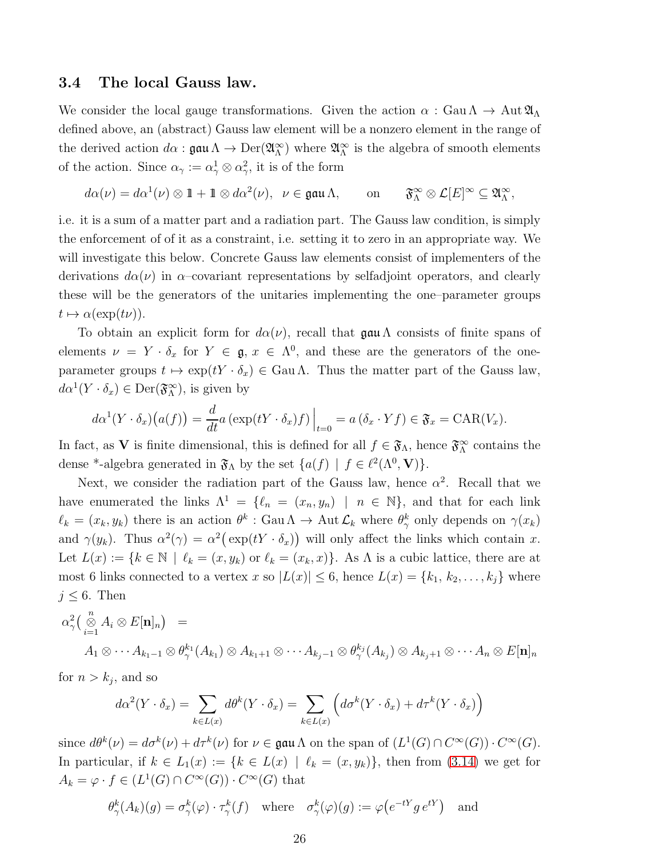### <span id="page-25-0"></span>3.4 The local Gauss law.

We consider the local gauge transformations. Given the action  $\alpha$ : Gau  $\Lambda \to \text{Aut } \mathfrak{A}_{\Lambda}$ defined above, an (abstract) Gauss law element will be a nonzero element in the range of the derived action  $d\alpha$ :  $\mathfrak{g} \mathfrak{a} \mathfrak{u} \Lambda \to \mathrm{Der}(\mathfrak{A}^{\infty}_{\Lambda})$  $\chi^{\infty}_{\Lambda}$  where  $\mathfrak{A}^{\infty}_{\Lambda}$  $\frac{\infty}{\Lambda}$  is the algebra of smooth elements of the action. Since  $\alpha_{\gamma} := \alpha_{\gamma}^{1} \otimes \alpha_{\gamma}^{2}$ , it is of the form

$$
d\alpha(\nu) = d\alpha^1(\nu) \otimes 1 + 1 \otimes d\alpha^2(\nu), \ \nu \in \text{gau }\Lambda, \quad \text{on} \quad \mathfrak{F}_\Lambda^\infty \otimes \mathcal{L}[E]^\infty \subseteq \mathfrak{A}_\Lambda^\infty,
$$

i.e. it is a sum of a matter part and a radiation part. The Gauss law condition, is simply the enforcement of of it as a constraint, i.e. setting it to zero in an appropriate way. We will investigate this below. Concrete Gauss law elements consist of implementers of the derivations  $d\alpha(\nu)$  in  $\alpha$ –covariant representations by selfadjoint operators, and clearly these will be the generators of the unitaries implementing the one–parameter groups  $t \mapsto \alpha(\exp(t\nu)).$ 

To obtain an explicit form for  $d\alpha(\nu)$ , recall that  $\beta\alpha(\nu)$  consists of finite spans of elements  $\nu = Y \cdot \delta_x$  for  $Y \in \mathfrak{g}, x \in \Lambda^0$ , and these are the generators of the oneparameter groups  $t \mapsto \exp(tY \cdot \delta_x) \in \text{Gau}\,\Lambda$ . Thus the matter part of the Gauss law,  $d\alpha^1(Y \cdot \delta_x) \in \text{Der}(\mathfrak{F}^{\infty}_{\Lambda})$  $_{\Lambda}^{\infty}$ ), is given by

$$
d\alpha^{1}(Y \cdot \delta_{x})\big(a(f)\big) = \frac{d}{dt}a\left(\exp(tY \cdot \delta_{x})f\right)\Big|_{t=0} = a\left(\delta_{x} \cdot Yf\right) \in \mathfrak{F}_{x} = \text{CAR}(V_{x}).
$$

In fact, as V is finite dimensional, this is defined for all  $f \in \mathfrak{F}_{\Lambda}$ , hence  $\mathfrak{F}_{\Lambda}^{\infty}$  $\alpha$  contains the dense \*-algebra generated in  $\mathfrak{F}_{\Lambda}$  by the set  $\{a(f) | f \in \ell^2(\Lambda^0, V)\}.$ 

Next, we consider the radiation part of the Gauss law, hence  $\alpha^2$ . Recall that we have enumerated the links  $\Lambda^1 = \{\ell_n = (x_n, y_n) \mid n \in \mathbb{N}\},\$ and that for each link  $\ell_k = (x_k, y_k)$  there is an action  $\theta^k$ : Gau  $\Lambda \to$  Aut  $\mathcal{L}_k$  where  $\theta^k_\gamma$  only depends on  $\gamma(x_k)$ and  $\gamma(y_k)$ . Thus  $\alpha^2(\gamma) = \alpha^2(\exp(tY \cdot \delta_x))$  will only affect the links which contain x. Let  $L(x) := \{k \in \mathbb{N} \mid \ell_k = (x, y_k) \text{ or } \ell_k = (x_k, x)\}.$  As  $\Lambda$  is a cubic lattice, there are at most 6 links connected to a vertex x so  $|L(x)| \leq 6$ , hence  $L(x) = \{k_1, k_2, \ldots, k_j\}$  where  $j \leq 6$ . Then

$$
\alpha_{\gamma}^{2}(\overset{n}{\underset{i=1}{\otimes}}A_{i}\otimes E[\mathbf{n}]_{n}) =
$$
\n
$$
A_{1}\otimes\cdots A_{k_{1}-1}\otimes\theta_{\gamma}^{k_{1}}(A_{k_{1}})\otimes A_{k_{1}+1}\otimes\cdots A_{k_{j}-1}\otimes\theta_{\gamma}^{k_{j}}(A_{k_{j}})\otimes A_{k_{j}+1}\otimes\cdots A_{n}\otimes E[\mathbf{n}]_{n}
$$

for  $n > k_j$ , and so

$$
d\alpha^{2}(Y \cdot \delta_{x}) = \sum_{k \in L(x)} d\theta^{k}(Y \cdot \delta_{x}) = \sum_{k \in L(x)} \left( d\sigma^{k}(Y \cdot \delta_{x}) + d\tau^{k}(Y \cdot \delta_{x}) \right)
$$

since  $d\theta^k(\nu) = d\sigma^k(\nu) + d\tau^k(\nu)$  for  $\nu \in \mathfrak{gau} \Lambda$  on the span of  $(L^1(G) \cap C^{\infty}(G)) \cdot C^{\infty}(G)$ . In particular, if  $k \in L_1(x) := \{k \in L(x) \mid \ell_k = (x, y_k)\}\$ , then from [\(3.14\)](#page-20-0) we get for  $A_k = \varphi \cdot f \in (L^1(G) \cap C^{\infty}(G)) \cdot C^{\infty}(G)$  that

$$
\theta^k_\gamma(A_k)(g) = \sigma^k_\gamma(\varphi) \cdot \tau^k_\gamma(f) \quad \text{where} \quad \sigma^k_\gamma(\varphi)(g) := \varphi\big(e^{-tY}g \, e^{tY}\big) \quad \text{and}
$$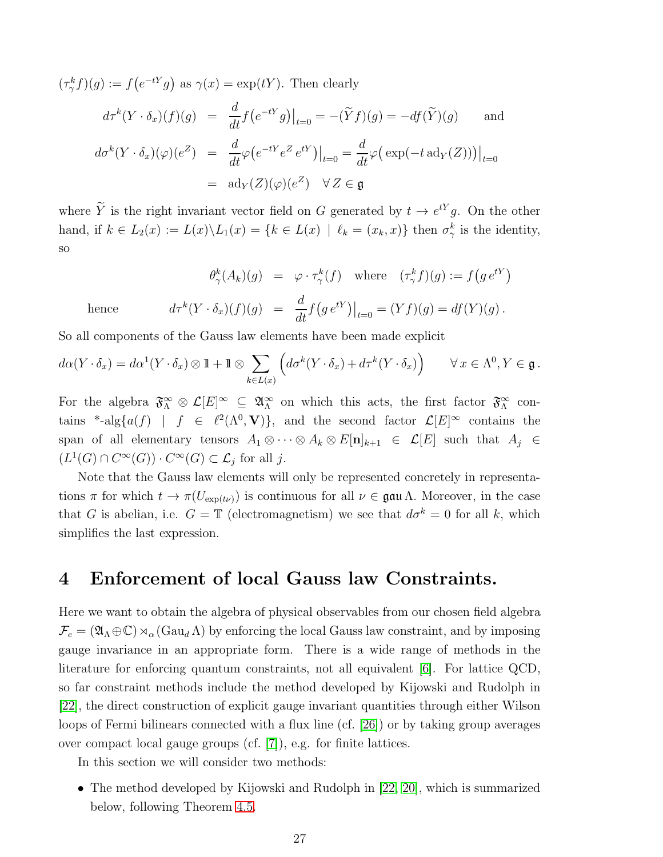$(\tau^k_\gamma f)(g) := f(e^{-tY}g)$  as  $\gamma(x) = \exp(tY)$ . Then clearly  $d\tau^k(Y \cdot \delta_x)(f)(g) = \frac{d}{dt} f(e^{-tY}g)|_{t=0} = -(\widetilde{Y}f)(g) = -df(\widetilde{Y})(g)$  and  $d\sigma^k(Y\cdot\delta_x)(\varphi)(e^Z) = \frac{d}{dt}$  $\frac{d}{dt}\varphi\left(e^{-tY}e^{Z}e^{tY}\right)\big|_{t=0}=$ d  $\frac{d}{dt}\varphi(\exp(-t\operatorname{ad}_Y(Z)))\big|_{t=0}$  $= \text{ad}_Y(Z)(\varphi)(e^Z) \quad \forall Z \in \mathfrak{g}$ 

where  $\tilde{Y}$  is the right invariant vector field on G generated by  $t \to e^{tY}g$ . On the other hand, if  $k \in L_2(x) := L(x) \backslash L_1(x) = \{ k \in L(x) \mid \ell_k = (x_k, x) \}$  then  $\sigma_{\gamma}^k$  is the identity, so

$$
\theta_{\gamma}^{k}(A_{k})(g) = \varphi \cdot \tau_{\gamma}^{k}(f) \quad \text{where} \quad (\tau_{\gamma}^{k}f)(g) := f(g e^{tY})
$$
\n
$$
d\tau^{k}(Y \cdot \delta_{x})(f)(g) = \frac{d}{dt}f(g e^{tY})|_{t=0} = (Yf)(g) = df(Y)(g).
$$

hence

So all components of the Gauss law elements have been made explicit

$$
d\alpha(Y \cdot \delta_x) = d\alpha^1(Y \cdot \delta_x) \otimes 1 \! 1 + 1 \! 1 \otimes \sum_{k \in L(x)} \left( d\sigma^k(Y \cdot \delta_x) + d\tau^k(Y \cdot \delta_x) \right) \qquad \forall x \in \Lambda^0, Y \in \mathfrak{g}.
$$

For the algebra  $\mathfrak{F}_{\Lambda}^{\infty} \otimes \mathcal{L}[E]^{\infty} \subseteq \mathfrak{A}_{\Lambda}^{\infty}$  $\frac{\infty}{\Lambda}$  on which this acts, the first factor  $\mathfrak{F}^{\infty}_{\Lambda}$  $\int_{\Lambda}^{\infty}$  contains \*-alg $\{a(f) \mid f \in \ell^2(\Lambda^0, V)\},$  and the second factor  $\mathcal{L}[E]^\infty$  contains the span of all elementary tensors  $A_1 \otimes \cdots \otimes A_k \otimes E[n]_{k+1} \in \mathcal{L}[E]$  such that  $A_j \in$  $(L^1(G) \cap C^{\infty}(G)) \cdot C^{\infty}(G) \subset \mathcal{L}_j$  for all j.

Note that the Gauss law elements will only be represented concretely in representations  $\pi$  for which  $t \to \pi(U_{\exp(t\nu)})$  is continuous for all  $\nu \in \mathfrak{gau}\Lambda$ . Moreover, in the case that G is abelian, i.e.  $G = \mathbb{T}$  (electromagnetism) we see that  $d\sigma^k = 0$  for all k, which simplifies the last expression.

# <span id="page-26-0"></span>4 Enforcement of local Gauss law Constraints.

Here we want to obtain the algebra of physical observables from our chosen field algebra  $\mathcal{F}_e = (\mathfrak{A}_\Lambda \oplus \mathbb{C}) \rtimes_\alpha (\text{Gau}_d \Lambda)$  by enforcing the local Gauss law constraint, and by imposing gauge invariance in an appropriate form. There is a wide range of methods in the literature for enforcing quantum constraints, not all equivalent [\[6\]](#page-55-6). For lattice QCD, so far constraint methods include the method developed by Kijowski and Rudolph in [\[22\]](#page-56-0), the direct construction of explicit gauge invariant quantities through either Wilson loops of Fermi bilinears connected with a flux line (cf. [\[26\]](#page-56-8)) or by taking group averages over compact local gauge groups (cf. [\[7\]](#page-55-7)), e.g. for finite lattices.

In this section we will consider two methods:

• The method developed by Kijowski and Rudolph in [\[22,](#page-56-0) [20\]](#page-56-13), which is summarized below, following Theorem [4.5.](#page-30-0)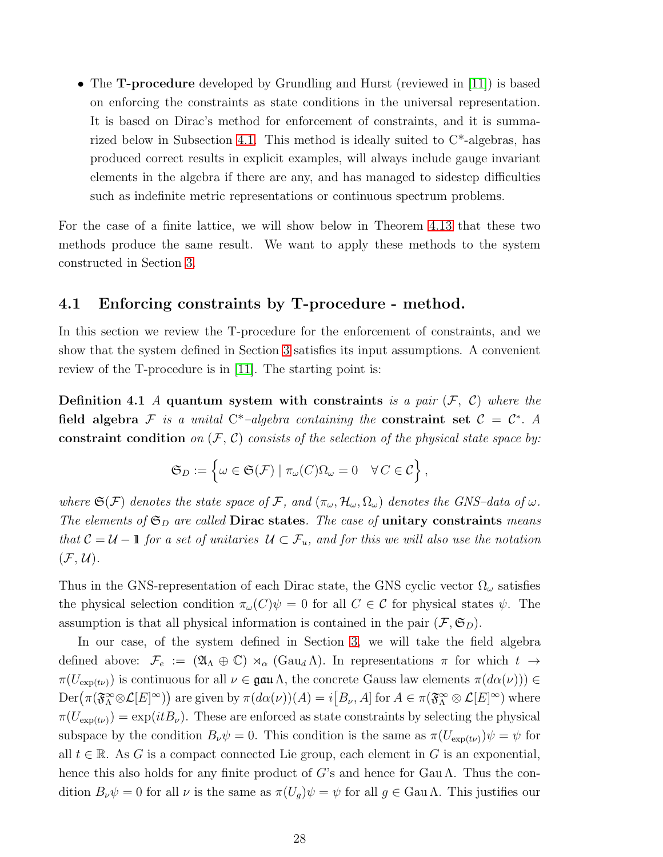• The **T-procedure** developed by Grundling and Hurst (reviewed in [\[11\]](#page-55-1)) is based on enforcing the constraints as state conditions in the universal representation. It is based on Dirac's method for enforcement of constraints, and it is summa-rized below in Subsection [4.1.](#page-27-0) This method is ideally suited to  $C^*$ -algebras, has produced correct results in explicit examples, will always include gauge invariant elements in the algebra if there are any, and has managed to sidestep difficulties such as indefinite metric representations or continuous spectrum problems.

For the case of a finite lattice, we will show below in Theorem [4.13](#page-39-0) that these two methods produce the same result. We want to apply these methods to the system constructed in Section [3.](#page-18-0)

# <span id="page-27-0"></span>4.1 Enforcing constraints by T-procedure - method.

In this section we review the T-procedure for the enforcement of constraints, and we show that the system defined in Section [3](#page-18-0) satisfies its input assumptions. A convenient review of the T-procedure is in [\[11\]](#page-55-1). The starting point is:

Definition 4.1 A quantum system with constraints is a pair  $(F, C)$  where the field algebra F is a unital C<sup>\*</sup>-algebra containing the constraint set  $C = C^*$ . A constraint condition on  $(F, \mathcal{C})$  consists of the selection of the physical state space by:

$$
\mathfrak{S}_D := \left\{ \omega \in \mathfrak{S}(\mathcal{F}) \mid \pi_\omega(C)\Omega_\omega = 0 \quad \forall C \in \mathcal{C} \right\},\
$$

where  $\mathfrak{S}(\mathcal{F})$  denotes the state space of  $\mathcal{F}$ , and  $(\pi_{\omega}, \mathcal{H}_{\omega}, \Omega_{\omega})$  denotes the GNS-data of  $\omega$ . The elements of  $\mathfrak{S}_D$  are called **Dirac states**. The case of **unitary constraints** means that  $C = U - \mathbb{1}$  for a set of unitaries  $U \subset \mathcal{F}_u$ , and for this we will also use the notation  $(F, U)$ .

Thus in the GNS-representation of each Dirac state, the GNS cyclic vector  $\Omega_{\omega}$  satisfies the physical selection condition  $\pi_{\omega}(C)\psi = 0$  for all  $C \in \mathcal{C}$  for physical states  $\psi$ . The assumption is that all physical information is contained in the pair  $(\mathcal{F}, \mathfrak{S}_D)$ .

In our case, of the system defined in Section [3,](#page-18-0) we will take the field algebra defined above:  $\mathcal{F}_e := (\mathfrak{A}_\Lambda \oplus \mathbb{C}) \rtimes_\alpha (\text{Gau}_d \Lambda)$ . In representations  $\pi$  for which  $t \to$  $\pi(U_{\exp(t\nu)})$  is continuous for all  $\nu \in \mathfrak{gau}\Lambda$ , the concrete Gauss law elements  $\pi(d\alpha(\nu)) \in$  $\mathrm{Der}(\pi(\mathfrak{F}_\Lambda^\infty \otimes \mathcal{L}[E]^\infty))$  are given by  $\pi(d\alpha(\nu))(A) = i[B_\nu, A]$  for  $A \in \pi(\mathfrak{F}_\Lambda^\infty \otimes \mathcal{L}[E]^\infty)$  where  $\pi(U_{\exp(t\nu)}) = \exp(itB_\nu)$ . These are enforced as state constraints by selecting the physical subspace by the condition  $B_{\nu}\psi = 0$ . This condition is the same as  $\pi(U_{\exp(t\nu)})\psi = \psi$  for all  $t \in \mathbb{R}$ . As G is a compact connected Lie group, each element in G is an exponential, hence this also holds for any finite product of G's and hence for  $Gau \Lambda$ . Thus the condition  $B_{\nu}\psi = 0$  for all  $\nu$  is the same as  $\pi(U_q)\psi = \psi$  for all  $q \in \text{Gau}\Lambda$ . This justifies our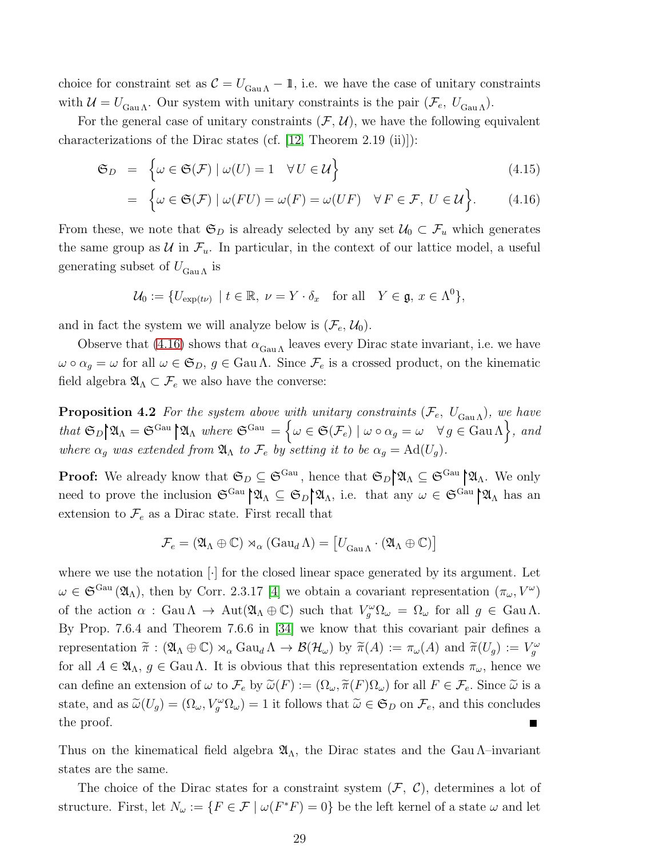choice for constraint set as  $C = U_{\text{Gau}\Lambda} - \mathbb{1}$ , i.e. we have the case of unitary constraints with  $U = U_{\text{Gau }\Lambda}$ . Our system with unitary constraints is the pair  $(\mathcal{F}_e, U_{\text{Gau }\Lambda})$ .

For the general case of unitary constraints  $(F, U)$ , we have the following equivalent characterizations of the Dirac states (cf. [\[12,](#page-55-8) Theorem 2.19 (ii)]):

<span id="page-28-0"></span>
$$
\mathfrak{S}_D = \left\{ \omega \in \mathfrak{S}(\mathcal{F}) \mid \omega(U) = 1 \quad \forall U \in \mathcal{U} \right\}
$$
\n(4.15)

$$
= \left\{ \omega \in \mathfrak{S}(\mathcal{F}) \mid \omega(FU) = \omega(F) = \omega(UF) \quad \forall F \in \mathcal{F}, \ U \in \mathcal{U} \right\}.
$$
 (4.16)

From these, we note that  $\mathfrak{S}_D$  is already selected by any set  $\mathcal{U}_0 \subset \mathcal{F}_u$  which generates the same group as  $\mathcal U$  in  $\mathcal F_u$ . In particular, in the context of our lattice model, a useful generating subset of  $U_{\text{Gau}\Lambda}$  is

<span id="page-28-1"></span>
$$
\mathcal{U}_0 := \{ U_{\exp(t\nu)} \mid t \in \mathbb{R}, \ \nu = Y \cdot \delta_x \quad \text{for all} \quad Y \in \mathfrak{g}, \ x \in \Lambda^0 \},
$$

and in fact the system we will analyze below is  $(\mathcal{F}_e, \mathcal{U}_0)$ .

Observe that [\(4.16\)](#page-28-0) shows that  $\alpha_{\text{Gau}\Lambda}$  leaves every Dirac state invariant, i.e. we have  $\omega \circ \alpha_g = \omega$  for all  $\omega \in \mathfrak{S}_D$ ,  $g \in \text{Gau}\Lambda$ . Since  $\mathcal{F}_e$  is a crossed product, on the kinematic field algebra  $\mathfrak{A}_{\Lambda} \subset \mathcal{F}_e$  we also have the converse:

**Proposition 4.2** For the system above with unitary constraints  $(\mathcal{F}_e, U_{\text{Gau}\Lambda})$ , we have  $\text{that } \mathfrak{S}_D \big| \mathfrak{A}_\Lambda = \mathfrak{S}^{\text{Gau}} \big| \mathfrak{A}_\Lambda$  where  $\mathfrak{S}^{\text{Gau}} = \big\{ \omega \in \mathfrak{S}(\mathcal{F}_e) \mid \omega \circ \alpha_g = \omega \quad \forall g \in \text{Gau} \Lambda \big\}$ , and where  $\alpha_g$  was extended from  $\mathfrak{A}_{\Lambda}$  to  $\mathcal{F}_e$  by setting it to be  $\alpha_g = \text{Ad}(U_g)$ .

**Proof:** We already know that  $\mathfrak{S}_D \subseteq \mathfrak{S}^{\text{Gau}}$ , hence that  $\mathfrak{S}_D \upharpoonright \mathfrak{A}_\Lambda \subseteq \mathfrak{S}^{\text{Gau}} \upharpoonright \mathfrak{A}_\Lambda$ . We only need to prove the inclusion  $\mathfrak{S}^{\text{Gau}}\left[\mathfrak{A}_{\Lambda}\subseteq\mathfrak{S}_{D}\right]\mathfrak{A}_{\Lambda}$ , i.e. that any  $\omega\in\mathfrak{S}^{\text{Gau}}\left[\mathfrak{A}_{\Lambda}\right]$  has an extension to  $\mathcal{F}_e$  as a Dirac state. First recall that

$$
\mathcal{F}_e = (\mathfrak{A}_{\Lambda} \oplus \mathbb{C}) \rtimes_{\alpha} (\text{Gau}_d \Lambda) = [U_{\text{Gau}\Lambda} \cdot (\mathfrak{A}_{\Lambda} \oplus \mathbb{C})]
$$

where we use the notation  $\lceil \cdot \rceil$  for the closed linear space generated by its argument. Let  $\omega \in \mathfrak{S}^{\text{Gau}}(\mathfrak{A}_{\Lambda})$ , then by Corr. 2.3.17 [\[4\]](#page-55-9) we obtain a covariant representation  $(\pi_{\omega}, V^{\omega})$ of the action  $\alpha$ : Gau  $\Lambda \to Aut(\mathfrak{A}_{\Lambda} \oplus \mathbb{C})$  such that  $V_g^{\omega} \Omega_{\omega} = \Omega_{\omega}$  for all  $g \in \text{Gau} \Lambda$ . By Prop. 7.6.4 and Theorem 7.6.6 in [\[34\]](#page-57-7) we know that this covariant pair defines a representation  $\widetilde{\pi}: (\mathfrak{A}_{\Lambda} \oplus \mathbb{C}) \rtimes_{\alpha} \text{Gau}_{d} \Lambda \to \mathcal{B}(\mathcal{H}_{\omega})$  by  $\widetilde{\pi}(A) := \pi_{\omega}(A)$  and  $\widetilde{\pi}(U_g) := V_g^{\omega}$ for all  $A \in \mathfrak{A}_{\Lambda}$ ,  $g \in \text{Gau}\Lambda$ . It is obvious that this representation extends  $\pi_{\omega}$ , hence we can define an extension of  $\omega$  to  $\mathcal{F}_e$  by  $\widetilde{\omega}(F) := (\Omega_\omega, \widetilde{\pi}(F)\Omega_\omega)$  for all  $F \in \mathcal{F}_e$ . Since  $\widetilde{\omega}$  is a state, and as  $\widetilde{\omega}(U_g) = (\Omega_\omega, V_g^{\omega} \Omega_\omega) = 1$  it follows that  $\widetilde{\omega} \in \mathfrak{S}_D$  on  $\mathcal{F}_e$ , and this concludes the proof. Γ

Thus on the kinematical field algebra  $\mathfrak{A}_{\Lambda}$ , the Dirac states and the Gau  $\Lambda$ -invariant states are the same.

The choice of the Dirac states for a constraint system  $(\mathcal{F}, \mathcal{C})$ , determines a lot of structure. First, let  $N_\omega := \{F \in \mathcal{F} \mid \omega(F^*F) = 0\}$  be the left kernel of a state  $\omega$  and let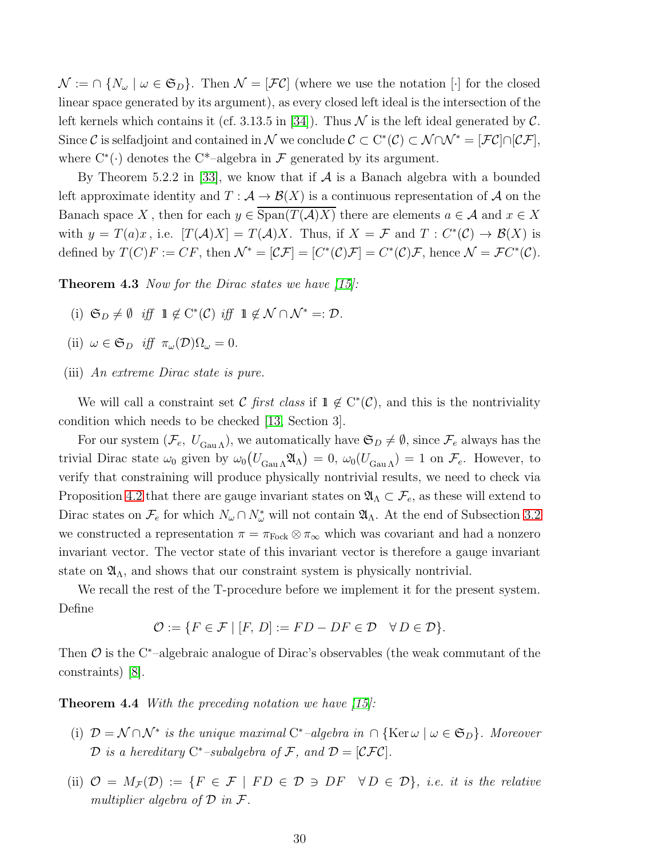$\mathcal{N} := \cap \{N_{\omega} \mid \omega \in \mathfrak{S}_D\}.$  Then  $\mathcal{N} = [\mathcal{FC}]$  (where we use the notation  $[\cdot]$  for the closed linear space generated by its argument), as every closed left ideal is the intersection of the left kernels which contains it (cf. 3.13.5 in [\[34\]](#page-57-7)). Thus  $\mathcal N$  is the left ideal generated by  $\mathcal C$ . Since C is selfadjoint and contained in N we conclude  $\mathcal{C} \subset C^*(\mathcal{C}) \subset \mathcal{N} \cap \mathcal{N}^* = [\mathcal{FC}] \cap [\mathcal{CF}],$ where  $C^*(\cdot)$  denotes the  $C^*$ -algebra in  $\mathcal F$  generated by its argument.

By Theorem 5.2.2 in [\[33\]](#page-57-8), we know that if  $A$  is a Banach algebra with a bounded left approximate identity and  $T : \mathcal{A} \to \mathcal{B}(X)$  is a continuous representation of  $\mathcal A$  on the Banach space X, then for each  $y \in \overline{\text{Span}(T(\mathcal{A})X)}$  there are elements  $a \in \mathcal{A}$  and  $x \in X$ with  $y = T(a)x$ , i.e.  $[T(A)X] = T(A)X$ . Thus, if  $X = F$  and  $T : C^*(C) \to B(X)$  is defined by  $T(C)F := CF$ , then  $\mathcal{N}^* = [\mathcal{CF}] = [C^*(\mathcal{C})\mathcal{F}] = C^*(\mathcal{C})\mathcal{F}$ , hence  $\mathcal{N} = \mathcal{FC}^*(\mathcal{C})$ .

**Theorem 4.3** Now for the Dirac states we have  $[15]$ :

- (i)  $\mathfrak{S}_D \neq \emptyset$  iff  $\mathbb{1} \notin C^*(\mathcal{C})$  iff  $\mathbb{1} \notin \mathcal{N} \cap \mathcal{N}^* =: \mathcal{D}$ .
- (ii)  $\omega \in \mathfrak{S}_D$  iff  $\pi_{\omega}(\mathcal{D})\Omega_{\omega} = 0$ .
- (iii) An extreme Dirac state is pure.

We will call a constraint set C first class if  $\mathbb{1} \notin C^*(\mathcal{C})$ , and this is the nontriviality condition which needs to be checked [\[13,](#page-55-10) Section 3].

For our system  $(\mathcal{F}_e, U_{\text{Gau}\Lambda})$ , we automatically have  $\mathfrak{S}_D \neq \emptyset$ , since  $\mathcal{F}_e$  always has the trivial Dirac state  $\omega_0$  given by  $\omega_0(U_{\text{Gau}\Lambda} \mathfrak{A}_{\Lambda}) = 0$ ,  $\omega_0(U_{\text{Gau}\Lambda}) = 1$  on  $\mathcal{F}_e$ . However, to verify that constraining will produce physically nontrivial results, we need to check via Proposition [4.2](#page-28-1) that there are gauge invariant states on  $\mathfrak{A}_{\Lambda} \subset \mathcal{F}_e$ , as these will extend to Dirac states on  $\mathcal{F}_e$  for which  $N_\omega \cap N_\omega^*$  will not contain  $\mathfrak{A}_\Lambda$ . At the end of Subsection [3.2](#page-21-0) we constructed a representation  $\pi = \pi_{Fock} \otimes \pi_{\infty}$  which was covariant and had a nonzero invariant vector. The vector state of this invariant vector is therefore a gauge invariant state on  $\mathfrak{A}_{\Lambda}$ , and shows that our constraint system is physically nontrivial.

We recall the rest of the T-procedure before we implement it for the present system. Define

$$
\mathcal{O} := \{ F \in \mathcal{F} \mid [F, D] := FD - DF \in \mathcal{D} \quad \forall D \in \mathcal{D} \}.
$$

<span id="page-29-0"></span>Then  $\mathcal O$  is the C<sup>\*</sup>-algebraic analogue of Dirac's observables (the weak commutant of the constraints) [\[8\]](#page-55-11).

**Theorem 4.4** With the preceding notation we have  $[15]$ :

- (i)  $\mathcal{D} = \mathcal{N} \cap \mathcal{N}^*$  is the unique maximal C<sup>\*</sup>-algebra in  $\cap$  {Ker  $\omega \mid \omega \in \mathfrak{S}_D$ }. Moreover  $\mathcal D$  is a hereditary C<sup>\*</sup>-subalgebra of  $\mathcal F$ , and  $\mathcal D = [\mathcal{C} \mathcal{F} \mathcal{C}].$
- (ii)  $\mathcal{O} = M_{\mathcal{F}}(\mathcal{D}) := \{ F \in \mathcal{F} \mid FD \in \mathcal{D} \ni DF \quad \forall D \in \mathcal{D} \}, i.e. it is the relative$ multiplier algebra of  $D$  in  $\mathcal{F}.$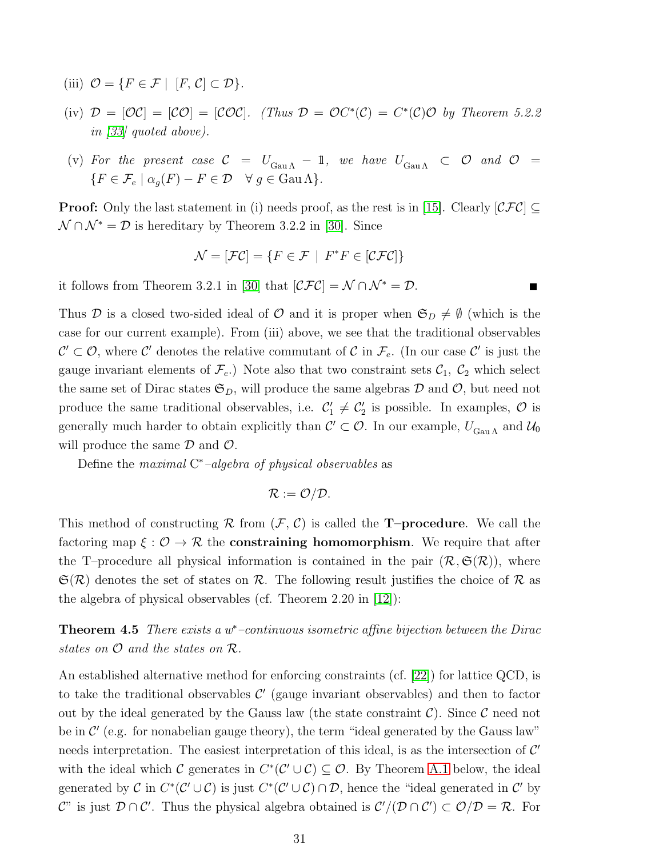- (iii)  $\mathcal{O} = \{F \in \mathcal{F} \mid [F, C] \subset \mathcal{D}\}.$
- (iv)  $\mathcal{D} = [\mathcal{O}\mathcal{C}] = [\mathcal{CO}] = [\mathcal{CO}\mathcal{C}]$ . (Thus  $\mathcal{D} = \mathcal{O}C^*(\mathcal{C}) = C^*(\mathcal{C})\mathcal{O}$  by Theorem 5.2.2 in [\[33\]](#page-57-8) quoted above).
- (v) For the present case  $C = U_{\text{Gau}\Lambda} 1$ , we have  $U_{\text{Gau}\Lambda} \subset O$  and  $O =$  ${F \in \mathcal{F}_e \mid \alpha_q(F) - F \in \mathcal{D} \quad \forall g \in \text{Gau}\,\Lambda}.$

**Proof:** Only the last statement in (i) needs proof, as the rest is in [\[15\]](#page-55-2). Clearly  $[\mathcal{C}\mathcal{F}\mathcal{C}] \subseteq$  $\mathcal{N} \cap \mathcal{N}^* = \mathcal{D}$  is hereditary by Theorem 3.2.2 in [\[30\]](#page-56-14). Since

$$
\mathcal{N} = [\mathcal{FC}] = \{ F \in \mathcal{F} \mid F^*F \in [\mathcal{CFC}] \}
$$

П

it follows from Theorem 3.2.1 in [\[30\]](#page-56-14) that  $[\mathcal{C} \mathcal{F} \mathcal{C}] = \mathcal{N} \cap \mathcal{N}^* = \mathcal{D}$ .

Thus D is a closed two-sided ideal of O and it is proper when  $\mathfrak{S}_D \neq \emptyset$  (which is the case for our current example). From (iii) above, we see that the traditional observables  $\mathcal{C}' \subset \mathcal{O}$ , where  $\mathcal{C}'$  denotes the relative commutant of  $\mathcal{C}$  in  $\mathcal{F}_e$ . (In our case  $\mathcal{C}'$  is just the gauge invariant elements of  $\mathcal{F}_e$ .) Note also that two constraint sets  $\mathcal{C}_1$ ,  $\mathcal{C}_2$  which select the same set of Dirac states  $\mathfrak{S}_D$ , will produce the same algebras D and O, but need not produce the same traditional observables, i.e.  $C_1' \neq C_2'$  $y'_2$  is possible. In examples,  $\mathcal O$  is generally much harder to obtain explicitly than  $\mathcal{C}' \subset \mathcal{O}$ . In our example,  $U_{\text{Gau}\Lambda}$  and  $\mathcal{U}_0$ will produce the same  $\mathcal D$  and  $\mathcal O$ .

Define the maximal  $C^*$ -algebra of physical observables as

$$
\mathcal{R}:=\mathcal{O}/\mathcal{D}.
$$

This method of constructing R from  $(F, C)$  is called the **T–procedure**. We call the factoring map  $\xi: \mathcal{O} \to \mathcal{R}$  the **constraining homomorphism**. We require that after the T–procedure all physical information is contained in the pair  $(\mathcal{R}, \mathfrak{S}(\mathcal{R}))$ , where  $\mathfrak{S}(\mathcal{R})$  denotes the set of states on  $\mathcal{R}$ . The following result justifies the choice of  $\mathcal R$  as the algebra of physical observables (cf. Theorem 2.20 in [\[12\]](#page-55-8)):

<span id="page-30-0"></span>**Theorem 4.5** There exists a w<sup>\*</sup>–continuous isometric affine bijection between the Dirac states on  $O$  and the states on  $R$ .

An established alternative method for enforcing constraints (cf. [\[22\]](#page-56-0)) for lattice QCD, is to take the traditional observables  $\mathcal{C}'$  (gauge invariant observables) and then to factor out by the ideal generated by the Gauss law (the state constraint  $\mathcal{C}$ ). Since  $\mathcal{C}$  need not be in  $\mathcal{C}'$  (e.g. for nonabelian gauge theory), the term "ideal generated by the Gauss law" needs interpretation. The easiest interpretation of this ideal, is as the intersection of  $\mathcal{C}'$ with the ideal which C generates in  $C^*(\mathcal{C}' \cup \mathcal{C}) \subseteq \mathcal{O}$ . By Theorem [A.1](#page-54-3) below, the ideal generated by C in  $C^*(\mathcal{C}' \cup \mathcal{C})$  is just  $C^*(\mathcal{C}' \cup \mathcal{C}) \cap \mathcal{D}$ , hence the "ideal generated in C' by C" is just  $\mathcal{D} \cap \mathcal{C}'$ . Thus the physical algebra obtained is  $\mathcal{C}'/(\mathcal{D} \cap \mathcal{C}') \subset \mathcal{O}/\mathcal{D} = \mathcal{R}$ . For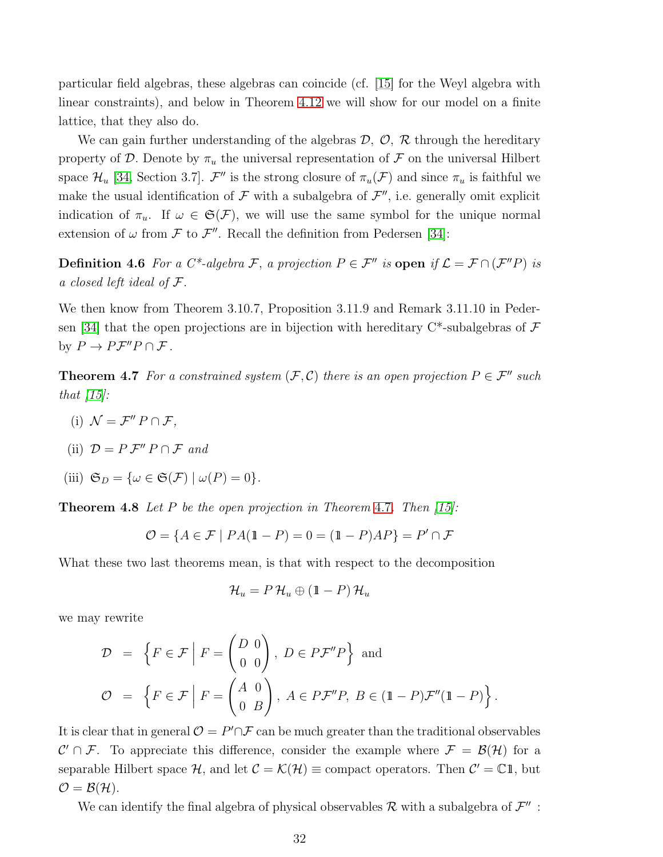particular field algebras, these algebras can coincide (cf. [\[15\]](#page-55-2) for the Weyl algebra with linear constraints), and below in Theorem [4.12](#page-36-0) we will show for our model on a finite lattice, that they also do.

We can gain further understanding of the algebras  $\mathcal{D}, \mathcal{O}, \mathcal{R}$  through the hereditary property of  $\mathcal D$ . Denote by  $\pi_u$  the universal representation of  $\mathcal F$  on the universal Hilbert space  $\mathcal{H}_u$  [\[34,](#page-57-7) Section 3.7].  $\mathcal{F}''$  is the strong closure of  $\pi_u(\mathcal{F})$  and since  $\pi_u$  is faithful we make the usual identification of  $\mathcal F$  with a subalgebra of  $\mathcal F''$ , i.e. generally omit explicit indication of  $\pi_u$ . If  $\omega \in \mathfrak{S}(\mathcal{F})$ , we will use the same symbol for the unique normal extension of  $\omega$  from F to F''. Recall the definition from Pedersen [\[34\]](#page-57-7):

**Definition 4.6** For a C<sup>\*</sup>-algebra F, a projection  $P \in \mathcal{F}''$  is **open** if  $\mathcal{L} = \mathcal{F} \cap (\mathcal{F}''P)$  is a closed left ideal of F.

<span id="page-31-0"></span>We then know from Theorem 3.10.7, Proposition 3.11.9 and Remark 3.11.10 in Peder-sen [\[34\]](#page-57-7) that the open projections are in bijection with hereditary  $C^*$ -subalgebras of  $\mathcal F$ by  $P \to P \mathcal{F}'' P \cap \mathcal{F}$ .

**Theorem 4.7** For a constrained system  $(F, C)$  there is an open projection  $P \in \mathcal{F}''$  such that  $[15]$ :

- (i)  $\mathcal{N} = \mathcal{F}'' P \cap \mathcal{F}$ ,
- (ii)  $\mathcal{D} = P \mathcal{F}'' P \cap \mathcal{F}$  and
- <span id="page-31-1"></span>(iii)  $\mathfrak{S}_D = \{ \omega \in \mathfrak{S}(\mathcal{F}) \mid \omega(P) = 0 \}.$

**Theorem [4](#page-31-0).8** Let P be the open projection in Theorem 4.7. Then  $[15]$ :

$$
\mathcal{O} = \{ A \in \mathcal{F} \mid PA(\mathbb{1} - P) = 0 = (\mathbb{1} - P)AP \} = P' \cap \mathcal{F}
$$

What these two last theorems mean, is that with respect to the decomposition

$$
\mathcal{H}_u = P\,\mathcal{H}_u \oplus \left(\mathbb{1} - P\right)\mathcal{H}_u
$$

we may rewrite

$$
\mathcal{D} = \left\{ F \in \mathcal{F} \mid F = \begin{pmatrix} D & 0 \\ 0 & 0 \end{pmatrix}, D \in P\mathcal{F}''P \right\} \text{ and}
$$

$$
\mathcal{O} = \left\{ F \in \mathcal{F} \mid F = \begin{pmatrix} A & 0 \\ 0 & B \end{pmatrix}, A \in P\mathcal{F}''P, B \in (\mathbb{I} - P)\mathcal{F}''(\mathbb{I} - P) \right\}.
$$

It is clear that in general  $\mathcal{O} = P' \cap \mathcal{F}$  can be much greater than the traditional observables  $\mathcal{C}' \cap \mathcal{F}$ . To appreciate this difference, consider the example where  $\mathcal{F} = \mathcal{B}(\mathcal{H})$  for a separable Hilbert space H, and let  $\mathcal{C} = \mathcal{K}(\mathcal{H}) \equiv$  compact operators. Then  $\mathcal{C}' = \mathbb{C} \mathbb{1}$ , but  $\mathcal{O} = \mathcal{B}(\mathcal{H}).$ 

We can identify the final algebra of physical observables  $\mathcal R$  with a subalgebra of  $\mathcal F''$ :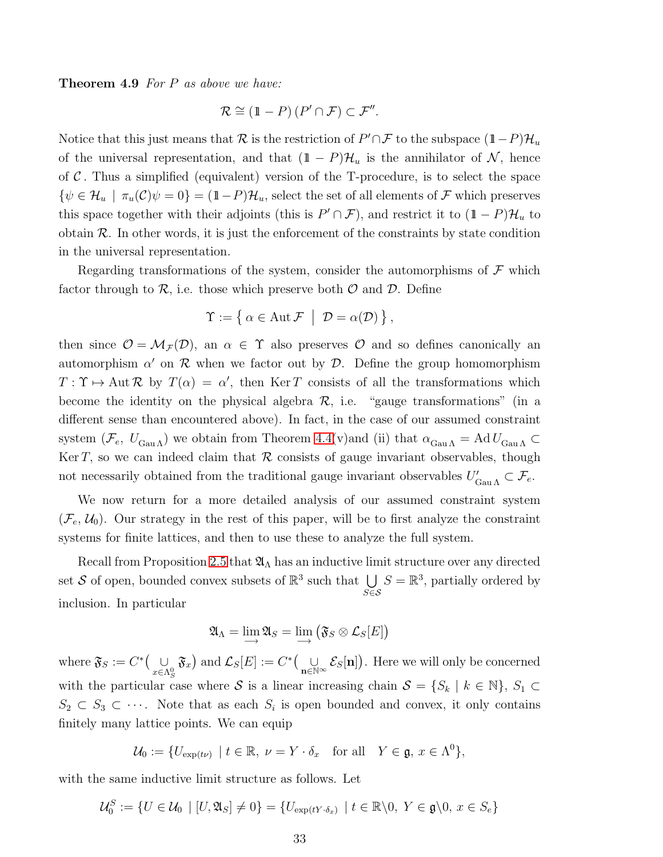**Theorem 4.9** For  $P$  as above we have:

$$
\mathcal{R} \cong (1 - P) (P' \cap \mathcal{F}) \subset \mathcal{F}''.
$$

Notice that this just means that R is the restriction of  $P' \cap \mathcal{F}$  to the subspace  $(1-P)\mathcal{H}_u$ of the universal representation, and that  $(1 - P)\mathcal{H}_u$  is the annihilator of N, hence of  $\mathcal C$ . Thus a simplified (equivalent) version of the T-procedure, is to select the space  $\{\psi \in \mathcal{H}_u \mid \pi_u(\mathcal{C})\psi = 0\} = (1 - P)\mathcal{H}_u$ , select the set of all elements of F which preserves this space together with their adjoints (this is  $P' \cap \mathcal{F}$ ), and restrict it to  $(1 - P)\mathcal{H}_u$  to obtain  $\mathcal R$ . In other words, it is just the enforcement of the constraints by state condition in the universal representation.

Regarding transformations of the system, consider the automorphisms of  $\mathcal F$  which factor through to  $\mathcal{R}$ , i.e. those which preserve both  $\mathcal{O}$  and  $\mathcal{D}$ . Define

$$
\Upsilon := \left\{ \alpha \in \text{Aut}\,\mathcal{F} \mid \mathcal{D} = \alpha(\mathcal{D}) \right\},\
$$

then since  $\mathcal{O} = \mathcal{M}_{\mathcal{F}}(\mathcal{D})$ , an  $\alpha \in \Upsilon$  also preserves  $\mathcal{O}$  and so defines canonically an automorphism  $\alpha'$  on  $\mathcal R$  when we factor out by  $\mathcal D$ . Define the group homomorphism  $T: \Upsilon \mapsto \text{Aut } \mathcal{R}$  by  $T(\alpha) = \alpha'$ , then Ker T consists of all the transformations which become the identity on the physical algebra  $\mathcal{R}$ , i.e. "gauge transformations" (in a different sense than encountered above). In fact, in the case of our assumed constraint system  $(\mathcal{F}_e, U_{\text{Gau}\Lambda})$  we obtain from Theorem [4.4\(](#page-29-0)v)and (ii) that  $\alpha_{\text{Gau}\Lambda} = \text{Ad} U_{\text{Gau}\Lambda}$ Ker T, so we can indeed claim that  $R$  consists of gauge invariant observables, though not necessarily obtained from the traditional gauge invariant observables  $U'_{\text{Gau}\Lambda} \subset \mathcal{F}_e$ .

We now return for a more detailed analysis of our assumed constraint system  $(\mathcal{F}_e, \mathcal{U}_0)$ . Our strategy in the rest of this paper, will be to first analyze the constraint systems for finite lattices, and then to use these to analyze the full system.

Recall from Proposition [2.5](#page-17-1) that  $\mathfrak{A}_{\Lambda}$  has an inductive limit structure over any directed set S of open, bounded convex subsets of  $\mathbb{R}^3$  such that  $\bigcup$ S∈S  $S = \mathbb{R}^3$ , partially ordered by inclusion. In particular

$$
\mathfrak{A}_\Lambda=\lim\limits_{\longrightarrow}\mathfrak{A}_S=\lim\limits_{\longrightarrow}\big(\mathfrak{F}_S\otimes\mathcal{L}_S[E]\big)
$$

where  $\mathfrak{F}_S := C^* \left( \bigcup_{x \in \Lambda_S^0} \mathcal{F}_S \right)$  $\mathfrak{F}_x$ ) and  $\mathcal{L}_S[E] := C^* \left( \bigcup_{\mathbf{n} \in \mathbb{N}^\infty} \mathcal{E}_S[\mathbf{n}] \right)$ . Here we will only be concerned with the particular case where S is a linear increasing chain  $S = \{S_k | k \in \mathbb{N}\}, S_1 \subset$  $S_2 \subset S_3 \subset \cdots$ . Note that as each  $S_i$  is open bounded and convex, it only contains finitely many lattice points. We can equip

$$
\mathcal{U}_0 := \{ U_{\exp(t\nu)} \mid t \in \mathbb{R}, \ \nu = Y \cdot \delta_x \quad \text{for all} \quad Y \in \mathfrak{g}, \ x \in \Lambda^0 \},
$$

with the same inductive limit structure as follows. Let

$$
\mathcal{U}_0^S := \{ U \in \mathcal{U}_0 \mid [U, \mathfrak{A}_S] \neq 0 \} = \{ U_{\exp(tY \cdot \delta_x)} \mid t \in \mathbb{R} \setminus 0, \ Y \in \mathfrak{g} \setminus 0, \ x \in S_e \}
$$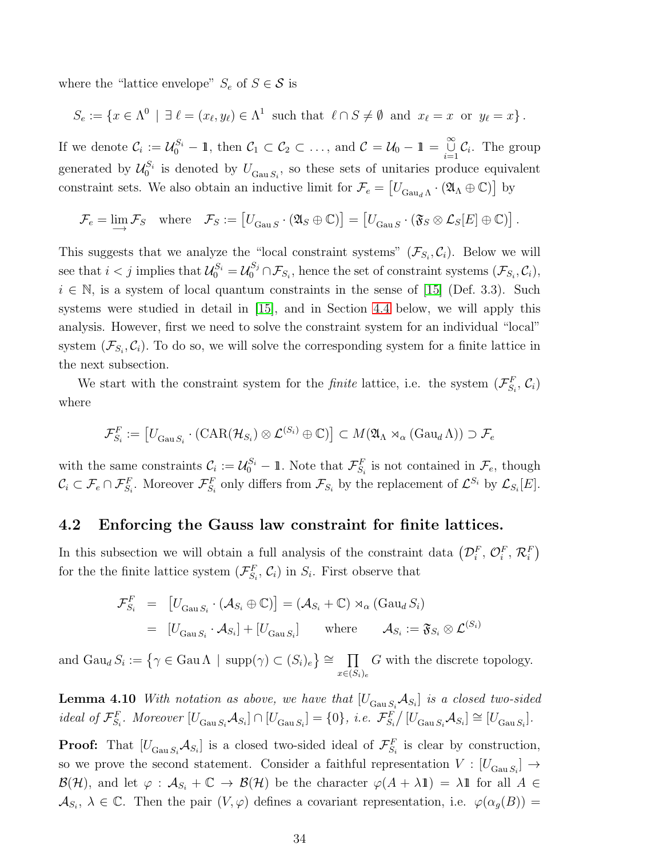where the "lattice envelope"  $S_e$  of  $S \in \mathcal{S}$  is

$$
S_e := \{ x \in \Lambda^0 \mid \exists \ell = (x_\ell, y_\ell) \in \Lambda^1 \text{ such that } \ell \cap S \neq \emptyset \text{ and } x_\ell = x \text{ or } y_\ell = x \}.
$$

If we denote  $\mathcal{C}_i := \mathcal{U}_0^{S_i} - \mathbb{1}$ , then  $\mathcal{C}_1 \subset \mathcal{C}_2 \subset \ldots$ , and  $\mathcal{C} = \mathcal{U}_0 - \mathbb{1} = \bigcup_{i=1}^{\infty} \mathcal{C}_i$ . The group generated by  $\mathcal{U}_0^{S_i}$  is denoted by  $U_{\text{Gau }S_i}$ , so these sets of unitaries produce equivalent constraint sets. We also obtain an inductive limit for  $\mathcal{F}_e = [U_{\text{Gau}_d\Lambda} \cdot (\mathfrak{A}_\Lambda \oplus \mathbb{C})]$  by

$$
\mathcal{F}_e = \lim_{\longrightarrow} \mathcal{F}_S \quad \text{where} \quad \mathcal{F}_S := \left[ U_{\text{Gau }S} \cdot (\mathfrak{A}_S \oplus \mathbb{C}) \right] = \left[ U_{\text{Gau }S} \cdot (\mathfrak{F}_S \otimes \mathcal{L}_S[E] \oplus \mathbb{C}) \right].
$$

This suggests that we analyze the "local constraint systems"  $(\mathcal{F}_{S_i}, \mathcal{C}_i)$ . Below we will see that  $i < j$  implies that  $\mathcal{U}_0^{S_i} = \mathcal{U}_0^{S_j} \cap \mathcal{F}_{S_i}$ , hence the set of constraint systems  $(\mathcal{F}_{S_i}, \mathcal{C}_i)$ ,  $i \in \mathbb{N}$ , is a system of local quantum constraints in the sense of [\[15\]](#page-55-2) (Def. 3.3). Such systems were studied in detail in [\[15\]](#page-55-2), and in Section [4.4](#page-46-0) below, we will apply this analysis. However, first we need to solve the constraint system for an individual "local" system  $(\mathcal{F}_{S_i}, \mathcal{C}_i)$ . To do so, we will solve the corresponding system for a finite lattice in the next subsection.

We start with the constraint system for the *finite* lattice, i.e. the system  $(\mathcal{F}_{S_i}^F, \mathcal{C}_i)$ where

$$
\mathcal{F}_{S_i}^F := [U_{\text{Gau }S_i} \cdot (\text{CAR}(\mathcal{H}_{S_i}) \otimes \mathcal{L}^{(S_i)} \oplus \mathbb{C})] \subset M(\mathfrak{A}_{\Lambda} \rtimes_{\alpha} (\text{Gau}_d \Lambda)) \supset \mathcal{F}_e
$$

with the same constraints  $\mathcal{C}_i := \mathcal{U}_0^{S_i} - \mathbb{1}$ . Note that  $\mathcal{F}_{S_i}^F$  is not contained in  $\mathcal{F}_e$ , though  $\mathcal{C}_i \subset \mathcal{F}_e \cap \mathcal{F}_{S_i}^F$ . Moreover  $\mathcal{F}_{S_i}^F$  only differs from  $\mathcal{F}_{S_i}$  by the replacement of  $\mathcal{L}^{S_i}$  by  $\mathcal{L}_{S_i}[E]$ .

### <span id="page-33-0"></span>4.2 Enforcing the Gauss law constraint for finite lattices.

In this subsection we will obtain a full analysis of the constraint data  $(\mathcal{D}_i^F, \mathcal{O}_i^F, \mathcal{R}_i^F)$ for the the finite lattice system  $(\mathcal{F}_{S_i}^F, \mathcal{C}_i)$  in  $S_i$ . First observe that

<span id="page-33-1"></span>
$$
\mathcal{F}_{S_i}^F = [U_{\text{Gau } S_i} \cdot (\mathcal{A}_{S_i} \oplus \mathbb{C})] = (\mathcal{A}_{S_i} + \mathbb{C}) \rtimes_{\alpha} (\text{Gau}_d S_i)
$$
  
=  $[U_{\text{Gau } S_i} \cdot \mathcal{A}_{S_i}] + [U_{\text{Gau } S_i}]$  where  $\mathcal{A}_{S_i} := \mathfrak{F}_{S_i} \otimes \mathcal{L}^{(S_i)}$ 

and  $\text{Gau}_d S_i := \{ \gamma \in \text{Gau}\,\Lambda \mid \text{supp}(\gamma) \subset (S_i)_e \} \cong \prod$  $x \in (S_i)_e$ G with the discrete topology.

**Lemma 4.10** With notation as above, we have that  $[U_{\text{Gau }S_i} \mathcal{A}_{S_i}]$  is a closed two-sided ideal of  $\mathcal{F}_{S_i}^F$ . Moreover  $[U_{\text{Gau }S_i}\mathcal{A}_{S_i}] \cap [U_{\text{Gau }S_i}] = \{0\}$ , i.e.  $\mathcal{F}_{S_i}^F/[U_{\text{Gau }S_i}\mathcal{A}_{S_i}] \cong [U_{\text{Gau }S_i}]$ .

**Proof:** That  $[U_{\text{Gau }S_i} A_{S_i}]$  is a closed two-sided ideal of  $\mathcal{F}_{S_i}^F$  is clear by construction, so we prove the second statement. Consider a faithful representation  $V: [U_{\text{Gau }S_i}] \to$  $\mathcal{B}(\mathcal{H})$ , and let  $\varphi : \mathcal{A}_{S_i} + \mathbb{C} \to \mathcal{B}(\mathcal{H})$  be the character  $\varphi(A + \lambda \mathbb{1}) = \lambda \mathbb{1}$  for all  $A \in$  $\mathcal{A}_{S_i}, \lambda \in \mathbb{C}$ . Then the pair  $(V, \varphi)$  defines a covariant representation, i.e.  $\varphi(\alpha_g(B)) =$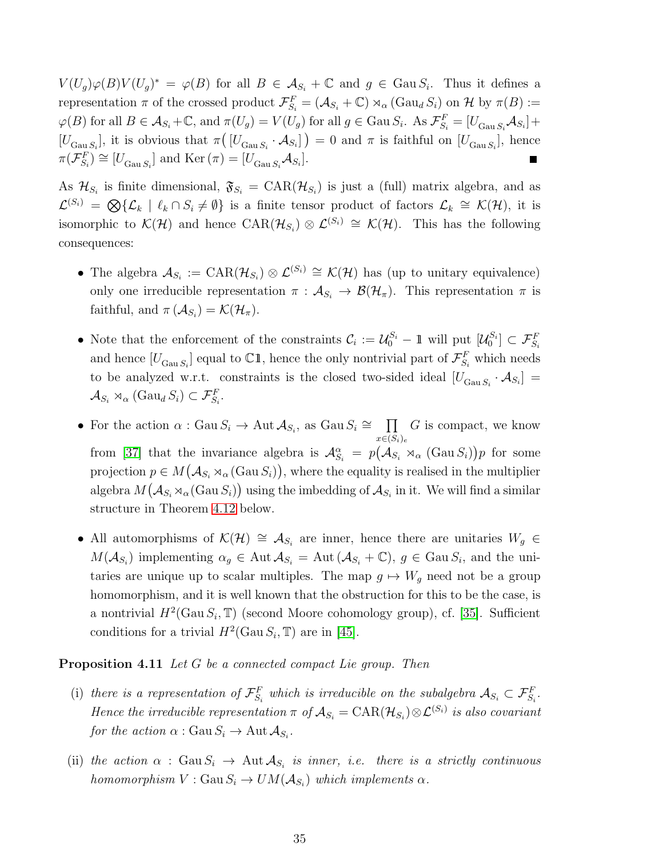$V(U_g)\varphi(B)V(U_g)^* = \varphi(B)$  for all  $B \in \mathcal{A}_{S_i} + \mathbb{C}$  and  $g \in \text{Gau } S_i$ . Thus it defines a representation  $\pi$  of the crossed product  $\mathcal{F}_{S_i}^F = (\mathcal{A}_{S_i} + \mathbb{C}) \rtimes_\alpha (\text{Gau}_d S_i)$  on  $\mathcal{H}$  by  $\pi(B) :=$  $\varphi(B)$  for all  $B \in \mathcal{A}_{S_i} + \mathbb{C}$ , and  $\pi(U_g) = V(U_g)$  for all  $g \in \text{Gau } S_i$ . As  $\mathcal{F}_{S_i}^F = [U_{\text{Gau } S_i} \mathcal{A}_{S_i}] +$  $[U_{\text{Gau }S_i}]$ , it is obvious that  $\pi([U_{\text{Gau }S_i}\cdot A_{S_i}])=0$  and  $\pi$  is faithful on  $[U_{\text{Gau }S_i}]$ , hence  $\pi(\mathcal{F}_{S_i}^F) \cong [U_{\text{Gau }S_i}]$  and  $\text{Ker }(\pi) = [U_{\text{Gau }S_i} A_{S_i}].$ ■

As  $\mathcal{H}_{S_i}$  is finite dimensional,  $\mathfrak{F}_{S_i} = \text{CAR}(\mathcal{H}_{S_i})$  is just a (full) matrix algebra, and as  $\mathcal{L}^{(S_i)} = \bigotimes \{ \mathcal{L}_k \mid \ell_k \cap S_i \neq \emptyset \}$  is a finite tensor product of factors  $\mathcal{L}_k \cong \mathcal{K}(\mathcal{H})$ , it is isomorphic to  $\mathcal{K}(\mathcal{H})$  and hence  $CAR(\mathcal{H}_{S_i}) \otimes \mathcal{L}^{(S_i)} \cong \mathcal{K}(\mathcal{H})$ . This has the following consequences:

- The algebra  $\mathcal{A}_{S_i} := \text{CAR}(\mathcal{H}_{S_i}) \otimes \mathcal{L}^{(S_i)} \cong \mathcal{K}(\mathcal{H})$  has (up to unitary equivalence) only one irreducible representation  $\pi : \mathcal{A}_{S_i} \to \mathcal{B}(\mathcal{H}_{\pi})$ . This representation  $\pi$  is faithful, and  $\pi(\mathcal{A}_{S_i}) = \mathcal{K}(\mathcal{H}_{\pi}).$
- Note that the enforcement of the constraints  $\mathcal{C}_i := \mathcal{U}_0^{S_i} \mathbb{1}$  will put  $[\mathcal{U}_0^{S_i}] \subset \mathcal{F}_{S_i}^F$ and hence  $[U_{\text{Gau }S_i}]$  equal to  $\mathbb{C}1$ , hence the only nontrivial part of  $\mathcal{F}^F_{S_i}$  which needs to be analyzed w.r.t. constraints is the closed two-sided ideal  $[U_{\text{Gau }S_i} \cdot A_{S_i}] =$  $\mathcal{A}_{S_i} \rtimes_{\alpha} (\text{Gau}_d S_i) \subset \mathcal{F}_{S_i}^F$ .
- For the action  $\alpha$ : Gau  $S_i \to \text{Aut } \mathcal{A}_{S_i}$ , as Gau  $S_i \cong \prod$  $x \in (S_i)_e$ G is compact, we know from [\[37\]](#page-57-9) that the invariance algebra is  $\mathcal{A}_{S_i}^{\alpha} = p(\mathcal{A}_{S_i} \rtimes_{\alpha} (\text{Gau } S_i))p$  for some projection  $p \in M(\mathcal{A}_{S_i} \rtimes_\alpha (\text{Gau } S_i)),$  where the equality is realised in the multiplier algebra  $M\bigl(\mathcal{A}_{S_i}\rtimes_\alpha (\text{Gau}\,S_i)\bigr)$  using the imbedding of  $\mathcal{A}_{S_i}$  in it. We will find a similar structure in Theorem [4.12](#page-36-0) below.
- All automorphisms of  $\mathcal{K}(\mathcal{H}) \cong \mathcal{A}_{S_i}$  are inner, hence there are unitaries  $W_g \in$  $M(\mathcal{A}_{S_i})$  implementing  $\alpha_g \in \text{Aut } \mathcal{A}_{S_i} = \text{Aut } (\mathcal{A}_{S_i} + \mathbb{C}), g \in \text{Gau } S_i$ , and the unitaries are unique up to scalar multiples. The map  $g \mapsto W_g$  need not be a group homomorphism, and it is well known that the obstruction for this to be the case, is a nontrivial  $H^2(\text{Gau }S_i, \mathbb{T})$  (second Moore cohomology group), cf. [\[35\]](#page-57-10). Sufficient conditions for a trivial  $H^2(\text{Gau }S_i, \mathbb{T})$  are in [\[45\]](#page-58-3).

#### <span id="page-34-0"></span>**Proposition 4.11** Let G be a connected compact Lie group. Then

- (i) there is a representation of  $\mathcal{F}_{S_i}^F$  which is irreducible on the subalgebra  $\mathcal{A}_{S_i} \subset \mathcal{F}_{S_i}^F$ . Hence the irreducible representation  $\pi$  of  $\mathcal{A}_{S_i} = \text{CAR}(\mathcal{H}_{S_i}) \otimes \mathcal{L}^{(S_i)}$  is also covariant for the action  $\alpha$  : Gau  $S_i \to \text{Aut } \mathcal{A}_{S_i}$ .
- (ii) the action  $\alpha$  : Gau  $S_i \rightarrow \text{Aut } \mathcal{A}_{S_i}$  is inner, i.e. there is a strictly continuous homomorphism  $V : \text{Gau } S_i \to UM(\mathcal{A}_{S_i})$  which implements  $\alpha$ .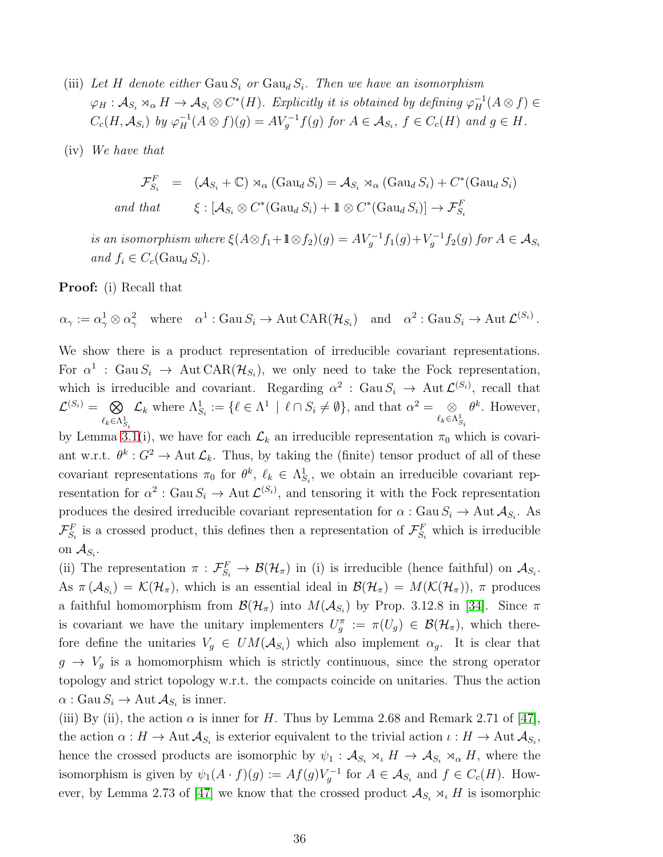- (iii) Let H denote either  $\text{Gau}_i S_i$  or  $\text{Gau}_d S_i$ . Then we have an isomorphism  $\varphi_H: \mathcal{A}_{S_i} \rtimes_{\alpha} H \to \mathcal{A}_{S_i} \otimes C^*(H)$ . Explicitly it is obtained by defining  $\varphi_H^{-1}(A \otimes f) \in$  $C_c(H, \mathcal{A}_{S_i})$  by  $\varphi_H^{-1}(A \otimes f)(g) = AV_g^{-1}f(g)$  for  $A \in \mathcal{A}_{S_i}$ ,  $f \in C_c(H)$  and  $g \in H$ .
- (iv) We have that

$$
\mathcal{F}_{S_i}^F = (\mathcal{A}_{S_i} + \mathbb{C}) \rtimes_{\alpha} (\text{Gau}_d S_i) = \mathcal{A}_{S_i} \rtimes_{\alpha} (\text{Gau}_d S_i) + C^*(\text{Gau}_d S_i)
$$
  
and that 
$$
\xi : [\mathcal{A}_{S_i} \otimes C^*(\text{Gau}_d S_i) + \mathbb{1} \otimes C^*(\text{Gau}_d S_i)] \to \mathcal{F}_{S_i}^F
$$

is an isomorphism where  $\xi(A \otimes f_1 + \mathbb{1} \otimes f_2)(g) = A V_g^{-1} f_1(g) + V_g^{-1} f_2(g)$  for  $A \in \mathcal{A}_{S_i}$ and  $f_i \in C_c(\text{Gau}_d S_i)$ .

Proof: (i) Recall that

$$
\alpha_{\gamma} := \alpha_{\gamma}^1 \otimes \alpha_{\gamma}^2 \quad \text{where} \quad \alpha^1 : \text{Gau } S_i \to \text{Aut } \text{CAR}(\mathcal{H}_{S_i}) \quad \text{and} \quad \alpha^2 : \text{Gau } S_i \to \text{Aut } \mathcal{L}^{(S_i)}.
$$

We show there is a product representation of irreducible covariant representations. For  $\alpha^1$ : Gau  $S_i \to$  Aut CAR $(\mathcal{H}_{S_i})$ , we only need to take the Fock representation, which is irreducible and covariant. Regarding  $\alpha^2$ : Gau  $S_i \to \text{Aut } \mathcal{L}^{(S_i)}$ , recall that  $\mathcal{L}^{(S_i)} = \Box \bigotimes$  $\ell_k \in \Lambda^1_{S_i}$  $\mathcal{L}_k$  where  $\Lambda^1_{S_i} := \{ \ell \in \Lambda^1 \mid \ell \cap S_i \neq \emptyset \}$ , and that  $\alpha^2 = \emptyset$  $\ell_k \in \Lambda^1_{S_i}$  $\theta^k$ . However,

by Lemma [3.1\(](#page-21-1)i), we have for each  $\mathcal{L}_k$  an irreducible representation  $\pi_0$  which is covariant w.r.t.  $\theta^k$ :  $G^2 \to \text{Aut } \mathcal{L}_k$ . Thus, by taking the (finite) tensor product of all of these covariant representations  $\pi_0$  for  $\theta^k$ ,  $\ell_k \in \Lambda_{S_i}^1$ , we obtain an irreducible covariant representation for  $\alpha^2$ : Gau  $S_i \to$  Aut  $\mathcal{L}^{(S_i)}$ , and tensoring it with the Fock representation produces the desired irreducible covariant representation for  $\alpha$ : Gau  $S_i \to$  Aut  $\mathcal{A}_{S_i}$ . As  $\mathcal{F}^F_{S_i}$  is a crossed product, this defines then a representation of  $\mathcal{F}^F_{S_i}$  which is irreducible on  $\mathcal{A}_{S_i}.$ 

(ii) The representation  $\pi : \mathcal{F}_{S_i}^F \to \mathcal{B}(\mathcal{H}_\pi)$  in (i) is irreducible (hence faithful) on  $\mathcal{A}_{S_i}$ . As  $\pi(\mathcal{A}_{S_i}) = \mathcal{K}(\mathcal{H}_{\pi})$ , which is an essential ideal in  $\mathcal{B}(\mathcal{H}_{\pi}) = M(\mathcal{K}(\mathcal{H}_{\pi}))$ ,  $\pi$  produces a faithful homomorphism from  $\mathcal{B}(\mathcal{H}_{\pi})$  into  $M(\mathcal{A}_{S_i})$  by Prop. 3.12.8 in [\[34\]](#page-57-7). Since  $\pi$ is covariant we have the unitary implementers  $U_g^{\pi} := \pi(U_g) \in \mathcal{B}(\mathcal{H}_{\pi})$ , which therefore define the unitaries  $V_g \in UM(\mathcal{A}_{S_i})$  which also implement  $\alpha_g$ . It is clear that  $g \to V_g$  is a homomorphism which is strictly continuous, since the strong operator topology and strict topology w.r.t. the compacts coincide on unitaries. Thus the action  $\alpha$ : Gau  $S_i \to \text{Aut } \mathcal{A}_{S_i}$  is inner.

(iii) By (ii), the action  $\alpha$  is inner for H. Thus by Lemma 2.68 and Remark 2.71 of [\[47\]](#page-58-2), the action  $\alpha: H \to \text{Aut } \mathcal{A}_{S_i}$  is exterior equivalent to the trivial action  $\iota: H \to \text{Aut } \mathcal{A}_{S_i}$ , hence the crossed products are isomorphic by  $\psi_1 : A_{S_i} \rtimes_{\iota} H \to A_{S_i} \rtimes_{\alpha} H$ , where the isomorphism is given by  $\psi_1(A \cdot f)(g) := Af(g)V_g^{-1}$  for  $A \in \mathcal{A}_{S_i}$  and  $f \in C_c(H)$ . How-ever, by Lemma 2.73 of [\[47\]](#page-58-2) we know that the crossed product  $\mathcal{A}_{S_i} \rtimes_{\iota} H$  is isomorphic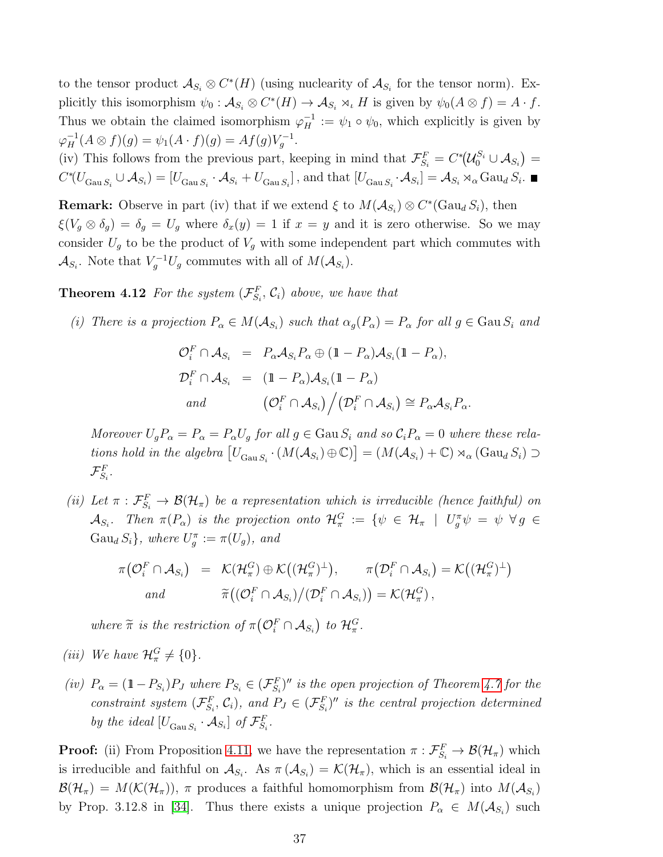to the tensor product  $\mathcal{A}_{S_i} \otimes C^*(H)$  (using nuclearity of  $\mathcal{A}_{S_i}$  for the tensor norm). Explicitly this isomorphism  $\psi_0: \mathcal{A}_{S_i} \otimes C^*(H) \to \mathcal{A}_{S_i} \rtimes_{\iota} H$  is given by  $\psi_0(A \otimes f) = A \cdot f$ . Thus we obtain the claimed isomorphism  $\varphi_H^{-1} := \psi_1 \circ \psi_0$ , which explicitly is given by  $\varphi_H^{-1}(A \otimes f)(g) = \psi_1(A \cdot f)(g) = Af(g)V_g^{-1}.$ 

(iv) This follows from the previous part, keeping in mind that  $\mathcal{F}^F_{S_i} = C^* (\mathcal{U}_0^{S_i} \cup \mathcal{A}_{S_i}) =$  $C^*(U_{\text{Gau }S_i} \cup \mathcal{A}_{S_i}) = [U_{\text{Gau }S_i} \cdot \mathcal{A}_{S_i} + U_{\text{Gau }S_i}]$ , and that  $[U_{\text{Gau }S_i} \cdot \mathcal{A}_{S_i}] = \mathcal{A}_{S_i} \rtimes_\alpha \text{Gau}_d S_i$ .

**Remark:** Observe in part (iv) that if we extend  $\xi$  to  $M(\mathcal{A}_{S_i}) \otimes C^*(\text{Gau}_d S_i)$ , then  $\xi(V_g \otimes \delta_g) = \delta_g = U_g$  where  $\delta_x(y) = 1$  if  $x = y$  and it is zero otherwise. So we may consider  $U_g$  to be the product of  $V_g$  with some independent part which commutes with  $\mathcal{A}_{S_i}$ . Note that  $V_g^{-1}U_g$  commutes with all of  $M(\mathcal{A}_{S_i})$ .

<span id="page-36-0"></span>**Theorem 4.12** For the system  $(\mathcal{F}_{S_i}^F, \mathcal{C}_i)$  above, we have that

(i) There is a projection  $P_{\alpha} \in M(\mathcal{A}_{S_i})$  such that  $\alpha_g(P_{\alpha}) = P_{\alpha}$  for all  $g \in \text{Gau } S_i$  and

$$
\mathcal{O}_i^F \cap \mathcal{A}_{S_i} = P_{\alpha} \mathcal{A}_{S_i} P_{\alpha} \oplus (\mathbb{1} - P_{\alpha}) \mathcal{A}_{S_i} (\mathbb{1} - P_{\alpha}),
$$
  

$$
\mathcal{D}_i^F \cap \mathcal{A}_{S_i} = (\mathbb{1} - P_{\alpha}) \mathcal{A}_{S_i} (\mathbb{1} - P_{\alpha})
$$
  
and 
$$
(\mathcal{O}_i^F \cap \mathcal{A}_{S_i}) / (\mathcal{D}_i^F \cap \mathcal{A}_{S_i}) \cong P_{\alpha} \mathcal{A}_{S_i} P_{\alpha}.
$$

Moreover  $U_qP_\alpha = P_\alpha = P_\alpha U_q$  for all  $g \in$  Gau  $S_i$  and so  $C_iP_\alpha = 0$  where these relations hold in the algebra  $[U_{\text{Gau }S_i} \cdot (M(\mathcal{A}_{S_i}) \oplus \mathbb{C})] = (M(\mathcal{A}_{S_i}) + \mathbb{C}) \rtimes_{\alpha} (\text{Gau}_d S_i) \supset$  $\mathcal{F}^F_{S_i}.$ 

(ii) Let  $\pi : \mathcal{F}_{S_i}^F \to \mathcal{B}(\mathcal{H}_\pi)$  be a representation which is irreducible (hence faithful) on  $\mathcal{A}_{S_i}$ . Then  $\pi(P_\alpha)$  is the projection onto  $\mathcal{H}_\pi^G := \{ \psi \in \mathcal{H}_\pi \mid U_g^{\pi} \psi = \psi \ \forall g \in \mathcal{H}_\pi \mid U_g^{\pi} \psi = \psi \ \forall g \in \mathcal{H}_\pi$  $\text{Gau}_d S_i$ , where  $U_g^{\pi} := \pi(U_g)$ , and

$$
\pi\big(\mathcal{O}_i^F \cap \mathcal{A}_{S_i}\big) = \mathcal{K}(\mathcal{H}_{\pi}^G) \oplus \mathcal{K}\big((\mathcal{H}_{\pi}^G)^{\perp}\big), \qquad \pi\big(\mathcal{D}_i^F \cap \mathcal{A}_{S_i}\big) = \mathcal{K}\big((\mathcal{H}_{\pi}^G)^{\perp}\big)
$$
\n
$$
and \qquad \widetilde{\pi}\big((\mathcal{O}_i^F \cap \mathcal{A}_{S_i})\big) \big(\mathcal{D}_i^F \cap \mathcal{A}_{S_i}\big)\big) = \mathcal{K}(\mathcal{H}_{\pi}^G),
$$

where  $\widetilde{\pi}$  is the restriction of  $\pi\left(\mathcal{O}_i^F \cap \mathcal{A}_{S_i}\right)$  to  $\mathcal{H}_{\pi}^G$ .

- (*iii*) We have  $\mathcal{H}_{\pi}^G \neq \{0\}.$
- (iv)  $P_{\alpha} = (1 P_{S_i})P_J$  where  $P_{S_i} \in (\mathcal{F}_{S_i}^F)^{\prime\prime}$  is the open projection of Theorem [4.7](#page-31-0) for the constraint system  $(\mathcal{F}_{S_i}^F, \mathcal{C}_i)$ , and  $P_J \in (\mathcal{F}_{S_i}^F)'$  is the central projection determined by the ideal  $[U_{\text{Gau }S_i} \cdot A_{S_i}]$  of  $\mathcal{F}^F_{S_i}$ .

**Proof:** (ii) From Proposition [4.11,](#page-34-0) we have the representation  $\pi : \mathcal{F}_{S_i}^F \to \mathcal{B}(\mathcal{H}_{\pi})$  which is irreducible and faithful on  $\mathcal{A}_{S_i}$ . As  $\pi(\mathcal{A}_{S_i}) = \mathcal{K}(\mathcal{H}_{\pi})$ , which is an essential ideal in  $\mathcal{B}(\mathcal{H}_\pi) = M(\mathcal{K}(\mathcal{H}_\pi)), \pi$  produces a faithful homomorphism from  $\mathcal{B}(\mathcal{H}_\pi)$  into  $M(\mathcal{A}_{S_i})$ by Prop. 3.12.8 in [\[34\]](#page-57-7). Thus there exists a unique projection  $P_{\alpha} \in M(\mathcal{A}_{S_i})$  such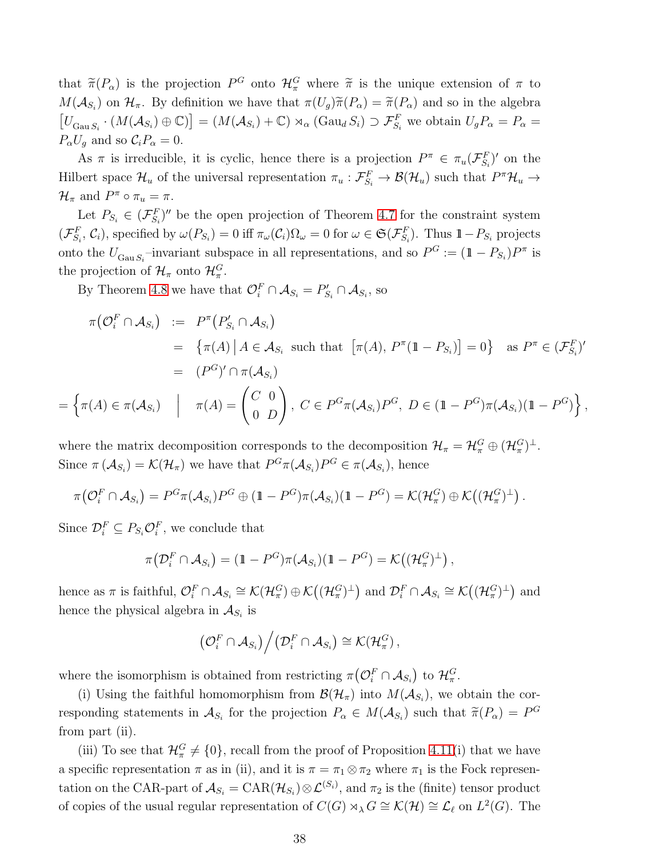that  $\widetilde{\pi}(P_{\alpha})$  is the projection  $P^G$  onto  $\mathcal{H}_{\pi}^G$  where  $\widetilde{\pi}$  is the unique extension of  $\pi$  to  $M(A_{S_i})$  on  $\mathcal{H}_{\pi}$ . By definition we have that  $\pi(U_g)\widetilde{\pi}(P_{\alpha}) = \widetilde{\pi}(P_{\alpha})$  and so in the algebra  $[U_{\text{Gau }S_i} \cdot (M(\mathcal{A}_{S_i}) \oplus \mathbb{C})] = (M(\mathcal{A}_{S_i}) + \mathbb{C}) \rtimes_\alpha (\text{Gau}_d S_i) \supset \mathcal{F}_{S_i}^F$  we obtain  $U_g P_\alpha = P_\alpha =$  $P_{\alpha}U_q$  and so  $C_iP_{\alpha}=0$ .

As  $\pi$  is irreducible, it is cyclic, hence there is a projection  $P^{\pi} \in \pi_u(\mathcal{F}_{S_i}^F)'$  on the Hilbert space  $\mathcal{H}_u$  of the universal representation  $\pi_u : \mathcal{F}^F_{S_i} \to \mathcal{B}(\mathcal{H}_u)$  such that  $P^{\pi}\mathcal{H}_u \to$  $\mathcal{H}_{\pi}$  and  $P^{\pi} \circ \pi_u = \pi$ .

Let  $P_{S_i} \in (\mathcal{F}_{S_i}^F)''$  be the open projection of Theorem [4.7](#page-31-0) for the constraint system  $(\mathcal{F}_{S_i}^F, \mathcal{C}_i)$ , specified by  $\omega(P_{S_i}) = 0$  iff  $\pi_\omega(\mathcal{C}_i) \Omega_\omega = 0$  for  $\omega \in \mathfrak{S}(\mathcal{F}_{S_i}^F)$ . Thus  $1\!\!1-P_{S_i}$  projects onto the  $U_{\text{Gau }S_i}$ -invariant subspace in all representations, and so  $P^G := (\mathbb{1} - P_{S_i})P^{\pi}$  is the projection of  $\mathcal{H}_{\pi}$  onto  $\mathcal{H}_{\pi}^G$ .

By Theorem [4.8](#page-31-1) we have that  $\mathcal{O}_i^F \cap \mathcal{A}_{S_i} = P'_{S_i}$  $S_i' \cap \mathcal{A}_{S_i}$ , so

$$
\pi\left(\mathcal{O}_i^F \cap \mathcal{A}_{S_i}\right) := P^{\pi}\left(P'_{S_i} \cap \mathcal{A}_{S_i}\right)
$$
  
\n
$$
= \left\{\pi(A) \mid A \in \mathcal{A}_{S_i} \text{ such that } \left[\pi(A), P^{\pi}(\mathbb{1} - P_{S_i})\right] = 0\right\} \text{ as } P^{\pi} \in (\mathcal{F}_{S_i}^F)'
$$
  
\n
$$
= (P^G)^{\prime} \cap \pi(\mathcal{A}_{S_i})
$$
  
\n
$$
\left\{\pi(A) \in \pi(\mathcal{A}_{S_i}) \mid \pi(A) = \begin{pmatrix} C & 0 \\ 0 & D \end{pmatrix}, C \in P^G \pi(\mathcal{A}_{S_i}) P^G, D \in (\mathbb{1} - P^G) \pi(\mathcal{A}_{S_i})(\mathbb{1} - P^G)\right\},
$$

where the matrix decomposition corresponds to the decomposition  $\mathcal{H}_{\pi} = \mathcal{H}_{\pi}^G \oplus (\mathcal{H}_{\pi}^G)^{\perp}$ . Since  $\pi(\mathcal{A}_{S_i}) = \mathcal{K}(\mathcal{H}_{\pi})$  we have that  $P^G \pi(\mathcal{A}_{S_i}) P^G \in \pi(\mathcal{A}_{S_i})$ , hence

$$
\pi\big(\mathcal{O}_i^F\cap\mathcal{A}_{S_i}\big)=P^G\pi(\mathcal{A}_{S_i})P^G\oplus\left(\mathbb{1}-P^G\right)\pi(\mathcal{A}_{S_i})(\mathbb{1}-P^G)=\mathcal{K}(\mathcal{H}_\pi^G)\oplus\mathcal{K}\big((\mathcal{H}_\pi^G)^{\perp}\big).
$$

Since  $\mathcal{D}_i^F \subseteq P_{S_i} \mathcal{O}_i^F$ , we conclude that

=

$$
\pi(\mathcal{D}_i^F \cap \mathcal{A}_{S_i}) = (\mathbb{1} - P^G) \pi(\mathcal{A}_{S_i}) (\mathbb{1} - P^G) = \mathcal{K}((\mathcal{H}_\pi^G)^{\perp}),
$$

hence as  $\pi$  is faithful,  $\mathcal{O}_i^F \cap \mathcal{A}_{S_i} \cong \mathcal{K}(\mathcal{H}_{\pi}^G) \oplus \mathcal{K}((\mathcal{H}_{\pi}^G)^{\perp})$  and  $\mathcal{D}_i^F \cap \mathcal{A}_{S_i} \cong \mathcal{K}((\mathcal{H}_{\pi}^G)^{\perp})$  and hence the physical algebra in  $\mathcal{A}_{S_i}$  is

$$
\left(\mathcal{O}_i^F\cap\mathcal{A}_{S_i}\right)\Big/\left(\mathcal{D}_i^F\cap\mathcal{A}_{S_i}\right)\cong\mathcal{K}(\mathcal{H}_\pi^G)\,,
$$

where the isomorphism is obtained from restricting  $\pi(\mathcal{O}_i^F \cap \mathcal{A}_{S_i})$  to  $\mathcal{H}_\pi^G$ .

(i) Using the faithful homomorphism from  $\mathcal{B}(\mathcal{H}_{\pi})$  into  $M(\mathcal{A}_{S_i})$ , we obtain the corresponding statements in  $\mathcal{A}_{S_i}$  for the projection  $P_\alpha \in M(\mathcal{A}_{S_i})$  such that  $\widetilde{\pi}(P_\alpha) = P^G$ from part (ii).

(iii) To see that  $\mathcal{H}^G_\pi \neq \{0\}$ , recall from the proof of Proposition [4.11\(](#page-34-0)i) that we have a specific representation  $\pi$  as in (ii), and it is  $\pi = \pi_1 \otimes \pi_2$  where  $\pi_1$  is the Fock representation on the CAR-part of  $\mathcal{A}_{S_i} = \text{CAR}(\mathcal{H}_{S_i}) \otimes \mathcal{L}^{(S_i)}$ , and  $\pi_2$  is the (finite) tensor product of copies of the usual regular representation of  $C(G) \rtimes_{\lambda} G \cong \mathcal{K}(\mathcal{H}) \cong \mathcal{L}_{\ell}$  on  $L^2(G)$ . The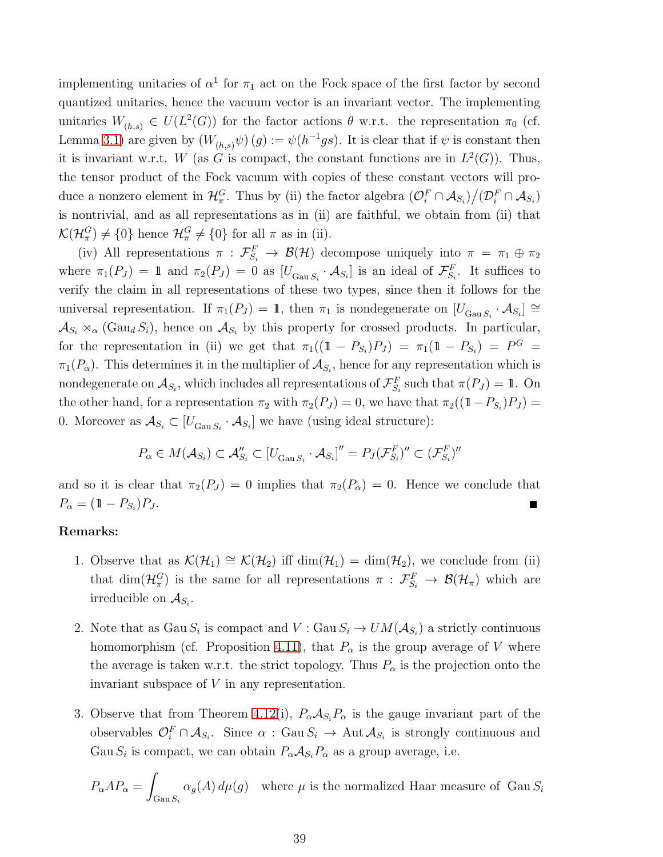implementing unitaries of  $\alpha^1$  for  $\pi_1$  act on the Fock space of the first factor by second quantized unitaries, hence the vacuum vector is an invariant vector. The implementing unitaries  $W_{(h,s)} \in U(L^2(G))$  for the factor actions  $\theta$  w.r.t. the representation  $\pi_0$  (cf. Lemma [3.1\)](#page-21-1) are given by  $(W_{(h,s)}\psi)(g) := \psi(h^{-1}gs)$ . It is clear that if  $\psi$  is constant then it is invariant w.r.t. W (as G is compact, the constant functions are in  $L^2(G)$ ). Thus, the tensor product of the Fock vacuum with copies of these constant vectors will produce a nonzero element in  $\mathcal{H}_{\pi}^G$ . Thus by (ii) the factor algebra  $(\mathcal{O}_i^F \cap \mathcal{A}_{S_i})/(\mathcal{D}_i^F \cap \mathcal{A}_{S_i})$ is nontrivial, and as all representations as in (ii) are faithful, we obtain from (ii) that  $\mathcal{K}(\mathcal{H}_{\pi}^G) \neq \{0\}$  hence  $\mathcal{H}_{\pi}^G \neq \{0\}$  for all  $\pi$  as in (ii).

(iv) All representations  $\pi : \mathcal{F}_{S_i}^F \to \mathcal{B}(\mathcal{H})$  decompose uniquely into  $\pi = \pi_1 \oplus \pi_2$ where  $\pi_1(P_J) = 1$  and  $\pi_2(P_J) = 0$  as  $[U_{\text{Gau }S_i} \cdot \mathcal{A}_{S_i}]$  is an ideal of  $\mathcal{F}_{S_i}^F$ . It suffices to verify the claim in all representations of these two types, since then it follows for the universal representation. If  $\pi_1(P_J) = \mathbb{1}$ , then  $\pi_1$  is nondegenerate on  $[U_{\text{Gau }S_i} \cdot A_{S_i}] \cong$  $\mathcal{A}_{S_i} \rtimes_\alpha (\text{Gau}_d S_i)$ , hence on  $\mathcal{A}_{S_i}$  by this property for crossed products. In particular, for the representation in (ii) we get that  $\pi_1((1 - P_{S_i})P_J) = \pi_1(1 - P_{S_i}) = P^G =$  $\pi_1(P_\alpha)$ . This determines it in the multiplier of  $\mathcal{A}_{S_i}$ , hence for any representation which is nondegenerate on  $\mathcal{A}_{S_i}$ , which includes all representations of  $\mathcal{F}_{S_i}^F$  such that  $\pi(P_J) = 1$ . On the other hand, for a representation  $\pi_2$  with  $\pi_2(P_J) = 0$ , we have that  $\pi_2((1 - P_{S_i})P_J) =$ 0. Moreover as  $A_{S_i} \subset [U_{\text{Gau }S_i} \cdot A_{S_i}]$  we have (using ideal structure):

$$
P_{\alpha} \in M(\mathcal{A}_{S_i}) \subset \mathcal{A}_{S_i}'' \subset [U_{\text{Gau }S_i} \cdot \mathcal{A}_{S_i}]'' = P_J(\mathcal{F}_{S_i}^F)'' \subset (\mathcal{F}_{S_i}^F)''
$$

and so it is clear that  $\pi_2(P_J) = 0$  implies that  $\pi_2(P_\alpha) = 0$ . Hence we conclude that  $P_{\alpha} = (1 - P_{S_i})P_J.$ 

#### Remarks:

- 1. Observe that as  $\mathcal{K}(\mathcal{H}_1) \cong \mathcal{K}(\mathcal{H}_2)$  iff  $\dim(\mathcal{H}_1) = \dim(\mathcal{H}_2)$ , we conclude from (ii) that  $\dim(\mathcal{H}_{\pi}^G)$  is the same for all representations  $\pi : \mathcal{F}_{S_i}^F \to \mathcal{B}(\mathcal{H}_{\pi})$  which are irreducible on  $\mathcal{A}_{S_i}$ .
- 2. Note that as  $\text{Gau } S_i$  is compact and  $V : \text{Gau } S_i \to UM(\mathcal{A}_{S_i})$  a strictly continuous homomorphism (cf. Proposition [4.11\)](#page-34-0), that  $P_{\alpha}$  is the group average of V where the average is taken w.r.t. the strict topology. Thus  $P_{\alpha}$  is the projection onto the invariant subspace of  $V$  in any representation.
- 3. Observe that from Theorem [4.12\(](#page-36-0)i),  $P_{\alpha}A_{S_i}P_{\alpha}$  is the gauge invariant part of the observables  $\mathcal{O}_i^F \cap \mathcal{A}_{S_i}$ . Since  $\alpha$ : Gau  $S_i \to$  Aut  $\mathcal{A}_{S_i}$  is strongly continuous and Gau  $S_i$  is compact, we can obtain  $P_{\alpha}A_{S_i}P_{\alpha}$  as a group average, i.e.

$$
P_{\alpha}AP_{\alpha} = \int_{\text{Gau }S_i} \alpha_g(A) d\mu(g) \quad \text{where } \mu \text{ is the normalized Haar measure of } \text{Gau } S_i
$$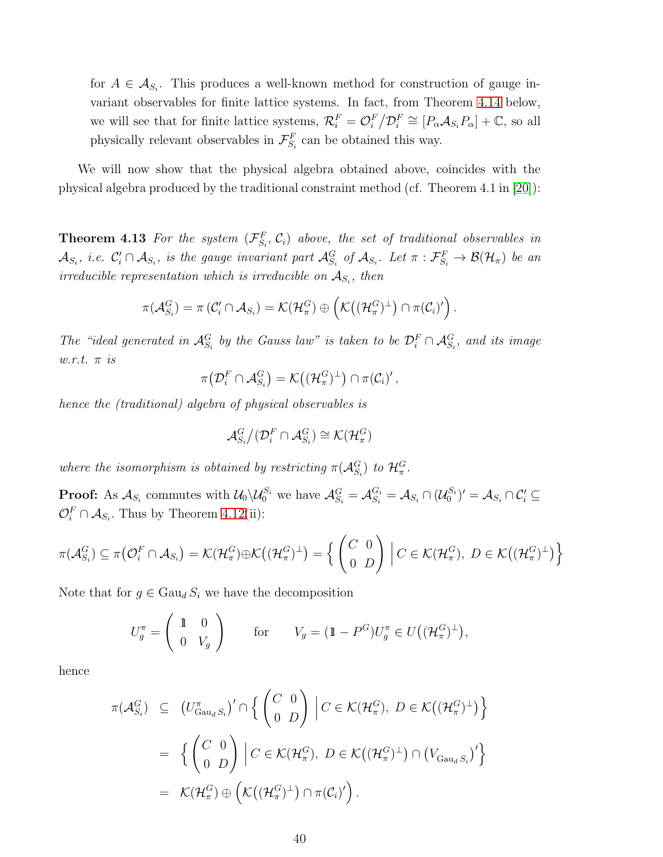for  $A \in \mathcal{A}_{S_i}$ . This produces a well-known method for construction of gauge invariant observables for finite lattice systems. In fact, from Theorem [4.14](#page-40-0) below, we will see that for finite lattice systems,  $\mathcal{R}_i^F = \mathcal{O}_i^F / \mathcal{D}_i^F \cong [P_\alpha A_{S_i} P_\alpha] + \mathbb{C}$ , so all physically relevant observables in  $\mathcal{F}_{S_i}^F$  can be obtained this way.

<span id="page-39-0"></span>We will now show that the physical algebra obtained above, coincides with the physical algebra produced by the traditional constraint method (cf. Theorem 4.1 in [\[20\]](#page-56-13)):

**Theorem 4.13** For the system  $(\mathcal{F}_{S_i}^F, \mathcal{C}_i)$  above, the set of traditional observables in  $\mathcal{A}_{S_i}$ , i.e.  $\mathcal{C}'_i \cap \mathcal{A}_{S_i}$ , is the gauge invariant part  $\mathcal{A}_{S_i}^G$  of  $\mathcal{A}_{S_i}$ . Let  $\pi : \mathcal{F}_{S_i}^F \to \mathcal{B}(\mathcal{H}_{\pi})$  be an irreducible representation which is irreducible on  $\mathcal{A}_{S_i}$ , then

$$
\pi(\mathcal{A}_{S_i}^G)=\pi(C_i'\cap\mathcal{A}_{S_i})=\mathcal{K}(\mathcal{H}_{\pi}^G)\oplus \left(\mathcal{K}((\mathcal{H}_{\pi}^G)^{\perp})\cap \pi(C_i)'\right).
$$

The "ideal generated in  $\mathcal{A}_{S_i}^G$  by the Gauss law" is taken to be  $\mathcal{D}_i^F \cap \mathcal{A}_{S_i}^G$ , and its image w.r.t.  $\pi$  is

$$
\pi\big(\mathcal{D}_i^F\cap\mathcal{A}_{S_i}^G\big)=\mathcal{K}\big((\mathcal{H}_\pi^G)^{\perp}\big)\cap\pi(\mathcal{C}_i)',
$$

hence the (traditional) algebra of physical observables is

$$
\mathcal{A}^G_{S_i}/(\mathcal{D}_i^F \cap \mathcal{A}^G_{S_i}) \cong \mathcal{K}(\mathcal{H}^G_\pi)
$$

where the isomorphism is obtained by restricting  $\pi(\mathcal{A}_{S_i}^G)$  to  $\mathcal{H}_{\pi}^G$ .

**Proof:** As  $\mathcal{A}_{S_i}$  commutes with  $\mathcal{U}_0 \backslash \mathcal{U}_0^{S_i}$  we have  $\mathcal{A}_{S_i}^G = \mathcal{A}_{S_i}^{G_i} = \mathcal{A}_{S_i} \cap (\mathcal{U}_0^{S_i})' = \mathcal{A}_{S_i} \cap \mathcal{C}_i' \subseteq$  $\mathcal{O}_i^F \cap \mathcal{A}_{S_i}$ . Thus by Theorem [4.12\(](#page-36-0)ii):

$$
\pi(\mathcal{A}_{S_i}^G) \subseteq \pi(\mathcal{O}_i^F \cap \mathcal{A}_{S_i}) = \mathcal{K}(\mathcal{H}_{\pi}^G) \oplus \mathcal{K}((\mathcal{H}_{\pi}^G)^{\perp}) = \left\{ \begin{pmatrix} C & 0 \\ 0 & D \end{pmatrix} \, \middle| \, C \in \mathcal{K}(\mathcal{H}_{\pi}^G), \ D \in \mathcal{K}((\mathcal{H}_{\pi}^G)^{\perp}) \right\}
$$

Note that for  $g \in \text{Gau}_d S_i$  we have the decomposition

$$
U_g^{\pi} = \begin{pmatrix} 1 & 0 \\ 0 & V_g \end{pmatrix} \quad \text{for} \quad V_g = (1 - P^G) U_g^{\pi} \in U((\mathcal{H}_\pi^G)^{\perp}),
$$

hence

$$
\pi(\mathcal{A}_{S_i}^G) \subseteq (U_{\text{Gau}_d S_i}^{\pi})' \cap \left\{ \begin{pmatrix} C & 0 \\ 0 & D \end{pmatrix} \middle| C \in \mathcal{K}(\mathcal{H}_{\pi}^G), D \in \mathcal{K}((\mathcal{H}_{\pi}^G)^{\perp}) \right\}
$$
  

$$
= \left\{ \begin{pmatrix} C & 0 \\ 0 & D \end{pmatrix} \middle| C \in \mathcal{K}(\mathcal{H}_{\pi}^G), D \in \mathcal{K}((\mathcal{H}_{\pi}^G)^{\perp}) \cap (V_{\text{Gau}_d S_i})' \right\}
$$
  

$$
= \mathcal{K}(\mathcal{H}_{\pi}^G) \oplus \left( \mathcal{K}((\mathcal{H}_{\pi}^G)^{\perp}) \cap \pi(C_i)'\right).
$$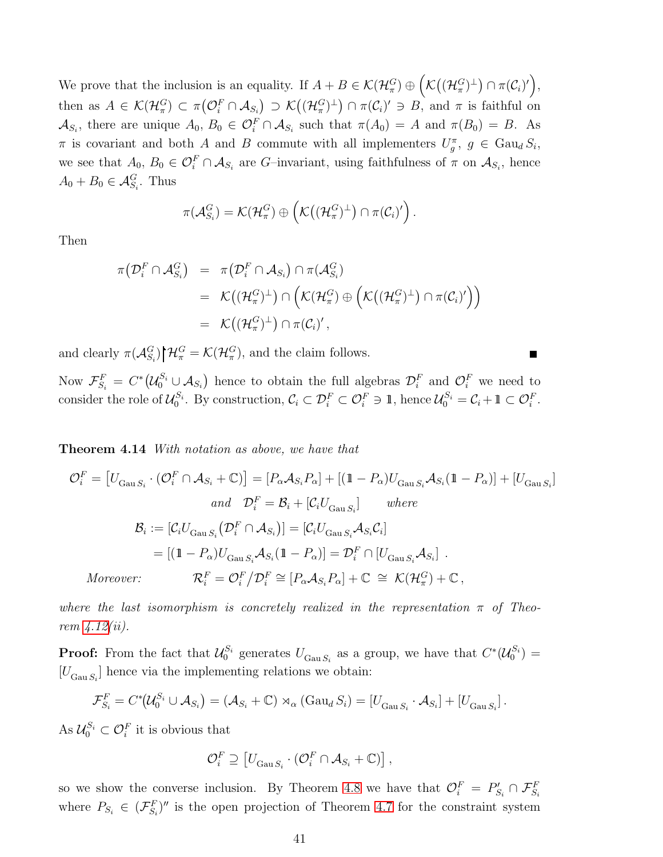We prove that the inclusion is an equality. If  $A + B \in \mathcal{K}(\mathcal{H}_{\pi}^G) \oplus \left( \mathcal{K}((\mathcal{H}_{\pi}^G)^{\perp}) \cap \pi(\mathcal{C}_i)' \right)$ , then as  $A \in \mathcal{K}(\mathcal{H}_{\pi}^G) \subset \pi(\mathcal{O}_i^F \cap \mathcal{A}_{S_i}) \supset \mathcal{K}((\mathcal{H}_{\pi}^G)^{\perp}) \cap \pi(\mathcal{C}_i)' \ni B$ , and  $\pi$  is faithful on  $\mathcal{A}_{S_i}$ , there are unique  $A_0, B_0 \in \mathcal{O}_i^F \cap \mathcal{A}_{S_i}$  such that  $\pi(A_0) = A$  and  $\pi(B_0) = B$ . As  $\pi$  is covariant and both A and B commute with all implementers  $U_g^{\pi}$ ,  $g \in \text{Gau}_d S_i$ , we see that  $A_0, B_0 \in \mathcal{O}_i^F \cap \mathcal{A}_{S_i}$  are G-invariant, using faithfulness of  $\pi$  on  $\mathcal{A}_{S_i}$ , hence  $A_0 + B_0 \in \mathcal{A}_{S_i}^G$ . Thus

$$
\pi({\mathcal A}_{S_i}^G) = \mathcal{K}({\mathcal H}_\pi^G) \oplus \left( \mathcal{K}\big(({\mathcal H}_\pi^G)^\perp\big) \cap \pi({\mathcal C}_i)' \right).
$$

Then

$$
\pi(\mathcal{D}_{i}^{F} \cap \mathcal{A}_{S_{i}}^{G}) = \pi(\mathcal{D}_{i}^{F} \cap \mathcal{A}_{S_{i}}) \cap \pi(\mathcal{A}_{S_{i}}^{G})
$$
  
\n
$$
= \mathcal{K}((\mathcal{H}_{\pi}^{G})^{\perp}) \cap (\mathcal{K}(\mathcal{H}_{\pi}^{G}) \oplus (\mathcal{K}((\mathcal{H}_{\pi}^{G})^{\perp}) \cap \pi(\mathcal{C}_{i})'))
$$
  
\n
$$
= \mathcal{K}((\mathcal{H}_{\pi}^{G})^{\perp}) \cap \pi(\mathcal{C}_{i})',
$$

and clearly  $\pi(\mathcal{A}_{S_i}^G)$   $\bigg\vert \mathcal{H}_{\pi}^G = \mathcal{K}(\mathcal{H}_{\pi}^G)$ , and the claim follows.

<span id="page-40-0"></span>Now  $\mathcal{F}^F_{S_i} = C^* (\mathcal{U}_0^{S_i} \cup \mathcal{A}_{S_i})$  hence to obtain the full algebras  $\mathcal{D}_i^F$  and  $\mathcal{O}_i^F$  we need to consider the role of  $\mathcal{U}_0^{S_i}$ . By construction,  $\mathcal{C}_i \subset \mathcal{D}_i^F \subset \mathcal{O}_i^F \ni \mathbb{I}$ , hence  $\mathcal{U}_0^{S_i} = \mathcal{C}_i + \mathbb{I} \subset \mathcal{O}_i^F$ .

Ξ

**Theorem 4.14** With notation as above, we have that

$$
\mathcal{O}_i^F = [U_{\text{Gau }S_i} \cdot (\mathcal{O}_i^F \cap \mathcal{A}_{S_i} + \mathbb{C})] = [P_{\alpha} \mathcal{A}_{S_i} P_{\alpha}] + [(1 - P_{\alpha}) U_{\text{Gau }S_i} \mathcal{A}_{S_i} (1 - P_{\alpha})] + [U_{\text{Gau }S_i}]
$$
  
\nand  $\mathcal{D}_i^F = \mathcal{B}_i + [\mathcal{C}_i U_{\text{Gau }S_i}]$  where  
\n
$$
\mathcal{B}_i := [\mathcal{C}_i U_{\text{Gau }S_i} (\mathcal{D}_i^F \cap \mathcal{A}_{S_i})] = [\mathcal{C}_i U_{\text{Gau }S_i} \mathcal{A}_{S_i} \mathcal{C}_i]
$$
  
\n
$$
= [(\mathbb{1} - P_{\alpha}) U_{\text{Gau }S_i} \mathcal{A}_{S_i} (\mathbb{1} - P_{\alpha})] = \mathcal{D}_i^F \cap [U_{\text{Gau }S_i} \mathcal{A}_{S_i}] .
$$
  
\nMoreover:  
\n
$$
\mathcal{R}_i^F = \mathcal{O}_i^F / \mathcal{D}_i^F \cong [P_{\alpha} \mathcal{A}_{S_i} P_{\alpha}] + \mathbb{C} \cong \mathcal{K}(\mathcal{H}_{\pi}^G) + \mathbb{C},
$$

where the last isomorphism is concretely realized in the representation  $\pi$  of Theorem [4.12\(](#page-36-0)ii).

**Proof:** From the fact that  $\mathcal{U}_0^{S_i}$  generates  $U_{\text{Gau }S_i}$  as a group, we have that  $C^*(\mathcal{U}_0^{S_i}) =$  $[U_{\text{Gau }S_i}]$  hence via the implementing relations we obtain:

$$
\mathcal{F}_{S_i}^F = C^* (\mathcal{U}_0^{S_i} \cup \mathcal{A}_{S_i}) = (\mathcal{A}_{S_i} + \mathbb{C}) \rtimes_{\alpha} (\text{Gau}_d S_i) = [U_{\text{Gau }S_i} \cdot \mathcal{A}_{S_i}] + [U_{\text{Gau }S_i}].
$$

As  $\mathcal{U}_0^{S_i} \subset \mathcal{O}_i^F$  it is obvious that

$$
\mathcal{O}_i^F \supseteq \left[ U_{\text{Gau } S_i} \cdot (\mathcal{O}_i^F \cap \mathcal{A}_{S_i} + \mathbb{C}) \right],
$$

so we show the converse inclusion. By Theorem [4.8](#page-31-1) we have that  $\mathcal{O}_i^F = P'_s$  $S_i \cap \mathcal{F}^F_{S_i}$ where  $P_{S_i} \in (\mathcal{F}_{S_i}^F)''$  is the open projection of Theorem [4.7](#page-31-0) for the constraint system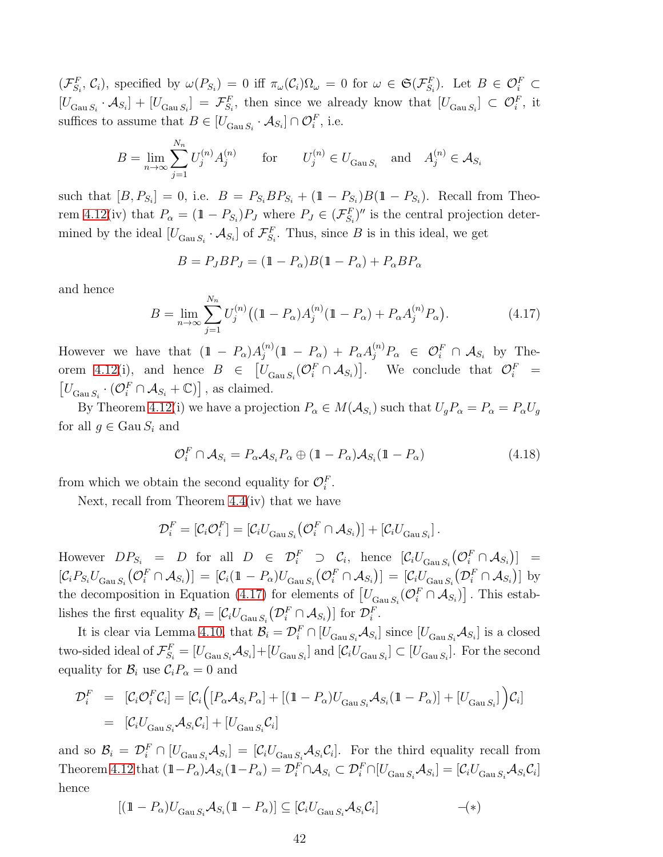$(\mathcal{F}_{S_i}^F, \mathcal{C}_i)$ , specified by  $\omega(P_{S_i}) = 0$  iff  $\pi_\omega(\mathcal{C}_i)\Omega_\omega = 0$  for  $\omega \in \mathfrak{S}(\mathcal{F}_{S_i}^F)$ . Let  $B \in \mathcal{O}_i^F \subset$  $[U_{\text{Gau }S_i} \cdot A_{S_i}] + [U_{\text{Gau }S_i}] = \mathcal{F}_{S_i}^F$ , then since we already know that  $[U_{\text{Gau }S_i}] \subset \mathcal{O}_i^F$ , it suffices to assume that  $B \in [U_{\text{Gau }S_i} \cdot \mathcal{A}_{S_i}] \cap \mathcal{O}_i^F$ , i.e.

$$
B = \lim_{n \to \infty} \sum_{j=1}^{N_n} U_j^{(n)} A_j^{(n)} \qquad \text{for} \qquad U_j^{(n)} \in U_{\text{Gau } S_i} \quad \text{and} \quad A_j^{(n)} \in \mathcal{A}_{S_i}
$$

such that  $[B, P_{S_i}] = 0$ , i.e.  $B = P_{S_i}BP_{S_i} + (\mathbb{1} - P_{S_i})B(\mathbb{1} - P_{S_i})$ . Recall from Theo-rem [4.12\(](#page-36-0)iv) that  $P_{\alpha} = (1 - P_{S_i})P_J$  where  $P_J \in (\mathcal{F}_{S_i}^F)'$  is the central projection determined by the ideal  $[U_{\text{Gau }S_i} \cdot A_{S_i}]$  of  $\mathcal{F}^F_{S_i}$ . Thus, since B is in this ideal, we get

$$
B = P_J B P_J = (\mathbb{1} - P_\alpha)B(\mathbb{1} - P_\alpha) + P_\alpha B P_\alpha
$$

and hence

<span id="page-41-0"></span>
$$
B = \lim_{n \to \infty} \sum_{j=1}^{N_n} U_j^{(n)} \big( (\mathbb{1} - P_\alpha) A_j^{(n)} (\mathbb{1} - P_\alpha) + P_\alpha A_j^{(n)} P_\alpha \big). \tag{4.17}
$$

However we have that  $(1 - P_{\alpha})A_i^{(n)}$  $j^{(n)}(1 - P_{\alpha}) + P_{\alpha}A_j^{(n)}P_{\alpha} \in \mathcal{O}_i^F \cap \mathcal{A}_{S_i}$  by The-orem [4.12\(](#page-36-0)i), and hence  $B \in [U_{\text{Gau }S_i}(\mathcal{O}_i^F \cap \mathcal{A}_{S_i})]$ . We conclude that  $\mathcal{O}_i^F =$  $\left[U_{\mathrm{Gau}\,S_i}\cdot\left(\mathcal{O}_i^F\cap\mathcal{A}_{S_i}+\mathbb{C}\right)\right]$  , as claimed.

By Theorem [4.12\(](#page-36-0)i) we have a projection  $P_{\alpha} \in M(\mathcal{A}_{S_i})$  such that  $U_g P_{\alpha} = P_{\alpha} = P_{\alpha} U_g$ for all  $g \in$  Gau  $S_i$  and

<span id="page-41-1"></span>
$$
\mathcal{O}_i^F \cap \mathcal{A}_{S_i} = P_\alpha \mathcal{A}_{S_i} P_\alpha \oplus (\mathbb{1} - P_\alpha) \mathcal{A}_{S_i} (\mathbb{1} - P_\alpha)
$$
\n(4.18)

from which we obtain the second equality for  $\mathcal{O}_i^F$ .

Next, recall from Theorem [4.4\(](#page-29-0)iv) that we have

$$
\mathcal{D}_i^F = [\mathcal{C}_i \mathcal{O}_i^F] = [\mathcal{C}_i U_{\text{Gau }S_i} (\mathcal{O}_i^F \cap \mathcal{A}_{S_i})] + [\mathcal{C}_i U_{\text{Gau }S_i}].
$$

However  $DP_{S_i}$  = D for all  $D \in \mathcal{D}_i^F \supset \mathcal{C}_i$ , hence  $[\mathcal{C}_i U_{\text{Gau }S_i} (\mathcal{O}_i^F \cap \mathcal{A}_{S_i})]$  =  $[\mathcal{C}_i P_{S_i} U_{\text{Gau } S_i} (O_i^F \cap \mathcal{A}_{S_i})] = [\mathcal{C}_i (1 - P_{\alpha}) U_{\text{Gau } S_i} (O_i^F \cap \mathcal{A}_{S_i})] = [\mathcal{C}_i U_{\text{Gau } S_i} (D_i^F \cap \mathcal{A}_{S_i})]$  by the decomposition in Equation [\(4.17\)](#page-41-0) for elements of  $[U_{\text{Gau }S_i}(\mathcal{O}_i^F \cap \mathcal{A}_{S_i})]$ . This establishes the first equality  $\mathcal{B}_i = [\mathcal{C}_i U_{\text{Gau } S_i} (\mathcal{D}_i^F \cap \mathcal{A}_{S_i})]$  for  $\mathcal{D}_i^F$ .

It is clear via Lemma [4.10,](#page-33-1) that  $\mathcal{B}_i = \mathcal{D}_i^F \cap [U_{\text{Gau } S_i} \mathcal{A}_{S_i}]$  since  $[U_{\text{Gau } S_i} \mathcal{A}_{S_i}]$  is a closed two-sided ideal of  $\mathcal{F}_{S_i}^F = [U_{\text{Gau }S_i} A_{S_i}] + [U_{\text{Gau }S_i}]$  and  $[\mathcal{C}_i U_{\text{Gau }S_i}] \subset [U_{\text{Gau }S_i}]$ . For the second equality for  $\mathcal{B}_i$  use  $\mathcal{C}_i P_\alpha = 0$  and

$$
\mathcal{D}_i^F = [C_i \mathcal{O}_i^F C_i] = [C_i \Big( [P_\alpha \mathcal{A}_{S_i} P_\alpha] + [(1 - P_\alpha) U_{\text{Gau } S_i} \mathcal{A}_{S_i} (1 - P_\alpha)] + [U_{\text{Gau } S_i}] \Big) C_i]
$$
  
=  $[C_i U_{\text{Gau } S_i} \mathcal{A}_{S_i} C_i] + [U_{\text{Gau } S_i} C_i]$ 

and so  $\mathcal{B}_i = \mathcal{D}_i^F \cap [U_{\text{Gau } S_i} A_{S_i}] = [\mathcal{C}_i U_{\text{Gau } S_i} A_{S_i} \mathcal{C}_i].$  For the third equality recall from Theorem [4.12](#page-36-0) that  $(1-P_\alpha)\mathcal{A}_{S_i}(1-P_\alpha)=\mathcal{D}_i^F\cap\mathcal{A}_{S_i}\subset \mathcal{D}_i^F\cap [U_{\text{Gau }S_i}\mathcal{A}_{S_i}]=[\mathcal{C}_iU_{\text{Gau }S_i}\mathcal{A}_{S_i}\mathcal{C}_i]$ hence

$$
[(\mathbb{1} - P_{\alpha})U_{\text{Gau }S_i} \mathcal{A}_{S_i} (\mathbb{1} - P_{\alpha})] \subseteq [\mathcal{C}_i U_{\text{Gau }S_i} \mathcal{A}_{S_i} \mathcal{C}_i] \tag{(*)}
$$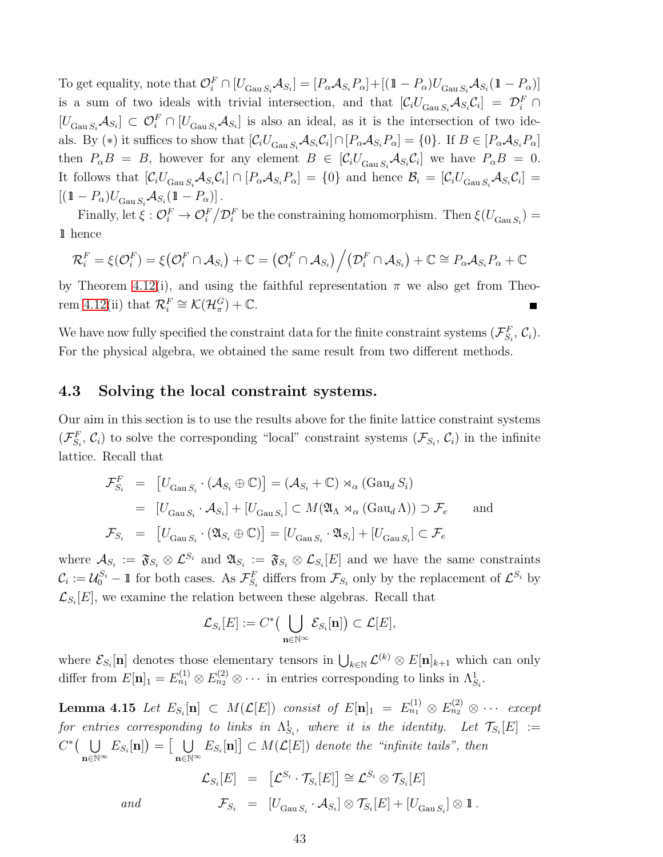To get equality, note that  $\mathcal{O}_i^F \cap [U_{\text{Gau }S_i} \mathcal{A}_{S_i}] = [P_\alpha \mathcal{A}_{S_i} P_\alpha] + [(1 - P_\alpha)U_{\text{Gau }S_i} \mathcal{A}_{S_i}(1 - P_\alpha)]$ is a sum of two ideals with trivial intersection, and that  $[\mathcal{C}_i U_{\text{Gau } S_i} A_{S_i} C_i] = \mathcal{D}_i^F \cap$  $[U_{\text{Gau }S_i}\mathcal{A}_{S_i}] \subset \mathcal{O}_i^F \cap [U_{\text{Gau }S_i}\mathcal{A}_{S_i}]$  is also an ideal, as it is the intersection of two ideals. By (\*) it suffices to show that  $[\mathcal{C}_i U_{\text{Gau }S_i} A_{S_i} \mathcal{C}_i] \cap [P_\alpha A_{S_i} P_\alpha] = \{0\}$ . If  $B \in [P_\alpha A_{S_i} P_\alpha]$ then  $P_{\alpha}B = B$ , however for any element  $B \in [C_i U_{\text{Gau } S_i} A_{S_i} C_i]$  we have  $P_{\alpha}B = 0$ . It follows that  $[\mathcal{C}_i U_{\text{Gau }S_i} A_{S_i} \mathcal{C}_i] \cap [P_\alpha A_{S_i} P_\alpha] = \{0\}$  and hence  $\mathcal{B}_i = [\mathcal{C}_i U_{\text{Gau }S_i} A_{S_i} \mathcal{C}_i] =$  $[(\mathbb{1}-P_{\alpha})U_{\text{Gau }S_i}\mathcal{A}_{S_i}(\mathbb{1}-P_{\alpha})].$ 

Finally, let  $\xi: \mathcal{O}_i^F \to \mathcal{O}_i^F/\mathcal{D}_i^F$  be the constraining homomorphism. Then  $\xi(U_{\text{Gau }S_i}) =$ 1l hence

$$
\mathcal{R}_i^F = \xi(\mathcal{O}_i^F) = \xi(\mathcal{O}_i^F \cap \mathcal{A}_{S_i}) + \mathbb{C} = (\mathcal{O}_i^F \cap \mathcal{A}_{S_i}) / (\mathcal{D}_i^F \cap \mathcal{A}_{S_i}) + \mathbb{C} \cong P_{\alpha} \mathcal{A}_{S_i} P_{\alpha} + \mathbb{C}
$$

by Theorem [4.12\(](#page-36-0)i), and using the faithful representation  $\pi$  we also get from Theo-rem [4.12\(](#page-36-0)ii) that  $\mathcal{R}_i^F \cong \mathcal{K}(\mathcal{H}_\pi^G) + \mathbb{C}$ .

We have now fully specified the constraint data for the finite constraint systems  $(\mathcal{F}^F_{S_i}, \mathcal{C}_i)$ . For the physical algebra, we obtained the same result from two different methods.

### <span id="page-42-0"></span>4.3 Solving the local constraint systems.

Our aim in this section is to use the results above for the finite lattice constraint systems  $(\mathcal{F}_{S_i}^F, \mathcal{C}_i)$  to solve the corresponding "local" constraint systems  $(\mathcal{F}_{S_i}, \mathcal{C}_i)$  in the infinite lattice. Recall that

$$
\mathcal{F}_{S_i}^F = [U_{\text{Gau } S_i} \cdot (\mathcal{A}_{S_i} \oplus \mathbb{C})] = (\mathcal{A}_{S_i} + \mathbb{C}) \rtimes_{\alpha} (\text{Gau}_d S_i)
$$
  
\n
$$
= [U_{\text{Gau } S_i} \cdot \mathcal{A}_{S_i}] + [U_{\text{Gau } S_i}] \subset M(\mathfrak{A}_{\Lambda} \rtimes_{\alpha} (\text{Gau}_d \Lambda)) \supset \mathcal{F}_e \quad \text{and}
$$
  
\n
$$
\mathcal{F}_{S_i} = [U_{\text{Gau } S_i} \cdot (\mathfrak{A}_{S_i} \oplus \mathbb{C})] = [U_{\text{Gau } S_i} \cdot \mathfrak{A}_{S_i}] + [U_{\text{Gau } S_i}] \subset \mathcal{F}_e
$$

where  $\mathcal{A}_{S_i} := \mathfrak{F}_{S_i} \otimes \mathcal{L}^{S_i}$  and  $\mathfrak{A}_{S_i} := \mathfrak{F}_{S_i} \otimes \mathcal{L}_{S_i}[E]$  and we have the same constraints  $\mathcal{C}_i := \mathcal{U}_0^{S_i} - \mathbb{1}$  for both cases. As  $\mathcal{F}_{S_i}^F$  differs from  $\mathcal{F}_{S_i}$  only by the replacement of  $\mathcal{L}^{S_i}$  by  $\mathcal{L}_{S_i}[E]$ , we examine the relation between these algebras. Recall that

$$
\mathcal{L}_{S_i}[E] := C^*\big(\bigcup_{\mathbf{n} \in \mathbb{N}^\infty} \mathcal{E}_{S_i}[\mathbf{n}]\big) \subset \mathcal{L}[E],
$$

<span id="page-42-1"></span>where  $\mathcal{E}_{S_i}[\mathbf{n}]$  denotes those elementary tensors in  $\bigcup_{k\in\mathbb{N}} \mathcal{L}^{(k)} \otimes E[\mathbf{n}]_{k+1}$  which can only differ from  $E[\mathbf{n}]_1 = E_{n_1}^{(1)} \otimes E_{n_2}^{(2)} \otimes \cdots$  in entries corresponding to links in  $\Lambda_{S_i}^1$ .

Lemma 4.15 Let  $E_{S_i}[{\bf n}] \;\subset\; M(\mathcal{L}[E])$  consist of  $E[{\bf n}]_1 \;=\; E_{n_1}^{(1)} \otimes E_{n_2}^{(2)} \otimes \cdots\; except$  $\emph{for entries corresponding to links in $\Lambda^1_{S_i}$, where it is the identity. Let $\mathcal{T}_{S_i}[E]$ :=$  $C^*$ ( U  $\bigcup_{\mathbf{n}\in\mathbb{N}^\infty}E_{S_i}[\mathbf{n}]\big)=\big[\bigcup_{\mathbf{n}\in\mathbb{N}}% \mathcal{P}_{S_i}[\mathbf{n}]\big]$  $\bigcup_{\mathbf{n}\in\mathbb{N}^{\infty}} E_{S_i}[\mathbf{n}] \subset M(\mathcal{L}[E])$  denote the "infinite tails", then

$$
\mathcal{L}_{S_i}[E] = [\mathcal{L}^{S_i} \cdot \mathcal{T}_{S_i}[E]] \cong \mathcal{L}^{S_i} \otimes \mathcal{T}_{S_i}[E]
$$
  
and  

$$
\mathcal{F}_{S_i} = [U_{\text{Gau }S_i} \cdot \mathcal{A}_{S_i}] \otimes \mathcal{T}_{S_i}[E] + [U_{\text{Gau }S_i}] \otimes \mathbb{1}.
$$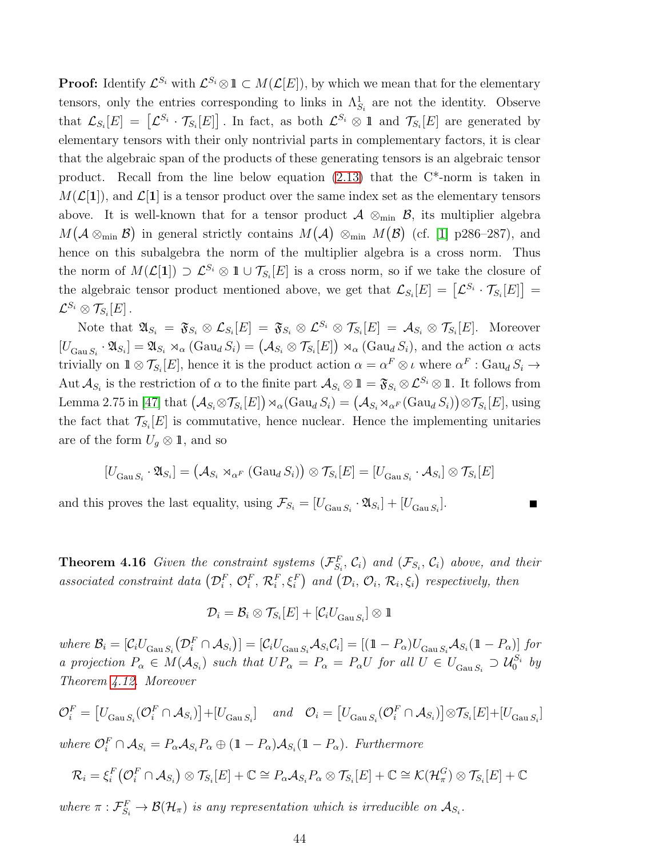**Proof:** Identify  $\mathcal{L}^{S_i}$  with  $\mathcal{L}^{S_i} \otimes \mathbb{1} \subset M(\mathcal{L}[E])$ , by which we mean that for the elementary tensors, only the entries corresponding to links in  $\Lambda_{S_i}^1$  are not the identity. Observe that  $\mathcal{L}_{S_i}[E] = [\mathcal{L}^{S_i} \cdot \mathcal{T}_{S_i}[E]]$ . In fact, as both  $\mathcal{L}^{S_i} \otimes \mathbb{1}$  and  $\mathcal{T}_{S_i}[E]$  are generated by elementary tensors with their only nontrivial parts in complementary factors, it is clear that the algebraic span of the products of these generating tensors is an algebraic tensor product. Recall from the line below equation  $(2.13)$  that the C<sup>\*</sup>-norm is taken in  $M(\mathcal{L}[1])$ , and  $\mathcal{L}[1]$  is a tensor product over the same index set as the elementary tensors above. It is well-known that for a tensor product  $\mathcal{A} \otimes_{\min} \mathcal{B}$ , its multiplier algebra  $M(\mathcal{A} \otimes_{min} \mathcal{B})$  in general strictly contains  $M(\mathcal{A}) \otimes_{min} M(\mathcal{B})$  (cf. [\[1\]](#page-54-4) p286-287), and hence on this subalgebra the norm of the multiplier algebra is a cross norm. Thus the norm of  $M(\mathcal{L}[\mathbf{1}]) \supset \mathcal{L}^{S_i} \otimes \mathbf{1} \cup \mathcal{T}_{S_i}[E]$  is a cross norm, so if we take the closure of the algebraic tensor product mentioned above, we get that  $\mathcal{L}_{S_i}[E] = [\mathcal{L}^{S_i} \cdot \mathcal{T}_{S_i}[E]] =$  ${\mathcal L}^{S_i}\otimes \mathcal{T}_{S_i}[E]$  .

Note that  $\mathfrak{A}_{S_i} = \mathfrak{F}_{S_i} \otimes \mathcal{L}_{S_i}[E] = \mathfrak{F}_{S_i} \otimes \mathcal{L}^{S_i} \otimes \mathcal{T}_{S_i}[E] = \mathcal{A}_{S_i} \otimes \mathcal{T}_{S_i}[E]$ . Moreover  $[U_{\text{Gau }S_i} \cdot \mathfrak{A}_{S_i}] = \mathfrak{A}_{S_i} \rtimes_\alpha (\text{Gau}_d S_i) = (\mathcal{A}_{S_i} \otimes \mathcal{T}_{S_i}[E]) \rtimes_\alpha (\text{Gau}_d S_i)$ , and the action  $\alpha$  acts trivially on  $\mathbb{1} \otimes \mathcal{T}_{S_i}[E]$ , hence it is the product action  $\alpha = \alpha^F \otimes \iota$  where  $\alpha^F : \text{Gau}_d S_i \to$ Aut  $\mathcal{A}_{S_i}$  is the restriction of  $\alpha$  to the finite part  $\mathcal{A}_{S_i} \otimes \mathbb{1} = \mathfrak{F}_{S_i} \otimes \mathcal{L}^{S_i} \otimes \mathbb{1}$ . It follows from Lemma 2.75 in [\[47\]](#page-58-2) that  $(A_{S_i} \otimes \mathcal{T}_{S_i}[E]) \rtimes_\alpha (\text{Gau}_d S_i) = (A_{S_i} \rtimes_{\alpha^F} (\text{Gau}_d S_i)) \otimes \mathcal{T}_{S_i}[E]$ , using the fact that  $\mathcal{T}_{S_i}[E]$  is commutative, hence nuclear. Hence the implementing unitaries are of the form  $U_g \otimes \mathbb{1}$ , and so

$$
[U_{\text{Gau }S_i} \cdot \mathfrak{A}_{S_i}] = (\mathcal{A}_{S_i} \rtimes_{\alpha^F} (\text{Gau}_d S_i)) \otimes \mathcal{T}_{S_i}[E] = [U_{\text{Gau }S_i} \cdot \mathcal{A}_{S_i}] \otimes \mathcal{T}_{S_i}[E]
$$

<span id="page-43-0"></span>and this proves the last equality, using  $\mathcal{F}_{S_i} = [U_{\text{Gau }S_i} \cdot \mathfrak{A}_{S_i}] + [U_{\text{Gau }S_i}]$ .

**Theorem 4.16** Given the constraint systems  $(\mathcal{F}_{S_i}^F, C_i)$  and  $(\mathcal{F}_{S_i}, C_i)$  above, and their associated constraint data  $(\mathcal{D}_{i}^{F}, \mathcal{O}_{i}^{F}, \mathcal{R}_{i}^{F}, \xi_{i}^{F})$  and  $(\mathcal{D}_{i}, \mathcal{O}_{i}, \mathcal{R}_{i}, \xi_{i})$  respectively, then

$$
\mathcal{D}_i = \mathcal{B}_i \otimes \mathcal{T}_{S_i}[E] + [\mathcal{C}_i U_{\text{Gau } S_i}] \otimes \mathbb{1}
$$

where  $\mathcal{B}_i = [\mathcal{C}_i U_{\text{Gau }S_i} (\mathcal{D}_i^F \cap \mathcal{A}_{S_i})] = [\mathcal{C}_i U_{\text{Gau }S_i} \mathcal{A}_{S_i} \mathcal{C}_i] = [(\mathbb{1} - P_{\alpha}) U_{\text{Gau }S_i} \mathcal{A}_{S_i} (\mathbb{1} - P_{\alpha})]$  for a projection  $P_{\alpha} \in M(\mathcal{A}_{S_i})$  such that  $UP_{\alpha} = P_{\alpha} = P_{\alpha}U$  for all  $U \in U_{\text{Gau }S_i} \supset \mathcal{U}_0^{S_i}$  by Theorem [4.12.](#page-36-0) Moreover

$$
\mathcal{O}_i^F = [U_{\text{Gau }S_i}(\mathcal{O}_i^F \cap \mathcal{A}_{S_i})] + [U_{\text{Gau }S_i}] \quad \text{and} \quad \mathcal{O}_i = [U_{\text{Gau }S_i}(\mathcal{O}_i^F \cap \mathcal{A}_{S_i})] \otimes \mathcal{T}_{S_i}[E] + [U_{\text{Gau }S_i}]
$$
  
where  $\mathcal{O}_i^F \cap \mathcal{A}_{S_i} = P_{\alpha} \mathcal{A}_{S_i} P_{\alpha} \oplus (\mathbb{1} - P_{\alpha}) \mathcal{A}_{S_i}(\mathbb{1} - P_{\alpha}).$  Furthermore

$$
\mathcal{R}_i = \xi_i^F \big( \mathcal{O}_i^F \cap \mathcal{A}_{S_i} \big) \otimes \mathcal{T}_{S_i}[E] + \mathbb{C} \cong P_{\alpha} \mathcal{A}_{S_i} P_{\alpha} \otimes \mathcal{T}_{S_i}[E] + \mathbb{C} \cong \mathcal{K}(\mathcal{H}_{\pi}^G) \otimes \mathcal{T}_{S_i}[E] + \mathbb{C}
$$

where  $\pi: \mathcal{F}_{S_i}^F \to \mathcal{B}(\mathcal{H}_\pi)$  is any representation which is irreducible on  $\mathcal{A}_{S_i}$ .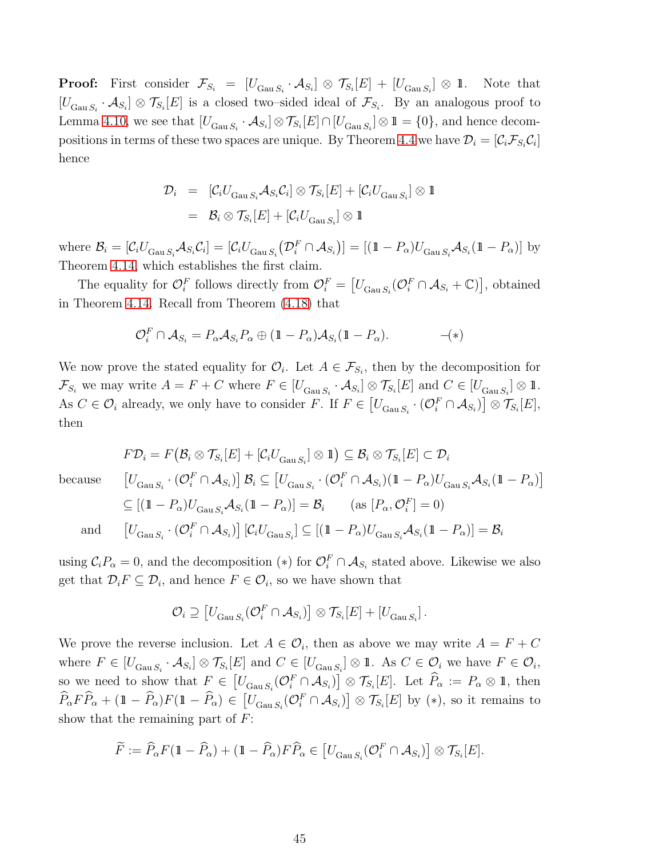**Proof:** First consider  $\mathcal{F}_{S_i} = [U_{\text{Gau }S_i} \cdot \mathcal{A}_{S_i}] \otimes \mathcal{T}_{S_i}[E] + [U_{\text{Gau }S_i}] \otimes \mathbb{1}$ . Note that  $[U_{\text{Gau }S_i} \cdot A_{S_i}] \otimes \mathcal{T}_{S_i}[E]$  is a closed two-sided ideal of  $\mathcal{F}_{S_i}$ . By an analogous proof to Lemma [4.10,](#page-33-1) we see that  $[U_{\text{Gau }S_i} \cdot A_{S_i}] \otimes \mathcal{T}_{S_i}[E] \cap [U_{\text{Gau }S_i}] \otimes 1 \mathcal{I} = \{0\}$ , and hence decom-positions in terms of these two spaces are unique. By Theorem [4.4](#page-29-0) we have  $\mathcal{D}_i = [\mathcal{C}_i \mathcal{F}_{S_i} \mathcal{C}_i]$ hence

$$
\mathcal{D}_{i} = [C_{i}U_{\text{Gau }S_{i}}\mathcal{A}_{S_{i}}C_{i}] \otimes \mathcal{T}_{S_{i}}[E] + [C_{i}U_{\text{Gau }S_{i}}] \otimes \mathbb{1}
$$

$$
= \mathcal{B}_{i} \otimes \mathcal{T}_{S_{i}}[E] + [C_{i}U_{\text{Gau }S_{i}}] \otimes \mathbb{1}
$$

where  $\mathcal{B}_i = [\mathcal{C}_i U_{\text{Gau } S_i} \mathcal{A}_{S_i} \mathcal{C}_i] = [\mathcal{C}_i U_{\text{Gau } S_i} (\mathcal{D}_i^F \cap \mathcal{A}_{S_i})] = [(\mathbb{1} - P_{\alpha}) U_{\text{Gau } S_i} \mathcal{A}_{S_i} (\mathbb{1} - P_{\alpha})]$  by Theorem [4.14,](#page-40-0) which establishes the first claim.

The equality for  $\mathcal{O}_i^F$  follows directly from  $\mathcal{O}_i^F = [U_{\text{Gau }S_i}(\mathcal{O}_i^F \cap \mathcal{A}_{S_i} + \mathbb{C})]$ , obtained in Theorem [4.14.](#page-40-0) Recall from Theorem [\(4.18\)](#page-41-1) that

$$
\mathcal{O}_i^F \cap \mathcal{A}_{S_i} = P_{\alpha} \mathcal{A}_{S_i} P_{\alpha} \oplus (\mathbb{1} - P_{\alpha}) \mathcal{A}_{S_i} (\mathbb{1} - P_{\alpha}). \tag{*}
$$

We now prove the stated equality for  $\mathcal{O}_i$ . Let  $A \in \mathcal{F}_{S_i}$ , then by the decomposition for  $\mathcal{F}_{S_i}$  we may write  $A = F + C$  where  $F \in [U_{\text{Gau }S_i} \cdot \mathcal{A}_{S_i}] \otimes \mathcal{T}_{S_i}[E]$  and  $C \in [U_{\text{Gau }S_i}] \otimes \mathbb{1}$ . As  $C \in \mathcal{O}_i$  already, we only have to consider F. If  $F \in [U_{\text{Gau }S_i} \cdot (\mathcal{O}_i^F \cap \mathcal{A}_{S_i})] \otimes \mathcal{T}_{S_i}[E],$ then

because

$$
F\mathcal{D}_i = F(\mathcal{B}_i \otimes \mathcal{T}_{S_i}[E] + [\mathcal{C}_i U_{\text{Gau } S_i}] \otimes 1) \subseteq \mathcal{B}_i \otimes \mathcal{T}_{S_i}[E] \subset \mathcal{D}_i
$$
  
ause 
$$
[U_{\text{Gau } S_i} \cdot (\mathcal{O}_i^F \cap \mathcal{A}_{S_i})] \mathcal{B}_i \subseteq [U_{\text{Gau } S_i} \cdot (\mathcal{O}_i^F \cap \mathcal{A}_{S_i}) (1 - P_{\alpha}) U_{\text{Gau } S_i} \mathcal{A}_{S_i} (1 - P_{\alpha})]
$$

$$
\subseteq [(1 - P_{\alpha}) U_{\text{Gau } S_i} \mathcal{A}_{S_i} (1 - P_{\alpha})] = \mathcal{B}_i \qquad (\text{as } [P_{\alpha}, \mathcal{O}_i^F] = 0)
$$
  
and 
$$
[U_{\text{Gau } S_i} \cdot (\mathcal{O}_i^F \cap \mathcal{A}_{S_i})] [C_i U_{\text{Gau } S_i}] \subseteq [(1 - P_{\alpha}) U_{\text{Gau } S_i} \mathcal{A}_{S_i} (1 - P_{\alpha})] = \mathcal{B}_i
$$

using  $C_i P_\alpha = 0$ , and the decomposition (\*) for  $\mathcal{O}_i^F \cap \mathcal{A}_{S_i}$  stated above. Likewise we also get that  $\mathcal{D}_i F \subseteq \mathcal{D}_i$ , and hence  $F \in \mathcal{O}_i$ , so we have shown that

$$
\mathcal{O}_i \supseteq \left[U_{\text{Gau }S_i}(\mathcal{O}_i^F \cap \mathcal{A}_{S_i})\right] \otimes \mathcal{T}_{S_i}[E] + \left[U_{\text{Gau }S_i}\right].
$$

We prove the reverse inclusion. Let  $A \in \mathcal{O}_i$ , then as above we may write  $A = F + C$ where  $F \in [U_{\text{Gau }S_i} \cdot \mathcal{A}_{S_i}] \otimes \mathcal{T}_{S_i}[E]$  and  $C \in [U_{\text{Gau }S_i}] \otimes \mathbb{1}$ . As  $C \in \mathcal{O}_i$  we have  $F \in \mathcal{O}_i$ , so we need to show that  $F \in [U_{\text{Gau }S_i}(\mathcal{O}_i^F \cap \mathcal{A}_{S_i})] \otimes \mathcal{T}_{S_i}[E]$ . Let  $\widehat{P}_{\alpha} := P_{\alpha} \otimes \mathbb{1}$ , then  $\widehat{P}_{\alpha}F\widehat{P}_{\alpha} + (\mathbb{1}-\widehat{P}_{\alpha})F(\mathbb{1}-\widehat{P}_{\alpha}) \in [U_{\text{Gau }S_i}(\mathcal{O}_i^F \cap \mathcal{A}_{S_i})] \otimes \mathcal{T}_{S_i}[E]$  by  $(*)$ , so it remains to show that the remaining part of  $F$ :

$$
\widetilde{F} := \widehat{P}_{\alpha} F(\mathbb{1} - \widehat{P}_{\alpha}) + (\mathbb{1} - \widehat{P}_{\alpha}) F \widehat{P}_{\alpha} \in [U_{\text{Gau } S_i}(\mathcal{O}_i^F \cap \mathcal{A}_{S_i})] \otimes \mathcal{T}_{S_i}[E].
$$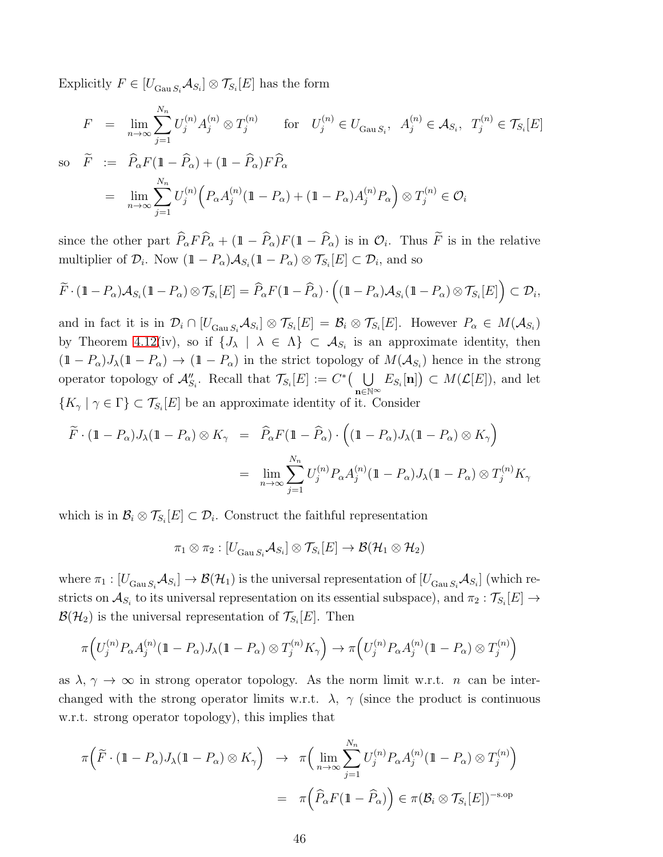Explicitly  $F \in [U_{\text{Gau }S_i} A_{S_i}] \otimes \mathcal{T}_{S_i}[E]$  has the form

$$
F = \lim_{n \to \infty} \sum_{j=1}^{N_n} U_j^{(n)} A_j^{(n)} \otimes T_j^{(n)} \quad \text{for} \quad U_j^{(n)} \in U_{\text{Gau } S_i}, \quad A_j^{(n)} \in \mathcal{A}_{S_i}, \quad T_j^{(n)} \in \mathcal{T}_{S_i}[E]
$$
  
so  $\widetilde{F} := \widehat{P}_{\alpha} F(\mathbb{1} - \widehat{P}_{\alpha}) + (\mathbb{1} - \widehat{P}_{\alpha}) F \widehat{P}_{\alpha}$   

$$
= \lim_{n \to \infty} \sum_{j=1}^{N_n} U_j^{(n)} \Big( P_{\alpha} A_j^{(n)} (\mathbb{1} - P_{\alpha}) + (\mathbb{1} - P_{\alpha}) A_j^{(n)} P_{\alpha} \Big) \otimes T_j^{(n)} \in \mathcal{O}_i
$$

since the other part  $P_{\alpha}FP_{\alpha} + (1 - P_{\alpha})F(1 - P_{\alpha})$  is in  $\mathcal{O}_i$ . Thus F is in the relative multiplier of  $\mathcal{D}_i$ . Now  $(1 - P_\alpha)\mathcal{A}_{S_i}(1 - P_\alpha) \otimes \mathcal{T}_{S_i}[E] \subset \mathcal{D}_i$ , and so

$$
\widetilde{F}\cdot(\mathbb{1}-P_{\alpha})\mathcal{A}_{S_i}(\mathbb{1}-P_{\alpha})\otimes\mathcal{T}_{S_i}[E]=\widehat{P}_{\alpha}F(\mathbb{1}-\widehat{P}_{\alpha})\cdot\big((\mathbb{1}-P_{\alpha})\mathcal{A}_{S_i}(\mathbb{1}-P_{\alpha})\otimes\mathcal{T}_{S_i}[E]\big)\subset\mathcal{D}_i,
$$

and in fact it is in  $\mathcal{D}_i \cap [U_{\text{Gau }S_i} A_{S_i}] \otimes \mathcal{T}_{S_i}[E] = \mathcal{B}_i \otimes \mathcal{T}_{S_i}[E]$ . However  $P_\alpha \in M(\mathcal{A}_{S_i})$ by Theorem [4.12\(](#page-36-0)iv), so if  $\{J_\lambda \mid \lambda \in \Lambda\} \subset \mathcal{A}_{S_i}$  is an approximate identity, then  $(1 - P_{\alpha})J_{\lambda}(1 - P_{\alpha}) \to (1 - P_{\alpha})$  in the strict topology of  $M(\mathcal{A}_{S_i})$  hence in the strong operator topology of  $\mathcal{A}''_{S_i}$ . Recall that  $\mathcal{T}_{S_i}[E] := C^*$  (  $\bigcup$  $\bigcup_{\mathbf{n}\in\mathbb{N}^\infty} E_{S_i}[\mathbf{n}] \subset M(\mathcal{L}[E]),$  and let  ${K_{\gamma} \mid \gamma \in \Gamma} \subset \mathcal{T}_{S_i}[E]$  be an approximate identity of it. Consider

$$
\widetilde{F} \cdot (\mathbb{1} - P_{\alpha}) J_{\lambda} (\mathbb{1} - P_{\alpha}) \otimes K_{\gamma} = \widehat{P}_{\alpha} F (\mathbb{1} - \widehat{P}_{\alpha}) \cdot \left( (\mathbb{1} - P_{\alpha}) J_{\lambda} (\mathbb{1} - P_{\alpha}) \otimes K_{\gamma} \right)
$$

$$
= \lim_{n \to \infty} \sum_{j=1}^{N_n} U_j^{(n)} P_{\alpha} A_j^{(n)} (\mathbb{1} - P_{\alpha}) J_{\lambda} (\mathbb{1} - P_{\alpha}) \otimes T_j^{(n)} K_{\gamma}
$$

which is in  $\mathcal{B}_i \otimes \mathcal{T}_{S_i}[E] \subset \mathcal{D}_i$ . Construct the faithful representation

$$
\pi_1 \otimes \pi_2 : [U_{\text{Gau } S_i} A_{S_i}] \otimes \mathcal{T}_{S_i}[E] \to \mathcal{B}(\mathcal{H}_1 \otimes \mathcal{H}_2)
$$

where  $\pi_1: [U_{\text{Gau }S_i} \mathcal{A}_{S_i}] \to \mathcal{B}(\mathcal{H}_1)$  is the universal representation of  $[U_{\text{Gau }S_i} \mathcal{A}_{S_i}]$  (which restricts on  $\mathcal{A}_{S_i}$  to its universal representation on its essential subspace), and  $\pi_2 : \mathcal{T}_{S_i}[E] \to$  $\mathcal{B}(\mathcal{H}_2)$  is the universal representation of  $\mathcal{T}_{S_i}[E]$ . Then

$$
\pi \Big( U_j^{(n)} P_\alpha A_j^{(n)} (\mathbb{1} - P_\alpha) J_\lambda (\mathbb{1} - P_\alpha) \otimes T_j^{(n)} K_\gamma \Big) \to \pi \Big( U_j^{(n)} P_\alpha A_j^{(n)} (\mathbb{1} - P_\alpha) \otimes T_j^{(n)} \Big)
$$

as  $\lambda, \gamma \to \infty$  in strong operator topology. As the norm limit w.r.t. *n* can be interchanged with the strong operator limits w.r.t.  $\lambda$ ,  $\gamma$  (since the product is continuous w.r.t. strong operator topology), this implies that

$$
\pi\left(\widetilde{F}\cdot(\mathbb{1}-P_{\alpha})J_{\lambda}(\mathbb{1}-P_{\alpha})\otimes K_{\gamma}\right) \rightarrow \pi\left(\lim_{n\to\infty}\sum_{j=1}^{N_n}U_j^{(n)}P_{\alpha}A_j^{(n)}(\mathbb{1}-P_{\alpha})\otimes T_j^{(n)}\right)
$$

$$
= \pi\left(\widehat{P}_{\alpha}F(\mathbb{1}-\widehat{P}_{\alpha})\right) \in \pi(\mathcal{B}_i\otimes\mathcal{T}_{S_i}[E])^{-s.\text{op}}
$$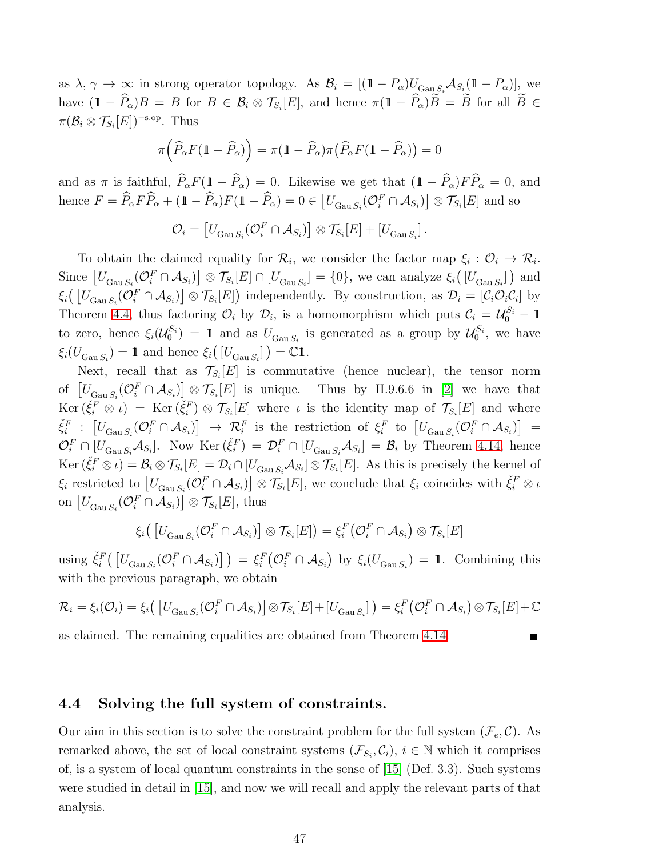as  $\lambda, \gamma \to \infty$  in strong operator topology. As  $\mathcal{B}_i = [(\mathbb{1} - P_\alpha)U_{\text{Gau}\mathcal{S}_i}\mathcal{A}_{\mathcal{S}_i}(\mathbb{1} - P_\alpha)],$  we have  $(1 - P_{\alpha})B = B$  for  $B \in \mathcal{B}_i \otimes \mathcal{T}_{S_i}[E]$ , and hence  $\pi(1 - P_{\alpha})B = B$  for all  $B \in$  $\pi(\mathcal{B}_i \otimes \mathcal{T}_{S_i}[E])^{-\text{s.op}}$ . Thus

$$
\pi\left(\widehat{P}_{\alpha}F(1-\widehat{P}_{\alpha})\right)=\pi(1-\widehat{P}_{\alpha})\pi\left(\widehat{P}_{\alpha}F(1-\widehat{P}_{\alpha})\right)=0
$$

and as  $\pi$  is faithful,  $\widehat{P}_{\alpha}F(1-\widehat{P}_{\alpha})=0$ . Likewise we get that  $(1-\widehat{P}_{\alpha})F\widehat{P}_{\alpha}=0$ , and hence  $F = \widehat{P}_{\alpha} F \widehat{P}_{\alpha} + (\mathbb{1} - \widehat{P}_{\alpha}) F(\mathbb{1} - \widehat{P}_{\alpha}) = 0 \in [U_{\text{Gau }S_i}(\mathcal{O}_i^F \cap \mathcal{A}_{S_i})] \otimes \mathcal{T}_{S_i}[E]$  and so

$$
\mathcal{O}_i = \left[ U_{\text{Gau }S_i}(\mathcal{O}_i^F \cap \mathcal{A}_{S_i}) \right] \otimes \mathcal{T}_{S_i}[E] + \left[ U_{\text{Gau }S_i} \right].
$$

To obtain the claimed equality for  $\mathcal{R}_i$ , we consider the factor map  $\xi_i$ :  $\mathcal{O}_i \to \mathcal{R}_i$ . Since  $[U_{\text{Gau }S_i}(O_i^F \cap A_{S_i})] \otimes \mathcal{T}_{S_i}[E] \cap [U_{\text{Gau }S_i}] = \{0\}$ , we can analyze  $\xi_i([U_{\text{Gau }S_i}])$  and  $\xi_i\big(\left[U_{\text{Gau }S_i}(\mathcal{O}_i^F \cap \mathcal{A}_{S_i})\right] \otimes \mathcal{T}_{S_i}[E]\big)$  independently. By construction, as  $\mathcal{D}_i = \left[\mathcal{C}_i \mathcal{O}_i \mathcal{C}_i\right]$  by Theorem [4.4,](#page-29-0) thus factoring  $\mathcal{O}_i$  by  $\mathcal{D}_i$ , is a homomorphism which puts  $\mathcal{C}_i = \mathcal{U}_0^{S_i} - \mathbb{1}$ to zero, hence  $\xi_i(\mathcal{U}_0^{S_i}) = 1$  and as  $U_{\text{Gau }S_i}$  is generated as a group by  $\mathcal{U}_0^{S_i}$ , we have  $\xi_i(U_{\text{Gau }S_i}) = 1$  and hence  $\xi_i([U_{\text{Gau }S_i}]) = \mathbb{C}1$ .

Next, recall that as  $\mathcal{T}_{S_i}[E]$  is commutative (hence nuclear), the tensor norm of  $[U_{\text{Gau }S_i}(\mathcal{O}_i^F \cap \mathcal{A}_{S_i})] \otimes \mathcal{T}_{S_i}[E]$  is unique. Thus by II.9.6.6 in [\[2\]](#page-54-2) we have that  $\text{Ker}(\check{\xi}_i^F \otimes \iota) = \text{Ker}(\check{\xi}_i^F) \otimes \mathcal{T}_{S_i}[E]$  where  $\iota$  is the identity map of  $\mathcal{T}_{S_i}[E]$  and where  $\check{\xi}_i^F$  :  $[U_{\text{Gau }S_i}(\mathcal{O}_i^F \cap \mathcal{A}_{S_i})] \rightarrow \mathcal{R}_i^F$  is the restriction of  $\xi_i^F$  to  $[U_{\text{Gau }S_i}(\mathcal{O}_i^F \cap \mathcal{A}_{S_i})] =$  $\mathcal{O}_i^F \cap [U_{\text{Gau }S_i}\mathcal{A}_{S_i}]$ . Now Ker  $(\check{\xi}_i^F) = \mathcal{D}_i^F \cap [U_{\text{Gau }S_i}\mathcal{A}_{S_i}] = \mathcal{B}_i$  by Theorem [4.14,](#page-40-0) hence  $\text{Ker } (\check{\xi}_i^F \otimes \iota) = \mathcal{B}_i \otimes \mathcal{T}_{S_i}[E] = \mathcal{D}_i \cap [U_{\text{Gau } S_i} \mathcal{A}_{S_i}] \otimes \mathcal{T}_{S_i}[E]$ . As this is precisely the kernel of  $\xi_i$  restricted to  $[U_{\text{Gau }S_i}(\mathcal{O}_i^F \cap \mathcal{A}_{S_i})] \otimes \mathcal{T}_{S_i}[E]$ , we conclude that  $\xi_i$  coincides with  $\check{\xi}_i^F \otimes \iota$ on  $[U_{\text{Gau }S_i}(\mathcal{O}_i^F \cap \mathcal{A}_{S_i})] \otimes \mathcal{T}_{S_i}[E]$ , thus

$$
\xi_i\big(\left[U_{\text{Gau }S_i}(\mathcal{O}_i^F \cap \mathcal{A}_{S_i})\right] \otimes \mathcal{T}_{S_i}[E]\big) = \xi_i^F\big(\mathcal{O}_i^F \cap \mathcal{A}_{S_i}\big) \otimes \mathcal{T}_{S_i}[E]
$$

using  $\check{\xi}_i^F\left(\left[U_{\text{Gau }S_i}(\mathcal{O}_i^F \cap \mathcal{A}_{S_i})\right]\right) = \xi_i^F\left(\mathcal{O}_i^F \cap \mathcal{A}_{S_i}\right)$  by  $\xi_i(U_{\text{Gau }S_i}) = 1$ . Combining this with the previous paragraph, we obtain

$$
\mathcal{R}_i = \xi_i(\mathcal{O}_i) = \xi_i \big( \left[ U_{\text{Gau } S_i}(\mathcal{O}_i^F \cap \mathcal{A}_{S_i}) \right] \otimes \mathcal{T}_{S_i}[E] + \left[ U_{\text{Gau } S_i} \right] \big) = \xi_i^F \big( \mathcal{O}_i^F \cap \mathcal{A}_{S_i} \big) \otimes \mathcal{T}_{S_i}[E] + \mathbb{C}
$$

as claimed. The remaining equalities are obtained from Theorem [4.14.](#page-40-0)

### <span id="page-46-0"></span>4.4 Solving the full system of constraints.

<span id="page-46-1"></span>Our aim in this section is to solve the constraint problem for the full system  $(\mathcal{F}_e, \mathcal{C})$ . As remarked above, the set of local constraint systems  $(\mathcal{F}_{S_i}, \mathcal{C}_i)$ ,  $i \in \mathbb{N}$  which it comprises of, is a system of local quantum constraints in the sense of [\[15\]](#page-55-2) (Def. 3.3). Such systems were studied in detail in [\[15\]](#page-55-2), and now we will recall and apply the relevant parts of that analysis.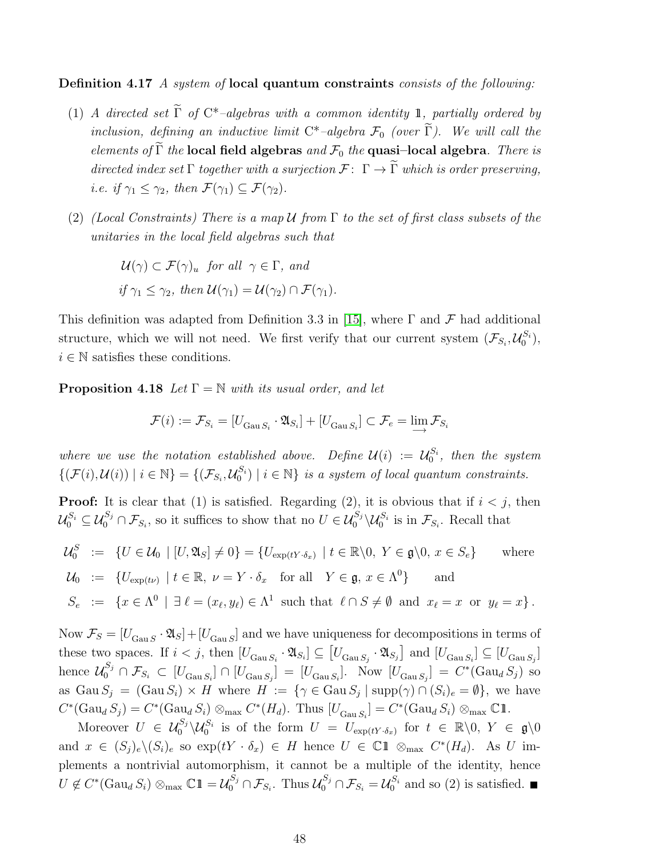Definition 4.17 A system of local quantum constraints consists of the following:

- (1) A directed set  $\tilde{\Gamma}$  of  $C^*$ -algebras with a common identity 1, partially ordered by inclusion, defining an inductive limit  $C^*$ -algebra  $\mathcal{F}_0$  (over  $\widetilde{\Gamma}$ ). We will call the elements of  $\widetilde{\Gamma}$  the local field algebras and  $\mathcal{F}_0$  the quasi-local algebra. There is directed index set  $\Gamma$  together with a surjection  $\mathcal{F} \colon \Gamma \to \widetilde{\Gamma}$  which is order preserving, *i.e.* if  $\gamma_1 \leq \gamma_2$ , then  $\mathcal{F}(\gamma_1) \subseteq \mathcal{F}(\gamma_2)$ .
- (2) (Local Constraints) There is a map  $\mathcal U$  from  $\Gamma$  to the set of first class subsets of the unitaries in the local field algebras such that

$$
\mathcal{U}(\gamma) \subset \mathcal{F}(\gamma)_u \text{ for all } \gamma \in \Gamma, \text{ and}
$$
  
if  $\gamma_1 \leq \gamma_2$ , then  $\mathcal{U}(\gamma_1) = \mathcal{U}(\gamma_2) \cap \mathcal{F}(\gamma_1)$ .

This definition was adapted from Definition 3.3 in [\[15\]](#page-55-2), where  $\Gamma$  and  $\mathcal F$  had additional structure, which we will not need. We first verify that our current system  $(\mathcal{F}_{S_i}, \mathcal{U}_0^{S_i})$ ,  $i \in \mathbb{N}$  satisfies these conditions.

**Proposition 4.18** Let  $\Gamma = \mathbb{N}$  with its usual order, and let

<span id="page-47-0"></span>
$$
\mathcal{F}(i) := \mathcal{F}_{S_i} = [U_{\text{Gau }S_i} \cdot \mathfrak{A}_{S_i}] + [U_{\text{Gau }S_i}] \subset \mathcal{F}_e = \lim_{\longrightarrow} \mathcal{F}_{S_i}
$$

where we use the notation established above. Define  $\mathcal{U}(i) := \mathcal{U}_0^{S_i}$ , then the system  $\{(\mathcal{F}(i),\mathcal{U}(i)) \mid i \in \mathbb{N}\} = \{(\mathcal{F}_{S_i},\mathcal{U}_0^{S_i}) \mid i \in \mathbb{N}\}\$ is a system of local quantum constraints.

**Proof:** It is clear that (1) is satisfied. Regarding (2), it is obvious that if  $i < j$ , then  $\mathcal{U}_0^{S_i} \subseteq \mathcal{U}_0^{S_j} \cap \mathcal{F}_{S_i}$ , so it suffices to show that no  $U \in \mathcal{U}_0^{S_j} \backslash \mathcal{U}_0^{S_i}$  is in  $\mathcal{F}_{S_i}$ . Recall that

 $\mathcal{U}^S_0$  $\begin{array}{lll} \mathcal{C} & \mathcal{C} & \mathcal{C} \end{array} \left[ U, \mathfrak{A}_S \right] \neq 0 \} = \{ U_{\exp(tY \cdot \delta_x)} \mid t \in \mathbb{R} \setminus 0, Y \in \mathfrak{g} \setminus 0, x \in S_e \}$  where  $\mathcal{U}_0$  :=  $\{U_{\exp(t\nu)} \mid t \in \mathbb{R}, \nu = Y \cdot \delta_x \text{ for all } Y \in \mathfrak{g}, x \in \Lambda^0\}$ and  $S_e := \{x \in \Lambda^0 \mid \exists \ell = (x_\ell, y_\ell) \in \Lambda^1 \text{ such that } \ell \cap S \neq \emptyset \text{ and } x_\ell = x \text{ or } y_\ell = x\}.$ 

Now  $\mathcal{F}_S = [U_{\text{Gau }S} \cdot \mathfrak{A}_S] + [U_{\text{Gau }S}]$  and we have uniqueness for decompositions in terms of these two spaces. If  $i < j$ , then  $[U_{\text{Gau }S_i} \cdot \mathfrak{A}_{S_i}] \subseteq [U_{\text{Gau }S_j} \cdot \mathfrak{A}_{S_j}]$  and  $[U_{\text{Gau }S_i}] \subseteq [U_{\text{Gau }S_j}]$ hence  $\mathcal{U}_0^{S_j} \cap \mathcal{F}_{S_i} \subset [U_{\text{Gau }S_i}] \cap [U_{\text{Gau }S_j}] = [U_{\text{Gau }S_i}]$ . Now  $[U_{\text{Gau }S_j}] = C^*(\text{Gau}_d S_j)$  so as  $\text{Gau}\,S_j = (\text{Gau}\,S_i) \times H$  where  $H := \{ \gamma \in \text{Gau}\,S_j \mid \text{supp}(\gamma) \cap (S_i)_e = \emptyset \},\,$  we have  $C^*(\text{Gau}_d S_j) = C^*(\text{Gau}_d S_i) \otimes_{\text{max}} C^*(H_d)$ . Thus  $[U_{\text{Gau }S_i}] = C^*(\text{Gau}_d S_i) \otimes_{\text{max}} \mathbb{C} \mathbb{1}$ .

Moreover  $U \in \mathcal{U}_0^{S_j} \setminus \mathcal{U}_0^{S_i}$  is of the form  $U = U_{\exp(tY \cdot \delta_x)}$  for  $t \in \mathbb{R} \setminus 0, Y \in \mathfrak{g} \setminus 0$ and  $x \in (S_j)_e \setminus (S_i)_e$  so  $\exp(tY \cdot \delta_x) \in H$  hence  $U \in \mathbb{C} \mathbb{1} \otimes_{\max} C^*(H_d)$ . As U implements a nontrivial automorphism, it cannot be a multiple of the identity, hence  $U \notin C^*(\text{Gau}_d S_i) \otimes_{\text{max}} \mathbb{C}1 \mathbb{1} = \mathcal{U}_0^{S_j} \cap \mathcal{F}_{S_i}$ . Thus  $\mathcal{U}_0^{S_j} \cap \mathcal{F}_{S_i} = \mathcal{U}_0^{S_i}$  and so (2) is satisfied.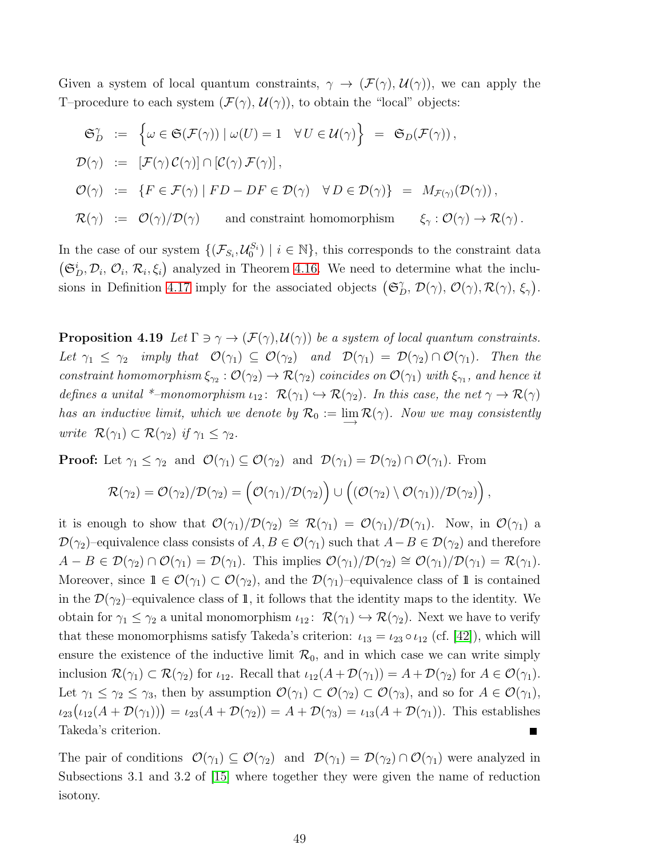Given a system of local quantum constraints,  $\gamma \to (\mathcal{F}(\gamma), \mathcal{U}(\gamma))$ , we can apply the T–procedure to each system  $(\mathcal{F}(\gamma), \mathcal{U}(\gamma))$ , to obtain the "local" objects:

$$
\mathfrak{S}_{D}^{\gamma} := \left\{ \omega \in \mathfrak{S}(\mathcal{F}(\gamma)) \mid \omega(U) = 1 \quad \forall U \in \mathcal{U}(\gamma) \right\} = \mathfrak{S}_{D}(\mathcal{F}(\gamma)),
$$
  
\n
$$
\mathcal{D}(\gamma) := \left[ \mathcal{F}(\gamma) \mathcal{C}(\gamma) \right] \cap \left[ \mathcal{C}(\gamma) \mathcal{F}(\gamma) \right],
$$
  
\n
$$
\mathcal{O}(\gamma) := \left\{ F \in \mathcal{F}(\gamma) \mid FD - DF \in \mathcal{D}(\gamma) \quad \forall D \in \mathcal{D}(\gamma) \right\} = M_{\mathcal{F}(\gamma)}(\mathcal{D}(\gamma)),
$$
  
\n
$$
\mathcal{R}(\gamma) := \mathcal{O}(\gamma) / \mathcal{D}(\gamma) \quad \text{and constraint homomorphism} \quad \xi_{\gamma} : \mathcal{O}(\gamma) \to \mathcal{R}(\gamma).
$$

In the case of our system  $\{(\mathcal{F}_{S_i}, \mathcal{U}_0^{S_i}) \mid i \in \mathbb{N}\},\$  this corresponds to the constraint data  $(\mathfrak{S}_D^i, \mathcal{D}_i, \mathcal{O}_i, \mathcal{R}_i, \xi_i)$  analyzed in Theorem [4.16.](#page-43-0) We need to determine what the inclu-sions in Definition [4.17](#page-46-1) imply for the associated objects  $(\mathfrak{S}_{D}^{\gamma}, \mathcal{D}(\gamma), \mathcal{O}(\gamma), \mathcal{R}(\gamma), \xi_{\gamma})$ .

**Proposition 4.19** Let  $\Gamma \ni \gamma \to (\mathcal{F}(\gamma), \mathcal{U}(\gamma))$  be a system of local quantum constraints. Let  $\gamma_1 \leq \gamma_2$  imply that  $\mathcal{O}(\gamma_1) \subseteq \mathcal{O}(\gamma_2)$  and  $\mathcal{D}(\gamma_1) = \mathcal{D}(\gamma_2) \cap \mathcal{O}(\gamma_1)$ . Then the constraint homomorphism  $\xi_{\gamma_2} : \mathcal{O}(\gamma_2) \to \mathcal{R}(\gamma_2)$  coincides on  $\mathcal{O}(\gamma_1)$  with  $\xi_{\gamma_1}$ , and hence it defines a unital \*-monomorphism  $\iota_{12}$ :  $\mathcal{R}(\gamma_1) \hookrightarrow \mathcal{R}(\gamma_2)$ . In this case, the net  $\gamma \to \mathcal{R}(\gamma)$ has an inductive limit, which we denote by  $\mathcal{R}_0 := \lim_{\longrightarrow} \mathcal{R}(\gamma)$ . Now we may consistently write  $\mathcal{R}(\gamma_1) \subset \mathcal{R}(\gamma_2)$  if  $\gamma_1 \leq \gamma_2$ .

**Proof:** Let  $\gamma_1 \leq \gamma_2$  and  $\mathcal{O}(\gamma_1) \subseteq \mathcal{O}(\gamma_2)$  and  $\mathcal{D}(\gamma_1) = \mathcal{D}(\gamma_2) \cap \mathcal{O}(\gamma_1)$ . From

$$
\mathcal{R}(\gamma_2)=\mathcal{O}(\gamma_2)/\mathcal{D}(\gamma_2)=\Big(\mathcal{O}(\gamma_1)/\mathcal{D}(\gamma_2)\Big)\cup\Big((\mathcal{O}(\gamma_2)\setminus\mathcal{O}(\gamma_1))/\mathcal{D}(\gamma_2)\Big)\,,
$$

it is enough to show that  $\mathcal{O}(\gamma_1)/\mathcal{D}(\gamma_2) \cong \mathcal{R}(\gamma_1) = \mathcal{O}(\gamma_1)/\mathcal{D}(\gamma_1)$ . Now, in  $\mathcal{O}(\gamma_1)$  a  $\mathcal{D}(\gamma_2)$ –equivalence class consists of  $A, B \in \mathcal{O}(\gamma_1)$  such that  $A - B \in \mathcal{D}(\gamma_2)$  and therefore  $A - B \in \mathcal{D}(\gamma_2) \cap \mathcal{O}(\gamma_1) = \mathcal{D}(\gamma_1)$ . This implies  $\mathcal{O}(\gamma_1)/\mathcal{D}(\gamma_2) \cong \mathcal{O}(\gamma_1)/\mathcal{D}(\gamma_1) = \mathcal{R}(\gamma_1)$ . Moreover, since  $1 \in \mathcal{O}(\gamma_1) \subset \mathcal{O}(\gamma_2)$ , and the  $\mathcal{D}(\gamma_1)$ -equivalence class of 1 is contained in the  $\mathcal{D}(\gamma_2)$ –equivalence class of 1, it follows that the identity maps to the identity. We obtain for  $\gamma_1 \leq \gamma_2$  a unital monomorphism  $\iota_{12} : \mathcal{R}(\gamma_1) \hookrightarrow \mathcal{R}(\gamma_2)$ . Next we have to verify that these monomorphisms satisfy Takeda's criterion:  $\iota_{13} = \iota_{23} \circ \iota_{12}$  (cf. [\[42\]](#page-57-11)), which will ensure the existence of the inductive limit  $\mathcal{R}_0$ , and in which case we can write simply inclusion  $\mathcal{R}(\gamma_1) \subset \mathcal{R}(\gamma_2)$  for  $\iota_{12}$ . Recall that  $\iota_{12}(A + \mathcal{D}(\gamma_1)) = A + \mathcal{D}(\gamma_2)$  for  $A \in \mathcal{O}(\gamma_1)$ . Let  $\gamma_1 \leq \gamma_2 \leq \gamma_3$ , then by assumption  $\mathcal{O}(\gamma_1) \subset \mathcal{O}(\gamma_2) \subset \mathcal{O}(\gamma_3)$ , and so for  $A \in \mathcal{O}(\gamma_1)$ ,  $u_{23}(\iota_{12}(A+\mathcal{D}(\gamma_1))) = \iota_{23}(A+\mathcal{D}(\gamma_2)) = A+\mathcal{D}(\gamma_3) = \iota_{13}(A+\mathcal{D}(\gamma_1)).$  This establishes Takeda's criterion.  $\blacksquare$ 

The pair of conditions  $\mathcal{O}(\gamma_1) \subseteq \mathcal{O}(\gamma_2)$  and  $\mathcal{D}(\gamma_1) = \mathcal{D}(\gamma_2) \cap \mathcal{O}(\gamma_1)$  were analyzed in Subsections 3.1 and 3.2 of [\[15\]](#page-55-2) where together they were given the name of reduction isotony.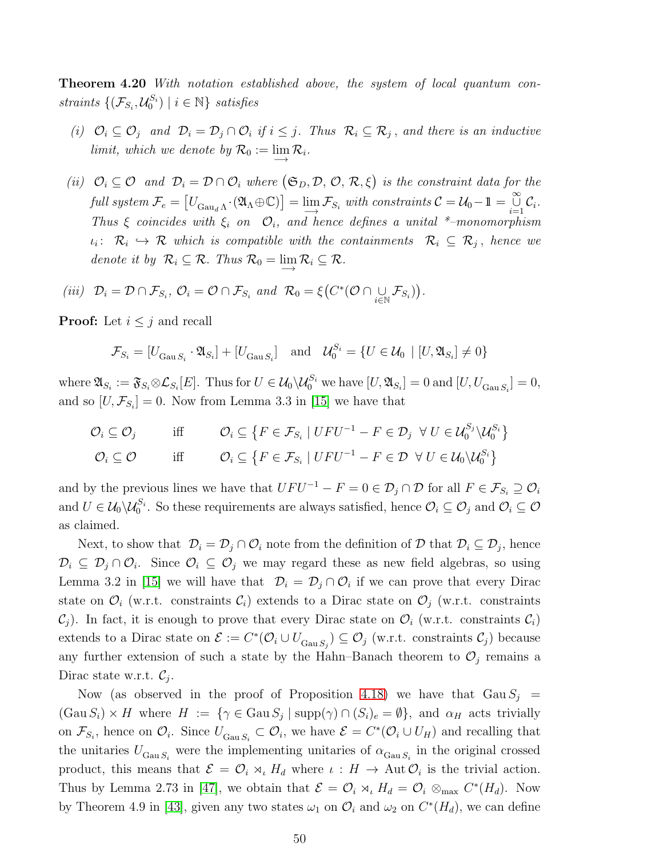Theorem 4.20 With notation established above, the system of local quantum constraints  $\{(\mathcal{F}_{S_i}, \mathcal{U}_0^{S_i}) \mid i \in \mathbb{N}\}\$  satisfies

- (i)  $\mathcal{O}_i \subseteq \mathcal{O}_j$  and  $\mathcal{D}_i = \mathcal{D}_j \cap \mathcal{O}_i$  if  $i \leq j$ . Thus  $\mathcal{R}_i \subseteq \mathcal{R}_j$ , and there is an inductive limit, which we denote by  $\mathcal{R}_0 := \lim_{n \to \infty} \mathcal{R}_i$ .
- (ii)  $\mathcal{O}_i \subseteq \mathcal{O}$  and  $\mathcal{D}_i = \mathcal{D} \cap \mathcal{O}_i$  where  $(\mathfrak{S}_D, \mathcal{D}, \mathcal{O}, \mathcal{R}, \xi)$  is the constraint data for the  $full system \ \mathcal{F}_e = \left[ U_{\text{Gau}_d \Lambda} \cdot (\mathfrak{A}_{\Lambda} \oplus \mathbb{C}) \right] = \lim_{\longrightarrow} \mathcal{F}_{S_i} \ with \ constraints \ \mathcal{C} = \mathcal{U}_0 - \mathbb{1} = \bigcup_{i=1}^{\infty} \mathcal{C}_i.$ Thus  $\xi$  coincides with  $\xi_i$  on  $\mathcal{O}_i$ , and hence defines a unital \*-monomorphism  $\iota_i\colon\; \mathcal{R}_i \,\hookrightarrow\, \mathcal{R}$  which is compatible with the containments  $\mathcal{R}_i \,\subseteq\, \mathcal{R}_j$ , hence we denote it by  $\mathcal{R}_i \subseteq \mathcal{R}$ . Thus  $\mathcal{R}_0 = \lim_{\longrightarrow} \mathcal{R}_i \subseteq \mathcal{R}$ .

$$
(iii) \quad \mathcal{D}_i = \mathcal{D} \cap \mathcal{F}_{S_i}, \ \mathcal{O}_i = \mathcal{O} \cap \mathcal{F}_{S_i} \ \text{and} \ \ \mathcal{R}_0 = \xi \big( C^*(\mathcal{O} \cap \bigcup_{i \in \mathbb{N}} \mathcal{F}_{S_i}) \big).
$$

**Proof:** Let  $i \leq j$  and recall

$$
\mathcal{F}_{S_i} = [U_{\text{Gau }S_i} \cdot \mathfrak{A}_{S_i}] + [U_{\text{Gau }S_i}] \quad \text{and} \quad \mathcal{U}_0^{S_i} = \{ U \in \mathcal{U}_0 \mid [U, \mathfrak{A}_{S_i}] \neq 0 \}
$$

where  $\mathfrak{A}_{S_i} := \mathfrak{F}_{S_i} \otimes \mathcal{L}_{S_i}[E]$ . Thus for  $U \in \mathcal{U}_0 \backslash \mathcal{U}_0^{S_i}$  we have  $[U, \mathfrak{A}_{S_i}] = 0$  and  $[U, U_{\text{Gau }S_i}] = 0$ , and so  $[U, \mathcal{F}_{S_i}] = 0$ . Now from Lemma 3.3 in [\[15\]](#page-55-2) we have that

$$
\mathcal{O}_i \subseteq \mathcal{O}_j \quad \text{if} \quad \mathcal{O}_i \subseteq \left\{ F \in \mathcal{F}_{S_i} \mid UFU^{-1} - F \in \mathcal{D}_j \ \forall \ U \in \mathcal{U}_0^{S_j} \setminus \mathcal{U}_0^{S_i} \right\}
$$
\n
$$
\mathcal{O}_i \subseteq \mathcal{O} \quad \text{if} \quad \mathcal{O}_i \subseteq \left\{ F \in \mathcal{F}_{S_i} \mid UFU^{-1} - F \in \mathcal{D} \ \forall \ U \in \mathcal{U}_0 \setminus \mathcal{U}_0^{S_i} \right\}
$$

and by the previous lines we have that  $UFU^{-1} - F = 0 \in \mathcal{D}_j \cap \mathcal{D}$  for all  $F \in \mathcal{F}_{S_i} \supseteq \mathcal{O}_i$ and  $U \in \mathcal{U}_0 \backslash \mathcal{U}_0^{S_i}$ . So these requirements are always satisfied, hence  $\mathcal{O}_i \subseteq \mathcal{O}_j$  and  $\mathcal{O}_i \subseteq \mathcal{O}$ as claimed.

Next, to show that  $\mathcal{D}_i = \mathcal{D}_j \cap \mathcal{O}_i$  note from the definition of  $\mathcal{D}$  that  $\mathcal{D}_i \subseteq \mathcal{D}_j$ , hence  $\mathcal{D}_i \subseteq \mathcal{D}_j \cap \mathcal{O}_i$ . Since  $\mathcal{O}_i \subseteq \mathcal{O}_j$  we may regard these as new field algebras, so using Lemma 3.2 in [\[15\]](#page-55-2) we will have that  $\mathcal{D}_i = \mathcal{D}_j \cap \mathcal{O}_i$  if we can prove that every Dirac state on  $\mathcal{O}_i$  (w.r.t. constraints  $\mathcal{C}_i$ ) extends to a Dirac state on  $\mathcal{O}_j$  (w.r.t. constraints  $\mathcal{C}_j$ ). In fact, it is enough to prove that every Dirac state on  $\mathcal{O}_i$  (w.r.t. constraints  $\mathcal{C}_i$ ) extends to a Dirac state on  $\mathcal{E} := C^*(\mathcal{O}_i \cup U_{\text{Gau } S_j}) \subseteq \mathcal{O}_j$  (w.r.t. constraints  $\mathcal{C}_j$ ) because any further extension of such a state by the Hahn–Banach theorem to  $\mathcal{O}_j$  remains a Dirac state w.r.t.  $\mathcal{C}_j$ .

Now (as observed in the proof of Proposition [4.18\)](#page-47-0) we have that  $Gau S_i$  =  $(\text{Gau } S_i) \times H$  where  $H := \{ \gamma \in \text{Gau } S_j \mid \text{supp}(\gamma) \cap (S_i)_e = \emptyset \}$ , and  $\alpha_H$  acts trivially on  $\mathcal{F}_{S_i}$ , hence on  $\mathcal{O}_i$ . Since  $U_{\text{Gau }S_i} \subset \mathcal{O}_i$ , we have  $\mathcal{E} = C^*(\mathcal{O}_i \cup U_H)$  and recalling that the unitaries  $U_{\text{Gau }S_i}$  were the implementing unitaries of  $\alpha_{\text{Gau }S_i}$  in the original crossed product, this means that  $\mathcal{E} = \mathcal{O}_i \rtimes_{\iota} H_d$  where  $\iota : H \to \text{Aut } \mathcal{O}_i$  is the trivial action. Thus by Lemma 2.73 in [\[47\]](#page-58-2), we obtain that  $\mathcal{E} = \mathcal{O}_i \rtimes_L H_d = \mathcal{O}_i \otimes_{\text{max}} C^*(H_d)$ . Now by Theorem 4.9 in [\[43\]](#page-57-6), given any two states  $\omega_1$  on  $\mathcal{O}_i$  and  $\omega_2$  on  $C^*(H_d)$ , we can define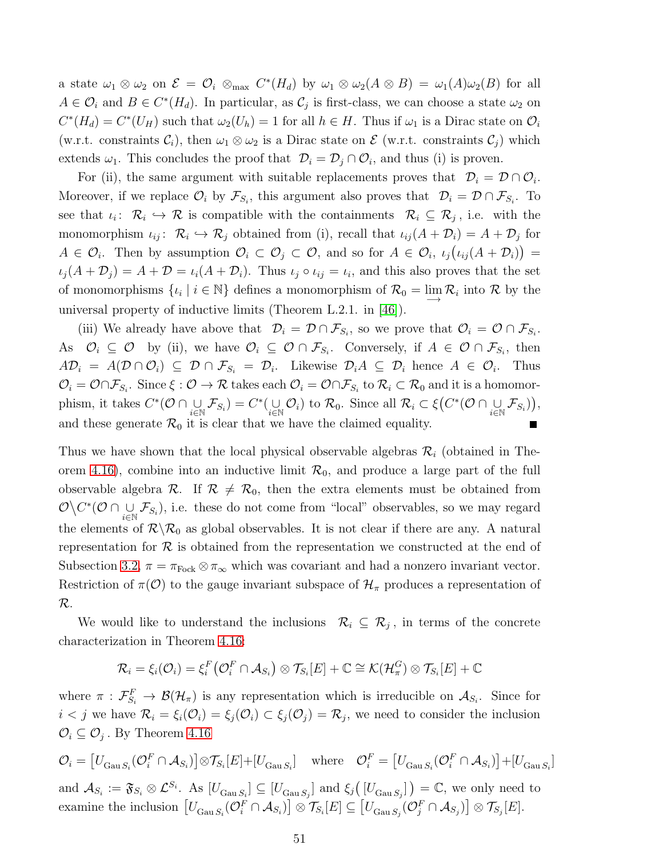a state  $\omega_1 \otimes \omega_2$  on  $\mathcal{E} = \mathcal{O}_i \otimes_{\text{max}} C^*(H_d)$  by  $\omega_1 \otimes \omega_2(A \otimes B) = \omega_1(A)\omega_2(B)$  for all  $A \in \mathcal{O}_i$  and  $B \in C^*(H_d)$ . In particular, as  $\mathcal{C}_j$  is first-class, we can choose a state  $\omega_2$  on  $C^*(H_d) = C^*(U_H)$  such that  $\omega_2(U_h) = 1$  for all  $h \in H$ . Thus if  $\omega_1$  is a Dirac state on  $\mathcal{O}_i$ (w.r.t. constraints  $\mathcal{C}_i$ ), then  $\omega_1 \otimes \omega_2$  is a Dirac state on  $\mathcal{E}$  (w.r.t. constraints  $\mathcal{C}_i$ ) which extends  $\omega_1$ . This concludes the proof that  $\mathcal{D}_i = \mathcal{D}_j \cap \mathcal{O}_i$ , and thus (i) is proven.

For (ii), the same argument with suitable replacements proves that  $\mathcal{D}_i = \mathcal{D} \cap \mathcal{O}_i$ . Moreover, if we replace  $\mathcal{O}_i$  by  $\mathcal{F}_{S_i}$ , this argument also proves that  $\mathcal{D}_i = \mathcal{D} \cap \mathcal{F}_{S_i}$ . To see that  $\iota_i: \mathcal{R}_i \hookrightarrow \mathcal{R}$  is compatible with the containments  $\mathcal{R}_i \subseteq \mathcal{R}_j$ , i.e. with the monomorphism  $\iota_{ij}$ :  $\mathcal{R}_i \hookrightarrow \mathcal{R}_j$  obtained from (i), recall that  $\iota_{ij}(A+\mathcal{D}_i) = A+\mathcal{D}_j$  for  $A \in \mathcal{O}_i$ . Then by assumption  $\mathcal{O}_i \subset \mathcal{O}_j \subset \mathcal{O}$ , and so for  $A \in \mathcal{O}_i$ ,  $\iota_j(\iota_{ij}(A+\mathcal{D}_i)) =$  $\iota_j(A+\mathcal{D}_j) = A+\mathcal{D} = \iota_i(A+\mathcal{D}_i)$ . Thus  $\iota_j \circ \iota_{ij} = \iota_i$ , and this also proves that the set of monomorphisms  $\{\iota_i \mid i \in \mathbb{N}\}$  defines a monomorphism of  $\mathcal{R}_0 = \lim_{n \to \infty} \mathcal{R}_i$  into  $\mathcal{R}$  by the universal property of inductive limits (Theorem L.2.1. in [\[46\]](#page-58-1)).

(iii) We already have above that  $\mathcal{D}_i = \mathcal{D} \cap \mathcal{F}_{S_i}$ , so we prove that  $\mathcal{O}_i = \mathcal{O} \cap \mathcal{F}_{S_i}$ . As  $\mathcal{O}_i \subseteq \mathcal{O}$  by (ii), we have  $\mathcal{O}_i \subseteq \mathcal{O} \cap \mathcal{F}_{S_i}$ . Conversely, if  $A \in \mathcal{O} \cap \mathcal{F}_{S_i}$ , then  $A\mathcal{D}_i = A(\mathcal{D} \cap \mathcal{O}_i) \subseteq \mathcal{D} \cap \mathcal{F}_{S_i} = \mathcal{D}_i$ . Likewise  $\mathcal{D}_i A \subseteq \mathcal{D}_i$  hence  $A \in \mathcal{O}_i$ . Thus  $\mathcal{O}_i=\mathcal{O}\cap\mathcal{F}_{S_i}.$  Since  $\xi:\mathcal{O}\to\mathcal{R}$  takes each  $\mathcal{O}_i=\mathcal{O}\cap\mathcal{F}_{S_i}$  to  $\mathcal{R}_i\subset\mathcal{R}_0$  and it is a homomorphism, it takes  $C^*(\mathcal{O} \cap \bigcup_{i \in \mathbb{N}} \mathcal{F}_{S_i}) = C^*(\bigcup_{i \in \mathbb{N}} \mathcal{O}_i)$  to  $\mathcal{R}_0$ . Since all  $\mathcal{R}_i \subset \xi(C^*(\mathcal{O} \cap \bigcup_{i \in \mathbb{N}} \mathcal{F}_{S_i}))$ , and these generate  $\mathcal{R}_0$  it is clear that we have the claimed equality.

Thus we have shown that the local physical observable algebras  $\mathcal{R}_i$  (obtained in The-orem [4.16\)](#page-43-0), combine into an inductive limit  $\mathcal{R}_0$ , and produce a large part of the full observable algebra  $\mathcal{R}$ . If  $\mathcal{R} \neq \mathcal{R}_0$ , then the extra elements must be obtained from  $\mathcal{O}\backslash C^*(\mathcal{O}\cap \bigcup_{i\in\mathbb{N}}\mathcal{F}_{S_i})$ , i.e. these do not come from "local" observables, so we may regard the elements of  $\mathcal{R}\backslash\mathcal{R}_0$  as global observables. It is not clear if there are any. A natural representation for  $\mathcal R$  is obtained from the representation we constructed at the end of Subsection [3.2,](#page-21-0)  $\pi = \pi_{Fock} \otimes \pi_{\infty}$  which was covariant and had a nonzero invariant vector. Restriction of  $\pi(\mathcal{O})$  to the gauge invariant subspace of  $\mathcal{H}_{\pi}$  produces a representation of R.

We would like to understand the inclusions  $\mathcal{R}_i \subseteq \mathcal{R}_j$ , in terms of the concrete characterization in Theorem [4.16:](#page-43-0)

$$
\mathcal{R}_i = \xi_i(\mathcal{O}_i) = \xi_i^F(\mathcal{O}_i^F \cap \mathcal{A}_{S_i}) \otimes \mathcal{T}_{S_i}[E] + \mathbb{C} \cong \mathcal{K}(\mathcal{H}_{\pi}^G) \otimes \mathcal{T}_{S_i}[E] + \mathbb{C}
$$

where  $\pi$  :  $\mathcal{F}_{S_i}^F \to \mathcal{B}(\mathcal{H}_\pi)$  is any representation which is irreducible on  $\mathcal{A}_{S_i}$ . Since for  $i < j$  we have  $\mathcal{R}_i = \xi_i(\mathcal{O}_i) = \xi_j(\mathcal{O}_i) \subset \xi_j(\mathcal{O}_j) = \mathcal{R}_j$ , we need to consider the inclusion  $\mathcal{O}_i \subseteq \mathcal{O}_j$ . By Theorem [4.16](#page-43-0)

$$
\mathcal{O}_i = \left[ U_{\text{Gau }S_i}(\mathcal{O}_i^F \cap \mathcal{A}_{S_i}) \right] \otimes \mathcal{T}_{S_i}[E] + \left[ U_{\text{Gau }S_i} \right] \quad \text{where} \quad \mathcal{O}_i^F = \left[ U_{\text{Gau }S_i}(\mathcal{O}_i^F \cap \mathcal{A}_{S_i}) \right] + \left[ U_{\text{Gau }S_i} \right]
$$
\n
$$
\text{and } \mathcal{A}_{S_i} := \mathfrak{F}_{S_i} \otimes \mathcal{L}^{S_i}. \text{ As } [U_{\text{Gau }S_i}] \subseteq \left[ U_{\text{Gau }S_j} \right] \text{ and } \xi_j \left( \left[ U_{\text{Gau }S_j} \right] \right) = \mathbb{C}, \text{ we only need to}
$$
\n
$$
\text{examine the inclusion } \left[ U_{\text{Gau }S_i}(\mathcal{O}_i^F \cap \mathcal{A}_{S_i}) \right] \otimes \mathcal{T}_{S_i}[E] \subseteq \left[ U_{\text{Gau }S_j}(\mathcal{O}_j^F \cap \mathcal{A}_{S_j}) \right] \otimes \mathcal{T}_{S_j}[E].
$$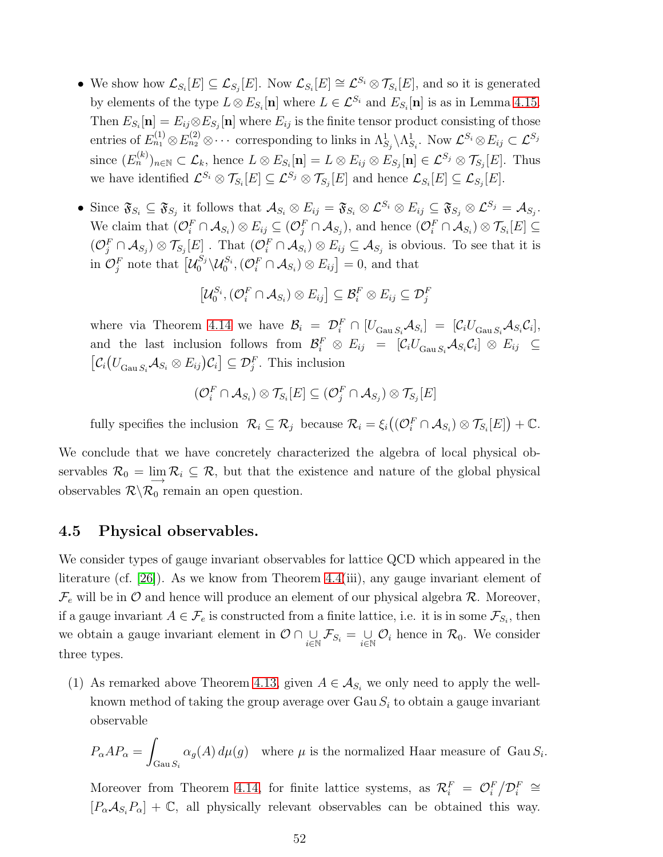- We show how  $\mathcal{L}_{S_i}[E] \subseteq \mathcal{L}_{S_j}[E]$ . Now  $\mathcal{L}_{S_i}[E] \cong \mathcal{L}^{S_i} \otimes \mathcal{T}_{S_i}[E]$ , and so it is generated by elements of the type  $L \otimes E_{S_i}[n]$  where  $L \in \mathcal{L}^{S_i}$  and  $E_{S_i}[n]$  is as in Lemma [4.15.](#page-42-1) Then  $E_{S_i}[\mathbf{n}] = E_{ij} \otimes E_{S_j}[\mathbf{n}]$  where  $E_{ij}$  is the finite tensor product consisting of those entries of  $E_{n_1}^{(1)} \otimes E_{n_2}^{(2)} \otimes \cdots$  corresponding to links in  $\Lambda_{S_j}^1 \setminus \Lambda_{S_i}^1$ . Now  $\mathcal{L}^{S_i} \otimes E_{ij} \subset \mathcal{L}^{S_j}$ since  $(E_n^{(k)})_{n\in\mathbb{N}}\subset\mathcal{L}_k$ , hence  $L\otimes E_{S_i}[\mathbf{n}]=L\otimes E_{ij}\otimes E_{S_j}[\mathbf{n}]\in\mathcal{L}^{S_j}\otimes\mathcal{T}_{S_j}[E]$ . Thus we have identified  $\mathcal{L}^{S_i} \otimes \mathcal{T}_{S_i}[E] \subseteq \mathcal{L}^{S_j} \otimes \mathcal{T}_{S_j}[E]$  and hence  $\mathcal{L}_{S_i}[E] \subseteq \mathcal{L}_{S_j}[E]$ .
- Since  $\mathfrak{F}_{S_i} \subseteq \mathfrak{F}_{S_j}$  it follows that  $\mathcal{A}_{S_i} \otimes E_{ij} = \mathfrak{F}_{S_i} \otimes \mathcal{L}^{S_i} \otimes E_{ij} \subseteq \mathfrak{F}_{S_j} \otimes \mathcal{L}^{S_j} = \mathcal{A}_{S_j}$ . We claim that  $(\mathcal{O}_i^F \cap \mathcal{A}_{S_i}) \otimes E_{ij} \subseteq (\mathcal{O}_j^F \cap \mathcal{A}_{S_j})$ , and hence  $(\mathcal{O}_i^F \cap \mathcal{A}_{S_i}) \otimes \mathcal{T}_{S_i}[E] \subseteq$  $(\mathcal{O}_j^F \cap \mathcal{A}_{S_j}) \otimes \mathcal{T}_{S_j}[E]$ . That  $(\mathcal{O}_i^F \cap \mathcal{A}_{S_i}) \otimes E_{ij} \subseteq \mathcal{A}_{S_j}$  is obvious. To see that it is in  $\mathcal{O}_j^F$  note that  $\left[\mathcal{U}_0^{S_j}\backslash \mathcal{U}_0^{S_i},(\mathcal{O}_i^F\cap \mathcal{A}_{S_i})\otimes E_{ij}\right]=0$ , and that

$$
\left[\mathcal{U}_0^{S_i}, (\mathcal{O}_i^F \cap \mathcal{A}_{S_i}) \otimes E_{ij}\right] \subseteq \mathcal{B}_i^F \otimes E_{ij} \subseteq \mathcal{D}_j^F
$$

where via Theorem [4.14](#page-40-0) we have  $\mathcal{B}_i = \mathcal{D}_i^F \cap [U_{\text{Gau }S_i} \mathcal{A}_{S_i}] = [\mathcal{C}_i U_{\text{Gau }S_i} \mathcal{A}_{S_i} \mathcal{C}_i],$ and the last inclusion follows from  $\mathcal{B}_i^F \otimes E_{ij} = [C_i U_{\text{Gau }S_i} A_{S_i} C_i] \otimes E_{ij} \subseteq$  $[\mathcal{C}_i(U_{\text{Gau }S_i}\mathcal{A}_{S_i}\otimes E_{ij})\mathcal{C}_i] \subseteq \mathcal{D}_j^F$ . This inclusion

$$
(\mathcal{O}_i^F \cap \mathcal{A}_{S_i}) \otimes \mathcal{T}_{S_i}[E] \subseteq (\mathcal{O}_j^F \cap \mathcal{A}_{S_j}) \otimes \mathcal{T}_{S_j}[E]
$$

fully specifies the inclusion  $\mathcal{R}_i \subseteq \mathcal{R}_j$  because  $\mathcal{R}_i = \xi_i((\mathcal{O}_i^F \cap \mathcal{A}_{S_i}) \otimes \mathcal{T}_{S_i}[E]) + \mathbb{C}.$ 

We conclude that we have concretely characterized the algebra of local physical observables  $\mathcal{R}_0 = \lim_{n \to \infty} \mathcal{R}_i \subseteq \mathcal{R}$ , but that the existence and nature of the global physical observables  $\mathcal{R}\backslash\mathcal{R}_0$  remain an open question.

## <span id="page-51-0"></span>4.5 Physical observables.

We consider types of gauge invariant observables for lattice QCD which appeared in the literature (cf. [\[26\]](#page-56-8)). As we know from Theorem [4.4\(](#page-29-0)iii), any gauge invariant element of  $\mathcal{F}_e$  will be in  $\mathcal O$  and hence will produce an element of our physical algebra  $\mathcal R$ . Moreover, if a gauge invariant  $A \in \mathcal{F}_e$  is constructed from a finite lattice, i.e. it is in some  $\mathcal{F}_{S_i}$ , then we obtain a gauge invariant element in  $\mathcal{O} \cap \bigcup_{i \in \mathbb{N}} \mathcal{F}_{S_i} = \bigcup_{i \in \mathbb{N}} \mathcal{O}_i$  hence in  $\mathcal{R}_0$ . We consider three types.

(1) As remarked above Theorem [4.13,](#page-39-0) given  $A \in \mathcal{A}_{S_i}$  we only need to apply the wellknown method of taking the group average over  $G_{\text{au}} S_i$  to obtain a gauge invariant observable

$$
P_{\alpha}AP_{\alpha} = \int_{\text{Gau }S_i} \alpha_g(A) d\mu(g) \quad \text{where } \mu \text{ is the normalized Haar measure of } \text{Gau } S_i.
$$

Moreover from Theorem [4.14,](#page-40-0) for finite lattice systems, as  $\mathcal{R}_i^F = \mathcal{O}_i^F / \mathcal{D}_i^F \cong$  $[P_{\alpha}A_{S_i}P_{\alpha}] + \mathbb{C}$ , all physically relevant observables can be obtained this way.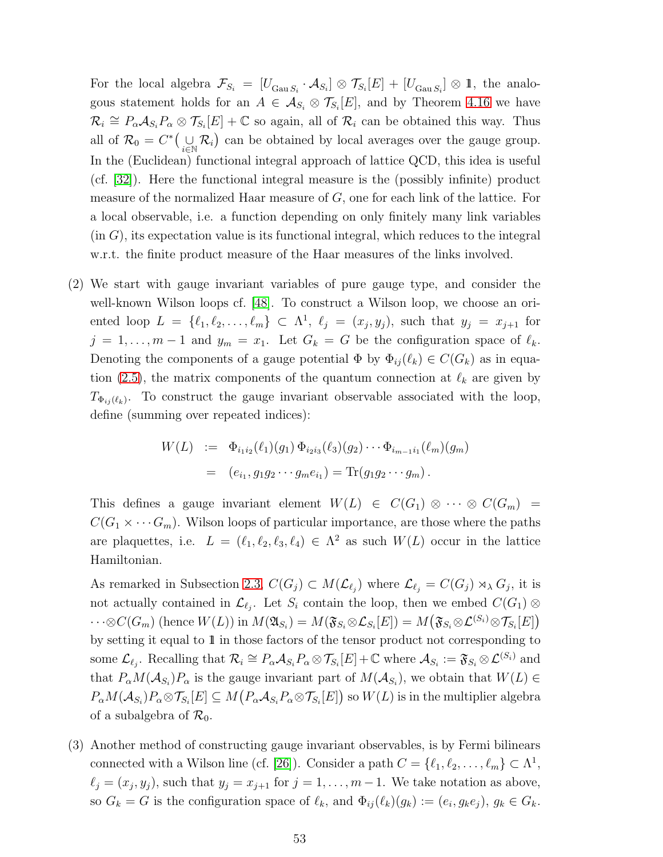For the local algebra  $\mathcal{F}_{S_i} = [U_{\text{Gau }S_i} \cdot \mathcal{A}_{S_i}] \otimes \mathcal{T}_{S_i}[E] + [U_{\text{Gau }S_i}] \otimes \mathbb{1}$ , the analogous statement holds for an  $A \in \mathcal{A}_{S_i} \otimes \mathcal{T}_{S_i}[E]$ , and by Theorem [4.16](#page-43-0) we have  $\mathcal{R}_i \cong P_{\alpha} \mathcal{A}_{S_i} P_{\alpha} \otimes \mathcal{T}_{S_i}[E] + \mathbb{C}$  so again, all of  $\mathcal{R}_i$  can be obtained this way. Thus all of  $\mathcal{R}_0 = C^* \left( \bigcup_{i \in \mathbb{N}} \mathcal{R}_i \right)$  can be obtained by local averages over the gauge group. In the (Euclidean) functional integral approach of lattice QCD, this idea is useful (cf. [\[32\]](#page-57-12)). Here the functional integral measure is the (possibly infinite) product measure of the normalized Haar measure of G, one for each link of the lattice. For a local observable, i.e. a function depending on only finitely many link variables  $(\text{in } G)$ , its expectation value is its functional integral, which reduces to the integral w.r.t. the finite product measure of the Haar measures of the links involved.

(2) We start with gauge invariant variables of pure gauge type, and consider the well-known Wilson loops cf. [\[48\]](#page-58-4). To construct a Wilson loop, we choose an oriented loop  $L = \{\ell_1, \ell_2, \ldots, \ell_m\} \subset \Lambda^1$ ,  $\ell_j = (x_j, y_j)$ , such that  $y_j = x_{j+1}$  for  $j = 1, \ldots, m-1$  and  $y_m = x_1$ . Let  $G_k = G$  be the configuration space of  $\ell_k$ . Denoting the components of a gauge potential  $\Phi$  by  $\Phi_{ij}(\ell_k) \in C(G_k)$  as in equa-tion [\(2.5\)](#page-7-2), the matrix components of the quantum connection at  $\ell_k$  are given by  $T_{\Phi_{ij}(\ell_k)}$ . To construct the gauge invariant observable associated with the loop, define (summing over repeated indices):

$$
W(L) := \Phi_{i_1 i_2}(\ell_1)(g_1) \Phi_{i_2 i_3}(\ell_3)(g_2) \cdots \Phi_{i_{m-1} i_1}(\ell_m)(g_m)
$$
  
= 
$$
(e_{i_1}, g_1 g_2 \cdots g_m e_{i_1}) = \text{Tr}(g_1 g_2 \cdots g_m).
$$

This defines a gauge invariant element  $W(L) \in C(G_1) \otimes \cdots \otimes C(G_m)$  $C(G_1 \times \cdots G_m)$ . Wilson loops of particular importance, are those where the paths are plaquettes, i.e.  $L = (\ell_1, \ell_2, \ell_3, \ell_4) \in \Lambda^2$  as such  $W(L)$  occur in the lattice Hamiltonian.

As remarked in Subsection [2.3,](#page-13-0)  $C(G_j) \subset M(\mathcal{L}_{\ell_j})$  where  $\mathcal{L}_{\ell_j} = C(G_j) \rtimes_{\lambda} G_j$ , it is not actually contained in  $\mathcal{L}_{\ell_j}$ . Let  $S_i$  contain the loop, then we embed  $C(G_1) \otimes$  $\cdots \otimes C(G_m)$  (hence  $W(L)$ ) in  $M(\mathfrak{A}_{S_i}) = M(\mathfrak{F}_{S_i} \otimes \mathcal{L}_{S_i}[E]) = M(\mathfrak{F}_{S_i} \otimes \mathcal{L}^{(S_i)} \otimes \mathcal{T}_{S_i}[E])$ by setting it equal to 1l in those factors of the tensor product not corresponding to some  $\mathcal{L}_{\ell_j}$ . Recalling that  $\mathcal{R}_i \cong P_{\alpha} \mathcal{A}_{S_i} P_{\alpha} \otimes \mathcal{T}_{S_i}[E] + \mathbb{C}$  where  $\mathcal{A}_{S_i} := \mathfrak{F}_{S_i} \otimes \mathcal{L}^{(S_i)}$  and that  $P_{\alpha}M(\mathcal{A}_{S_i})P_{\alpha}$  is the gauge invariant part of  $M(\mathcal{A}_{S_i})$ , we obtain that  $W(L) \in$  $P_{\alpha}M(\mathcal{A}_{S_i})P_{\alpha} \otimes \mathcal{T}_{S_i}[E] \subseteq M(P_{\alpha}\mathcal{A}_{S_i}P_{\alpha} \otimes \mathcal{T}_{S_i}[E])$  so  $W(L)$  is in the multiplier algebra of a subalgebra of  $\mathcal{R}_0$ .

(3) Another method of constructing gauge invariant observables, is by Fermi bilinears connected with a Wilson line (cf. [\[26\]](#page-56-8)). Consider a path  $C = \{\ell_1, \ell_2, \ldots, \ell_m\} \subset \Lambda^1$ ,  $\ell_j = (x_j, y_j)$ , such that  $y_j = x_{j+1}$  for  $j = 1, \ldots, m-1$ . We take notation as above, so  $G_k = G$  is the configuration space of  $\ell_k$ , and  $\Phi_{ij}(\ell_k)(g_k) := (e_i, g_k e_j)$ ,  $g_k \in G_k$ .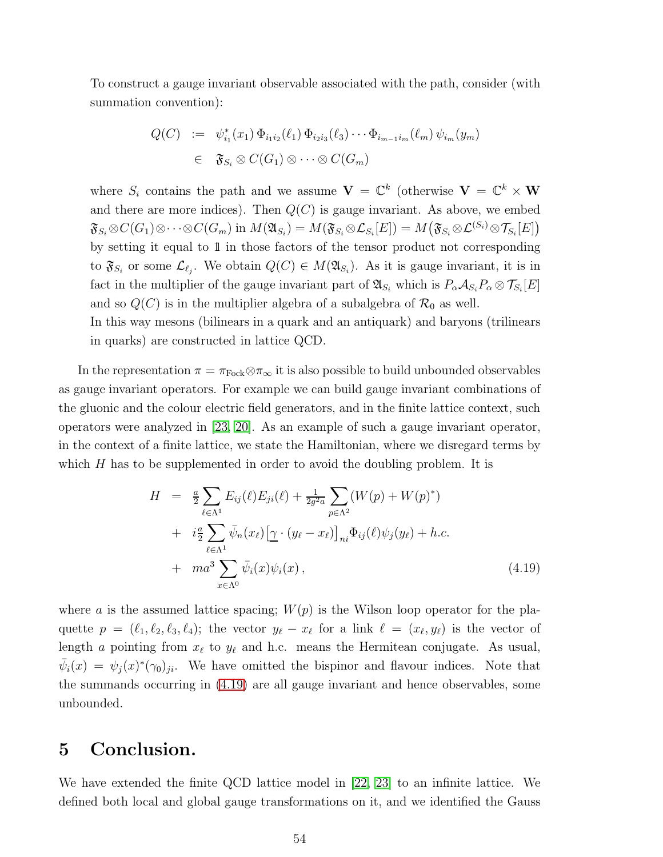To construct a gauge invariant observable associated with the path, consider (with summation convention):

$$
Q(C) := \psi_{i_1}^*(x_1) \Phi_{i_1 i_2}(\ell_1) \Phi_{i_2 i_3}(\ell_3) \cdots \Phi_{i_{m-1} i_m}(\ell_m) \psi_{i_m}(\mathbf{y}_m)
$$
  

$$
\in \mathfrak{F}_{S_i} \otimes C(G_1) \otimes \cdots \otimes C(G_m)
$$

where  $S_i$  contains the path and we assume  $\mathbf{V} = \mathbb{C}^k$  (otherwise  $\mathbf{V} = \mathbb{C}^k \times \mathbf{W}$ and there are more indices). Then  $Q(C)$  is gauge invariant. As above, we embed  $\mathfrak{F}_{S_i} \otimes C(G_1) \otimes \cdots \otimes C(G_m) \text{ in } M(\mathfrak{A}_{S_i}) = M(\mathfrak{F}_{S_i} \otimes \mathcal{L}_{S_i}[E]) = M\big(\mathfrak{F}_{S_i} \otimes \mathcal{L}^{(S_i)} \otimes \mathcal{T}_{S_i}[E]\big)$ by setting it equal to 1l in those factors of the tensor product not corresponding to  $\mathfrak{F}_{S_i}$  or some  $\mathcal{L}_{\ell_j}$ . We obtain  $Q(C) \in M(\mathfrak{A}_{S_i})$ . As it is gauge invariant, it is in fact in the multiplier of the gauge invariant part of  $\mathfrak{A}_{S_i}$  which is  $P_\alpha A_{S_i} P_\alpha \otimes \mathcal{T}_{S_i}[E]$ and so  $Q(C)$  is in the multiplier algebra of a subalgebra of  $\mathcal{R}_0$  as well.

In this way mesons (bilinears in a quark and an antiquark) and baryons (trilinears in quarks) are constructed in lattice QCD.

In the representation  $\pi = \pi_{\text{Fock}} \otimes \pi_{\infty}$  it is also possible to build unbounded observables as gauge invariant operators. For example we can build gauge invariant combinations of the gluonic and the colour electric field generators, and in the finite lattice context, such operators were analyzed in [\[23,](#page-56-1) [20\]](#page-56-13). As an example of such a gauge invariant operator, in the context of a finite lattice, we state the Hamiltonian, where we disregard terms by which  $H$  has to be supplemented in order to avoid the doubling problem. It is

<span id="page-53-1"></span>
$$
H = \frac{a}{2} \sum_{\ell \in \Lambda^1} E_{ij}(\ell) E_{ji}(\ell) + \frac{1}{2g^2 a} \sum_{p \in \Lambda^2} (W(p) + W(p)^*)
$$
  
+  $i \frac{a}{2} \sum_{\ell \in \Lambda^1} \bar{\psi}_n(x_\ell) [\gamma \cdot (y_\ell - x_\ell)]_{ni} \Phi_{ij}(\ell) \psi_j(y_\ell) + h.c.$   
+  $ma^3 \sum_{x \in \Lambda^0} \bar{\psi}_i(x) \psi_i(x),$  (4.19)

where a is the assumed lattice spacing;  $W(p)$  is the Wilson loop operator for the plaquette  $p = (\ell_1, \ell_2, \ell_3, \ell_4)$ ; the vector  $y_{\ell} - x_{\ell}$  for a link  $\ell = (x_{\ell}, y_{\ell})$  is the vector of length a pointing from  $x_{\ell}$  to  $y_{\ell}$  and h.c. means the Hermitean conjugate. As usual,  $\bar{\psi}_i(x) = \psi_j(x)^*(\gamma_0)_{ji}$ . We have omitted the bispinor and flavour indices. Note that the summands occurring in [\(4.19\)](#page-53-1) are all gauge invariant and hence observables, some unbounded.

# <span id="page-53-0"></span>5 Conclusion.

We have extended the finite QCD lattice model in [\[22,](#page-56-0) [23\]](#page-56-1) to an infinite lattice. We defined both local and global gauge transformations on it, and we identified the Gauss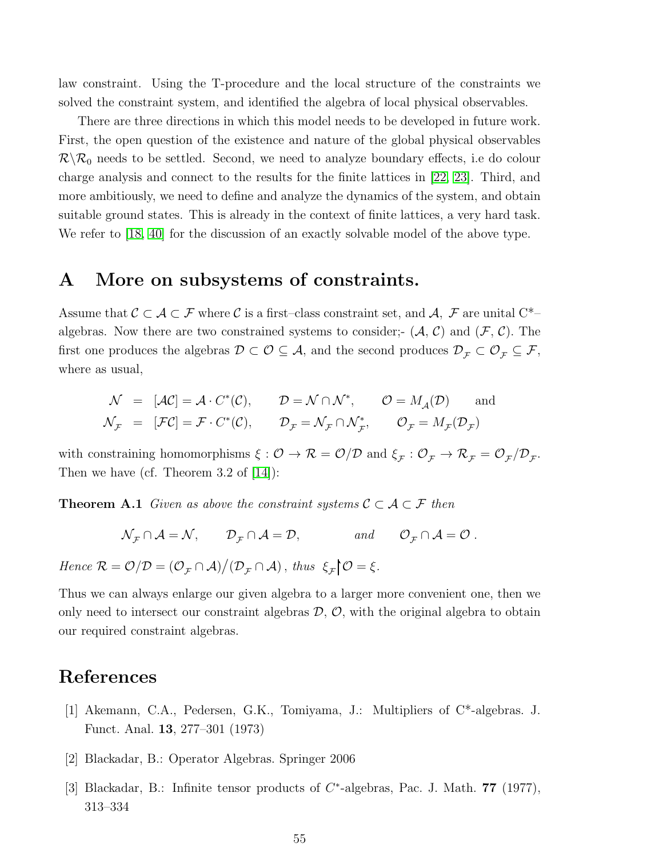law constraint. Using the T-procedure and the local structure of the constraints we solved the constraint system, and identified the algebra of local physical observables.

There are three directions in which this model needs to be developed in future work. First, the open question of the existence and nature of the global physical observables  $\mathcal{R}\backslash\mathcal{R}_0$  needs to be settled. Second, we need to analyze boundary effects, i.e do colour charge analysis and connect to the results for the finite lattices in [\[22,](#page-56-0) [23\]](#page-56-1). Third, and more ambitiously, we need to define and analyze the dynamics of the system, and obtain suitable ground states. This is already in the context of finite lattices, a very hard task. We refer to [\[18,](#page-56-10) [40\]](#page-57-4) for the discussion of an exactly solvable model of the above type.

# <span id="page-54-0"></span>A More on subsystems of constraints.

Assume that  $\mathcal{C} \subset \mathcal{A} \subset \mathcal{F}$  where  $\mathcal{C}$  is a first–class constraint set, and  $\mathcal{A}, \mathcal{F}$  are unital  $C^*$ – algebras. Now there are two constrained systems to consider;-  $(A, C)$  and  $(F, C)$ . The first one produces the algebras  $\mathcal{D} \subset \mathcal{O} \subseteq \mathcal{A}$ , and the second produces  $\mathcal{D}_{\mathcal{F}} \subset \mathcal{O}_{\mathcal{F}} \subseteq \mathcal{F}$ , where as usual,

$$
\mathcal{N} = [\mathcal{A}\mathcal{C}] = \mathcal{A} \cdot C^*(\mathcal{C}), \qquad \mathcal{D} = \mathcal{N} \cap \mathcal{N}^*, \qquad \mathcal{O} = M_{\mathcal{A}}(\mathcal{D}) \qquad \text{and}
$$
  

$$
\mathcal{N}_{\mathcal{F}} = [\mathcal{F}\mathcal{C}] = \mathcal{F} \cdot C^*(\mathcal{C}), \qquad \mathcal{D}_{\mathcal{F}} = \mathcal{N}_{\mathcal{F}} \cap \mathcal{N}_{\mathcal{F}}^*, \qquad \mathcal{O}_{\mathcal{F}} = M_{\mathcal{F}}(\mathcal{D}_{\mathcal{F}})
$$

with constraining homomorphisms  $\xi: \mathcal{O} \to \mathcal{R} = \mathcal{O}/\mathcal{D}$  and  $\xi_{\mathcal{F}}: \mathcal{O}_{\mathcal{F}} \to \mathcal{R}_{\mathcal{F}} = \mathcal{O}_{\mathcal{F}}/\mathcal{D}_{\mathcal{F}}$ . Then we have (cf. Theorem 3.2 of [\[14\]](#page-55-12)):

**Theorem A.1** Given as above the constraint systems  $C \subset A \subset F$  then

<span id="page-54-3"></span> $\mathcal{N}_{\mathcal{F}} \cap \mathcal{A} = \mathcal{N},$   $\mathcal{D}_{\mathcal{F}} \cap \mathcal{A} = \mathcal{D},$  and  $\mathcal{O}_{\mathcal{F}} \cap \mathcal{A} = \mathcal{O}.$ 

Hence  $\mathcal{R} = \mathcal{O}/\mathcal{D} = (\mathcal{O}_{\mathcal{F}} \cap \mathcal{A})/(\mathcal{D}_{\mathcal{F}} \cap \mathcal{A}),$  thus  $\xi_{\mathcal{F}} \circ \mathcal{O} = \xi$ .

Thus we can always enlarge our given algebra to a larger more convenient one, then we only need to intersect our constraint algebras  $\mathcal{D}, \mathcal{O}$ , with the original algebra to obtain our required constraint algebras.

# <span id="page-54-4"></span>References

- <span id="page-54-2"></span>[1] Akemann, C.A., Pedersen, G.K., Tomiyama, J.: Multipliers of C\*-algebras. J. Funct. Anal. 13, 277–301 (1973)
- <span id="page-54-1"></span>[2] Blackadar, B.: Operator Algebras. Springer 2006
- [3] Blackadar, B.: Infinite tensor products of  $C^*$ -algebras, Pac. J. Math. 77 (1977), 313–334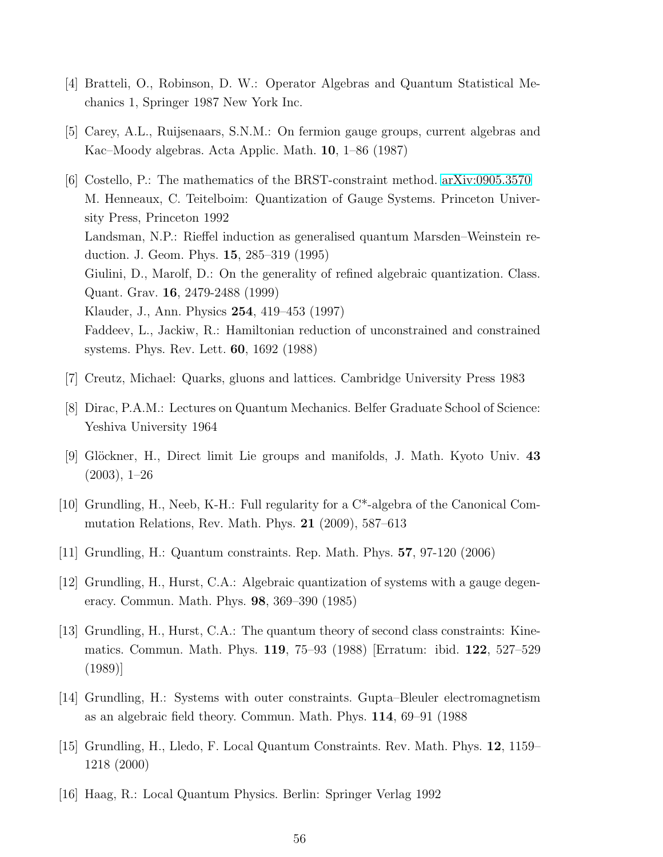- <span id="page-55-9"></span><span id="page-55-4"></span>[4] Bratteli, O., Robinson, D. W.: Operator Algebras and Quantum Statistical Mechanics 1, Springer 1987 New York Inc.
- <span id="page-55-6"></span>[5] Carey, A.L., Ruijsenaars, S.N.M.: On fermion gauge groups, current algebras and Kac–Moody algebras. Acta Applic. Math. 10, 1–86 (1987)
- [6] Costello, P.: The mathematics of the BRST-constraint method. [arXiv:0905.3570](http://arxiv.org/abs/0905.3570) M. Henneaux, C. Teitelboim: Quantization of Gauge Systems. Princeton University Press, Princeton 1992 Landsman, N.P.: Rieffel induction as generalised quantum Marsden–Weinstein reduction. J. Geom. Phys. 15, 285–319 (1995) Giulini, D., Marolf, D.: On the generality of refined algebraic quantization. Class. Quant. Grav. 16, 2479-2488 (1999) Klauder, J., Ann. Physics 254, 419–453 (1997) Faddeev, L., Jackiw, R.: Hamiltonian reduction of unconstrained and constrained systems. Phys. Rev. Lett. 60, 1692 (1988)
- <span id="page-55-11"></span><span id="page-55-7"></span>[7] Creutz, Michael: Quarks, gluons and lattices. Cambridge University Press 1983
- <span id="page-55-5"></span>[8] Dirac, P.A.M.: Lectures on Quantum Mechanics. Belfer Graduate School of Science: Yeshiva University 1964
- <span id="page-55-0"></span>[9] Glöckner, H., Direct limit Lie groups and manifolds, J. Math. Kyoto Univ. 43 (2003), 1–26
- <span id="page-55-1"></span>[10] Grundling, H., Neeb, K-H.: Full regularity for a C\*-algebra of the Canonical Commutation Relations, Rev. Math. Phys. 21 (2009), 587–613
- <span id="page-55-8"></span>[11] Grundling, H.: Quantum constraints. Rep. Math. Phys. 57, 97-120 (2006)
- <span id="page-55-10"></span>[12] Grundling, H., Hurst, C.A.: Algebraic quantization of systems with a gauge degeneracy. Commun. Math. Phys. 98, 369–390 (1985)
- [13] Grundling, H., Hurst, C.A.: The quantum theory of second class constraints: Kinematics. Commun. Math. Phys. 119, 75–93 (1988) [Erratum: ibid. 122, 527–529 (1989)]
- <span id="page-55-12"></span><span id="page-55-2"></span>[14] Grundling, H.: Systems with outer constraints. Gupta–Bleuler electromagnetism as an algebraic field theory. Commun. Math. Phys. 114, 69–91 (1988
- <span id="page-55-3"></span>[15] Grundling, H., Lledo, F. Local Quantum Constraints. Rev. Math. Phys. 12, 1159– 1218 (2000)
- [16] Haag, R.: Local Quantum Physics. Berlin: Springer Verlag 1992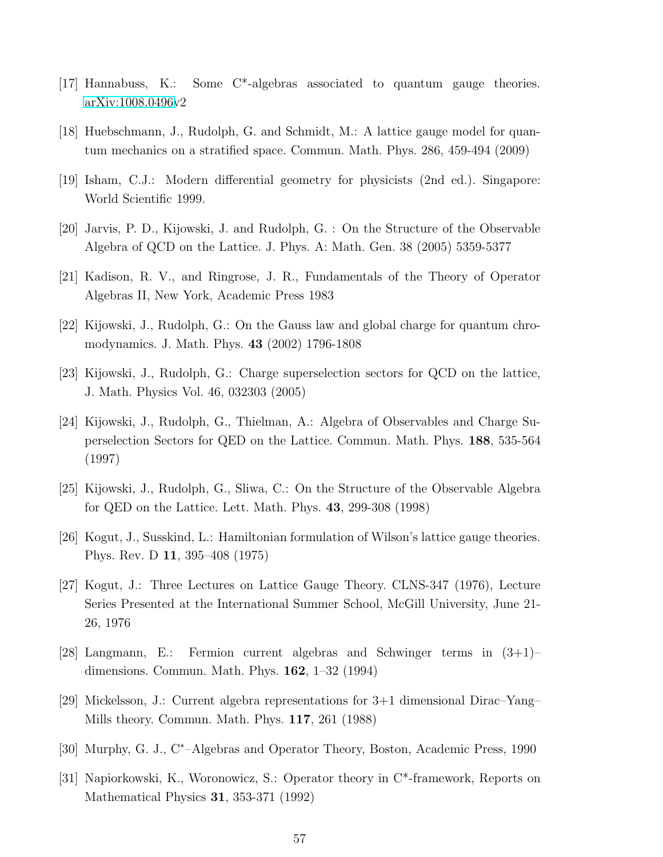- <span id="page-56-10"></span><span id="page-56-4"></span>[17] Hannabuss, K.: Some C\*-algebras associated to quantum gauge theories. [arXiv:1008.0496v](http://arxiv.org/abs/1008.0496)2
- <span id="page-56-12"></span>[18] Huebschmann, J., Rudolph, G. and Schmidt, M.: A lattice gauge model for quantum mechanics on a stratified space. Commun. Math. Phys. 286, 459-494 (2009)
- <span id="page-56-13"></span>[19] Isham, C.J.: Modern differential geometry for physicists (2nd ed.). Singapore: World Scientific 1999.
- <span id="page-56-11"></span>[20] Jarvis, P. D., Kijowski, J. and Rudolph, G. : On the Structure of the Observable Algebra of QCD on the Lattice. J. Phys. A: Math. Gen. 38 (2005) 5359-5377
- <span id="page-56-0"></span>[21] Kadison, R. V., and Ringrose, J. R., Fundamentals of the Theory of Operator Algebras II, New York, Academic Press 1983
- <span id="page-56-1"></span>[22] Kijowski, J., Rudolph, G.: On the Gauss law and global charge for quantum chromodynamics. J. Math. Phys. 43 (2002) 1796-1808
- <span id="page-56-5"></span>[23] Kijowski, J., Rudolph, G.: Charge superselection sectors for QCD on the lattice, J. Math. Physics Vol. 46, 032303 (2005)
- [24] Kijowski, J., Rudolph, G., Thielman, A.: Algebra of Observables and Charge Superselection Sectors for QED on the Lattice. Commun. Math. Phys. 188, 535-564 (1997)
- <span id="page-56-8"></span><span id="page-56-6"></span>[25] Kijowski, J., Rudolph, G., Sliwa, C.: On the Structure of the Observable Algebra for QED on the Lattice. Lett. Math. Phys. 43, 299-308 (1998)
- <span id="page-56-7"></span>[26] Kogut, J., Susskind, L.: Hamiltonian formulation of Wilson's lattice gauge theories. Phys. Rev. D 11, 395–408 (1975)
- [27] Kogut, J.: Three Lectures on Lattice Gauge Theory. CLNS-347 (1976), Lecture Series Presented at the International Summer School, McGill University, June 21- 26, 1976
- <span id="page-56-3"></span><span id="page-56-2"></span>[28] Langmann, E.: Fermion current algebras and Schwinger terms in (3+1)– dimensions. Commun. Math. Phys. 162, 1–32 (1994)
- <span id="page-56-14"></span>[29] Mickelsson, J.: Current algebra representations for 3+1 dimensional Dirac–Yang– Mills theory. Commun. Math. Phys. 117, 261 (1988)
- <span id="page-56-9"></span>[30] Murphy, G. J., C<sup>\*</sup>-Algebras and Operator Theory, Boston, Academic Press, 1990
- [31] Napiorkowski, K., Woronowicz, S.: Operator theory in C\*-framework, Reports on Mathematical Physics 31, 353-371 (1992)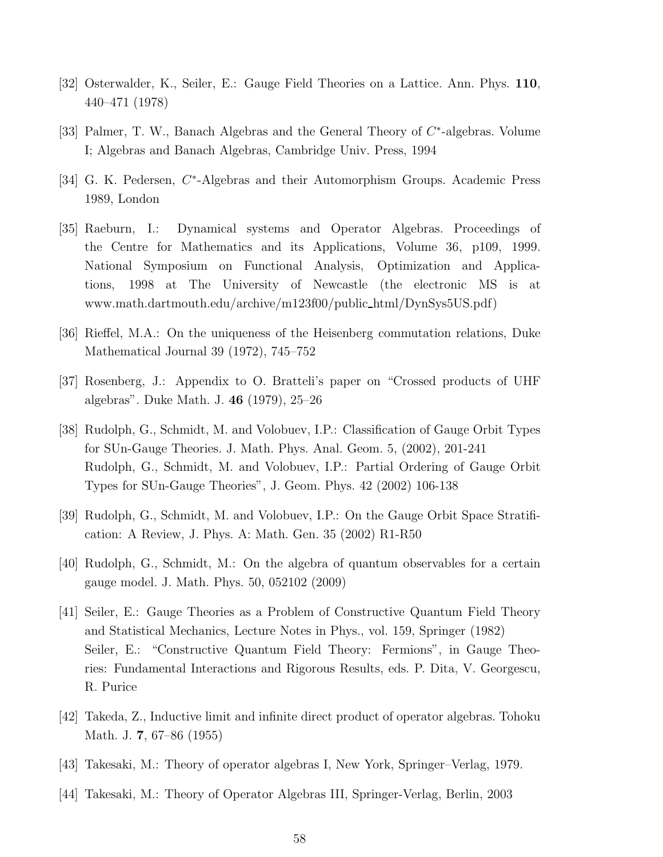- <span id="page-57-12"></span><span id="page-57-8"></span>[32] Osterwalder, K., Seiler, E.: Gauge Field Theories on a Lattice. Ann. Phys. 110, 440–471 (1978)
- <span id="page-57-7"></span>[33] Palmer, T. W., Banach Algebras and the General Theory of  $C^*$ -algebras. Volume I; Algebras and Banach Algebras, Cambridge Univ. Press, 1994
- <span id="page-57-10"></span>[34] G. K. Pedersen, C\*-Algebras and their Automorphism Groups. Academic Press 1989, London
- [35] Raeburn, I.: Dynamical systems and Operator Algebras. Proceedings of the Centre for Mathematics and its Applications, Volume 36, p109, 1999. National Symposium on Functional Analysis, Optimization and Applications, 1998 at The University of Newcastle (the electronic MS is at www.math.dartmouth.edu/archive/m123f00/public html/DynSys5US.pdf)
- <span id="page-57-9"></span><span id="page-57-1"></span>[36] Rieffel, M.A.: On the uniqueness of the Heisenberg commutation relations, Duke Mathematical Journal 39 (1972), 745–752
- <span id="page-57-2"></span>[37] Rosenberg, J.: Appendix to O. Bratteli's paper on "Crossed products of UHF algebras". Duke Math. J. 46 (1979), 25–26
- [38] Rudolph, G., Schmidt, M. and Volobuev, I.P.: Classification of Gauge Orbit Types for SUn-Gauge Theories. J. Math. Phys. Anal. Geom. 5, (2002), 201-241 Rudolph, G., Schmidt, M. and Volobuev, I.P.: Partial Ordering of Gauge Orbit Types for SUn-Gauge Theories", J. Geom. Phys. 42 (2002) 106-138
- <span id="page-57-4"></span><span id="page-57-3"></span>[39] Rudolph, G., Schmidt, M. and Volobuev, I.P.: On the Gauge Orbit Space Stratification: A Review, J. Phys. A: Math. Gen. 35 (2002) R1-R50
- <span id="page-57-0"></span>[40] Rudolph, G., Schmidt, M.: On the algebra of quantum observables for a certain gauge model. J. Math. Phys. 50, 052102 (2009)
- [41] Seiler, E.: Gauge Theories as a Problem of Constructive Quantum Field Theory and Statistical Mechanics, Lecture Notes in Phys., vol. 159, Springer (1982) Seiler, E.: "Constructive Quantum Field Theory: Fermions", in Gauge Theories: Fundamental Interactions and Rigorous Results, eds. P. Dita, V. Georgescu, R. Purice
- <span id="page-57-11"></span><span id="page-57-6"></span>[42] Takeda, Z., Inductive limit and infinite direct product of operator algebras. Tohoku Math. J. 7, 67–86 (1955)
- <span id="page-57-5"></span>[43] Takesaki, M.: Theory of operator algebras I, New York, Springer–Verlag, 1979.
- [44] Takesaki, M.: Theory of Operator Algebras III, Springer-Verlag, Berlin, 2003